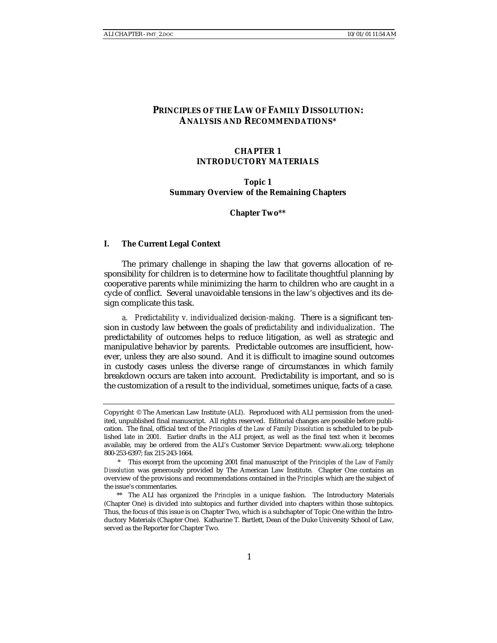# **PRINCIPLES OF THE LAW OF FAMILY DISSOLUTION: ANALYSIS AND RECOMMENDATIONS\***

# **CHAPTER 1 INTRODUCTORY MATERIALS**

## **Topic 1 Summary Overview of the Remaining Chapters**

## **Chapter Two\*\***

#### **I. The Current Legal Context**

The primary challenge in shaping the law that governs allocation of responsibility for children is to determine how to facilitate thoughtful planning by cooperative parents while minimizing the harm to children who are caught in a cycle of conflict. Several unavoidable tensions in the law's objectives and its design complicate this task.

*a. Predictability v. individualized decision-making.* There is a significant tension in custody law between the goals of *predictability* and *individualization*. The predictability of outcomes helps to reduce litigation, as well as strategic and manipulative behavior by parents. Predictable outcomes are insufficient, however, unless they are also sound. And it is difficult to imagine sound outcomes in custody cases unless the diverse range of circumstances in which family breakdown occurs are taken into account. Predictability is important, and so is the customization of a result to the individual, sometimes unique, facts of a case.

Copyright © The American Law Institute (ALI). Reproduced with ALI permission from the unedited, unpublished final manuscript. All rights reserved. Editorial changes are possible before publication. The final, official text of the *Principles of the Law of Family Dissolution* is scheduled to be published late in 2001. Earlier drafts in the ALI project, as well as the final text when it becomes available, may be ordered from the ALI's Customer Service Department: www.ali.org; telephone 800-253-6397; fax 215-243-1664.

<sup>\*</sup> This excerpt from the upcoming 2001 final manuscript of the *Principles of the Law of Family Dissolution* was generously provided by The American Law Institute. Chapter One contains an overview of the provisions and recommendations contained in the *Principles* which are the subject of the issue's commentaries.

<sup>\*\*</sup> The ALI has organized the *Principles* in a unique fashion. The Introductory Materials (Chapter One) is divided into subtopics and further divided into chapters within those subtopics. Thus, the focus of this issue is on Chapter Two, which is a subchapter of Topic One within the Introductory Materials (Chapter One). Katharine T. Bartlett, Dean of the Duke University School of Law, served as the Reporter for Chapter Two.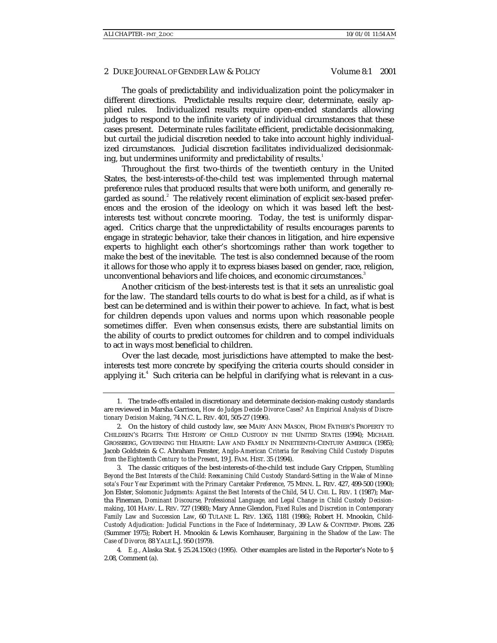The goals of predictability and individualization point the policymaker in different directions. Predictable results require clear, determinate, easily applied rules. Individualized results require open-ended standards allowing judges to respond to the infinite variety of individual circumstances that these cases present. Determinate rules facilitate efficient, predictable decisionmaking, but curtail the judicial discretion needed to take into account highly individualized circumstances. Judicial discretion facilitates individualized decisionmaking, but undermines uniformity and predictability of results.<sup>1</sup>

Throughout the first two-thirds of the twentieth century in the United States, the best-interests-of-the-child test was implemented through maternal preference rules that produced results that were both uniform, and generally regarded as sound. $^{2}$  The relatively recent elimination of explicit sex-based preferences and the erosion of the ideology on which it was based left the bestinterests test without concrete mooring. Today, the test is uniformly disparaged. Critics charge that the unpredictability of results encourages parents to engage in strategic behavior, take their chances in litigation, and hire expensive experts to highlight each other's shortcomings rather than work together to make the best of the inevitable. The test is also condemned because of the room it allows for those who apply it to express biases based on gender, race, religion, unconventional behaviors and life choices, and economic circumstances.<sup>3</sup>

Another criticism of the best-interests test is that it sets an unrealistic goal for the law. The standard tells courts to do what is best for a child, as if what is best can be determined and is within their power to achieve. In fact, what is best for children depends upon values and norms upon which reasonable people sometimes differ. Even when consensus exists, there are substantial limits on the ability of courts to predict outcomes for children and to compel individuals to act in ways most beneficial to children.

Over the last decade, most jurisdictions have attempted to make the bestinterests test more concrete by specifying the criteria courts should consider in applying it.<sup>4</sup> Such criteria can be helpful in clarifying what is relevant in a cus-

<sup>1.</sup> The trade-offs entailed in discretionary and determinate decision-making custody standards are reviewed in Marsha Garrison, *How do Judges Decide Divorce Cases? An Empirical Analysis of Discretionary Decision Making*, 74 N.C. L. REV. 401, 505-27 (1996).

<sup>2.</sup> On the history of child custody law, see MARY ANN MASON, FROM FATHER'S PROPERTY TO CHILDREN'S RIGHTS: THE HISTORY OF CHILD CUSTODY IN THE UNITED STATES (1994); MICHAEL GROSSBERG, GOVERNING THE HEARTH: LAW AND FAMILY IN NINETEENTH-CENTURY AMERICA (1985); Jacob Goldstein & C. Abraham Fenster, *Anglo-American Criteria for Resolving Child Custody Disputes from the Eighteenth Century to the Present*, 19 J. FAM. HIST. 35 (1994).

<sup>3.</sup> The classic critiques of the best-interests-of-the-child test include Gary Crippen, *Stumbling Beyond the Best Interests of the Child: Reexamining Child Custody Standard-Setting in the Wake of Minnesota's Four Year Experiment with the Primary Caretaker Preference*, 75 MINN. L. REV. 427, 499-500 (1990); Jon Elster, *Solomonic Judgments: Against the Best Interests of the Child*, 54 U. CHI. L. REV. 1 (1987); Martha Fineman, *Dominant Discourse, Professional Language, and Legal Change in Child Custody Decisionmaking*, 101 HARV. L. REV. 727 (1988); Mary Anne Glendon, *Fixed Rules and Discretion in Contemporary Family Law and Succession Law*, 60 TULANE L. REV. 1365, 1181 (1986); Robert H. Mnookin, *Child-Custody Adjudication: Judicial Functions in the Face of Indeterminacy*, 39 LAW & CONTEMP. PROBS. 226 (Summer 1975); Robert H. Mnookin & Lewis Kornhauser, *Bargaining in the Shadow of the Law: The Case of Divorce,* 88 YALE L.J. 950 (1979).

<sup>4</sup>*. E.g.*, Alaska Stat. § 25.24.150(c) (1995). Other examples are listed in the Reporter's Note to § 2.08, Comment (a).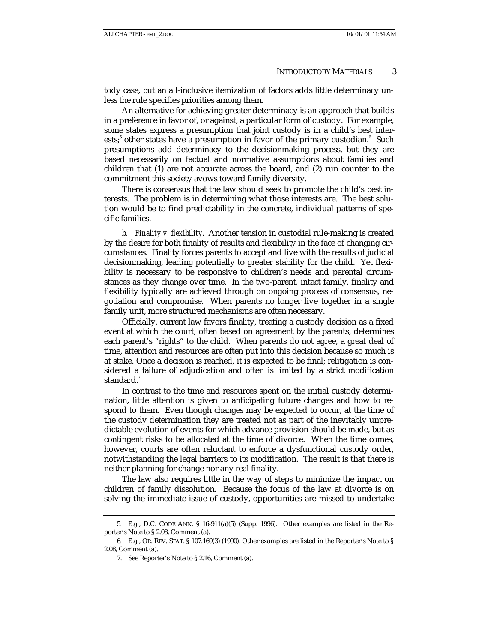tody case, but an all-inclusive itemization of factors adds little determinacy unless the rule specifies priorities among them.

An alternative for achieving greater determinacy is an approach that builds in a preference in favor of, or against, a particular form of custody. For example, some states express a presumption that joint custody is in a child's best interests;<sup>5</sup> other states have a presumption in favor of the primary custodian.<sup>6</sup> Such presumptions add determinacy to the decisionmaking process, but they are based necessarily on factual and normative assumptions about families and children that (1) are not accurate across the board, and (2) run counter to the commitment this society avows toward family diversity.

There is consensus that the law should seek to promote the child's best interests. The problem is in determining what those interests are. The best solution would be to find predictability in the concrete, individual patterns of specific families.

*b. Finality v. flexibility.* Another tension in custodial rule-making is created by the desire for both finality of results and flexibility in the face of changing circumstances. Finality forces parents to accept and live with the results of judicial decisionmaking, leading potentially to greater stability for the child. Yet flexibility is necessary to be responsive to children's needs and parental circumstances as they change over time. In the two-parent, intact family, finality and flexibility typically are achieved through on ongoing process of consensus, negotiation and compromise. When parents no longer live together in a single family unit, more structured mechanisms are often necessary.

Officially, current law favors finality, treating a custody decision as a fixed event at which the court, often based on agreement by the parents, determines each parent's "rights" to the child. When parents do not agree, a great deal of time, attention and resources are often put into this decision because so much is at stake. Once a decision is reached, it is expected to be final; relitigation is considered a failure of adjudication and often is limited by a strict modification standard.<sup>7</sup>

In contrast to the time and resources spent on the initial custody determination, little attention is given to anticipating future changes and how to respond to them. Even though changes may be expected to occur, at the time of the custody determination they are treated not as part of the inevitably unpredictable evolution of events for which advance provision should be made, but as contingent risks to be allocated at the time of divorce. When the time comes, however, courts are often reluctant to enforce a dysfunctional custody order, notwithstanding the legal barriers to its modification. The result is that there is neither planning for change nor any real finality.

The law also requires little in the way of steps to minimize the impact on children of family dissolution. Because the focus of the law at divorce is on solving the immediate issue of custody, opportunities are missed to undertake

<sup>5</sup>*. E.g.*, D.C. CODE ANN. § 16-911(a)(5) (Supp. 1996). Other examples are listed in the Reporter's Note to § 2.08, Comment (a).

<sup>6</sup>*. E.g.*, OR. REV. STAT. § 107.169(3) (1990). Other examples are listed in the Reporter's Note to § 2.08, Comment (a).

<sup>7.</sup> See Reporter's Note to § 2.16, Comment (a).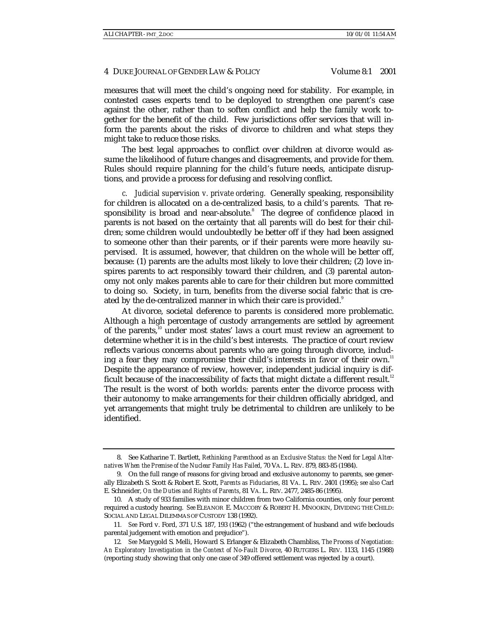measures that will meet the child's ongoing need for stability. For example, in contested cases experts tend to be deployed to strengthen one parent's case against the other, rather than to soften conflict and help the family work together for the benefit of the child. Few jurisdictions offer services that will inform the parents about the risks of divorce to children and what steps they might take to reduce those risks.

The best legal approaches to conflict over children at divorce would assume the likelihood of future changes and disagreements, and provide for them. Rules should require planning for the child's future needs, anticipate disruptions, and provide a process for defusing and resolving conflict.

*c. Judicial supervision v. private ordering.* Generally speaking, responsibility for children is allocated on a de-centralized basis, to a child's parents. That responsibility is broad and near-absolute.<sup>8</sup> The degree of confidence placed in parents is not based on the certainty that all parents will do best for their children; some children would undoubtedly be better off if they had been assigned to someone other than their parents, or if their parents were more heavily supervised. It is assumed, however, that children on the whole will be better off, because: (1) parents are the adults most likely to love their children; (2) love inspires parents to act responsibly toward their children, and (3) parental autonomy not only makes parents able to care for their children but more committed to doing so. Society, in turn, benefits from the diverse social fabric that is created by the de-centralized manner in which their care is provided.<sup>9</sup>

At divorce, societal deference to parents is considered more problematic. Although a high percentage of custody arrangements are settled by agreement of the parents,<sup>10</sup> under most states' laws a court must review an agreement to determine whether it is in the child's best interests. The practice of court review reflects various concerns about parents who are going through divorce, including a fear they may compromise their child's interests in favor of their own. $11$ Despite the appearance of review, however, independent judicial inquiry is difficult because of the inaccessibility of facts that might dictate a different result.<sup>12</sup> The result is the worst of both worlds: parents enter the divorce process with their autonomy to make arrangements for their children officially abridged, and yet arrangements that might truly be detrimental to children are unlikely to be identified.

<sup>8.</sup> See Katharine T. Bartlett, *Rethinking Parenthood as an Exclusive Status: the Need for Legal Alternatives When the Premise of the Nuclear Family Has Failed*, 70 VA. L. REV. 879, 883-85 (1984).

<sup>9.</sup> On the full range of reasons for giving broad and exclusive autonomy to parents, see generally Elizabeth S. Scott & Robert E. Scott, *Parents as Fiduciaries*, 81 VA. L. REV. 2401 (1995); *see also* Carl E. Schneider, *On the Duties and Rights of Parents*, 81 VA. L. REV. 2477, 2485-86 (1995).

<sup>10.</sup> A study of 933 families with minor children from two California counties, only four percent required a custody hearing. *See* ELEANOR E. MACCOBY & ROBERT H. MNOOKIN, DIVIDING THE CHILD: SOCIAL AND LEGAL DILEMMAS OF CUSTODY 138 (1992).

<sup>11</sup>*. See* Ford v. Ford, 371 U.S. 187, 193 (1962) ("the estrangement of husband and wife beclouds parental judgement with emotion and prejudice").

<sup>12</sup>*. See* Marygold S. Melli, Howard S. Erlanger & Elizabeth Chambliss, *The Process of Negotiation: An Exploratory Investigation in the Context of No-Fault Divorce*, 40 RUTGERS L. REV. 1133, 1145 (1988) (reporting study showing that only one case of 349 offered settlement was rejected by a court).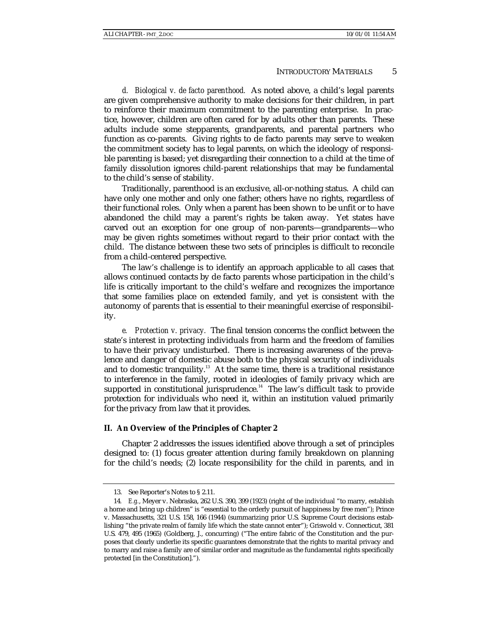*d. Biological v. de facto parenthood.* As noted above, a child's legal parents are given comprehensive authority to make decisions for their children, in part to reinforce their maximum commitment to the parenting enterprise. In practice, however, children are often cared for by adults other than parents. These adults include some stepparents, grandparents, and parental partners who function as co-parents. Giving rights to de facto parents may serve to weaken the commitment society has to legal parents, on which the ideology of responsible parenting is based; yet disregarding their connection to a child at the time of family dissolution ignores child-parent relationships that may be fundamental to the child's sense of stability.

Traditionally, parenthood is an exclusive, all-or-nothing status. A child can have only one mother and only one father; others have no rights, regardless of their functional roles. Only when a parent has been shown to be unfit or to have abandoned the child may a parent's rights be taken away. Yet states have carved out an exception for one group of non-parents—grandparents—who may be given rights sometimes without regard to their prior contact with the child. The distance between these two sets of principles is difficult to reconcile from a child-centered perspective.

The law's challenge is to identify an approach applicable to all cases that allows continued contacts by de facto parents whose participation in the child's life is critically important to the child's welfare and recognizes the importance that some families place on extended family, and yet is consistent with the autonomy of parents that is essential to their meaningful exercise of responsibility.

*e. Protection v. privacy.* The final tension concerns the conflict between the state's interest in protecting individuals from harm and the freedom of families to have their privacy undisturbed. There is increasing awareness of the prevalence and danger of domestic abuse both to the physical security of individuals and to domestic tranquility.<sup>13</sup> At the same time, there is a traditional resistance to interference in the family, rooted in ideologies of family privacy which are supported in constitutional jurisprudence.<sup>14</sup> The law's difficult task to provide protection for individuals who need it, within an institution valued primarily for the privacy from law that it provides.

#### **II. An Overview of the Principles of Chapter 2**

Chapter 2 addresses the issues identified above through a set of principles designed to: (1) focus greater attention during family breakdown on planning for the child's needs; (2) locate responsibility for the child in parents, and in

<sup>13.</sup> See Reporter's Notes to § 2.11.

<sup>14</sup>*. E.g.*, Meyer v. Nebraska, 262 U.S. 390, 399 (1923) (right of the individual "to marry, establish a home and bring up children" is "essential to the orderly pursuit of happiness by free men"); Prince v. Massachusetts, 321 U.S. 158, 166 (1944) (summarizing prior U.S. Supreme Court decisions establishing "the private realm of family life which the state cannot enter"); Griswold v. Connecticut, 381 U.S. 479, 495 (1965) (Goldberg, J., concurring) ("The entire fabric of the Constitution and the purposes that clearly underlie its specific guarantees demonstrate that the rights to marital privacy and to marry and raise a family are of similar order and magnitude as the fundamental rights specifically protected [in the Constitution].").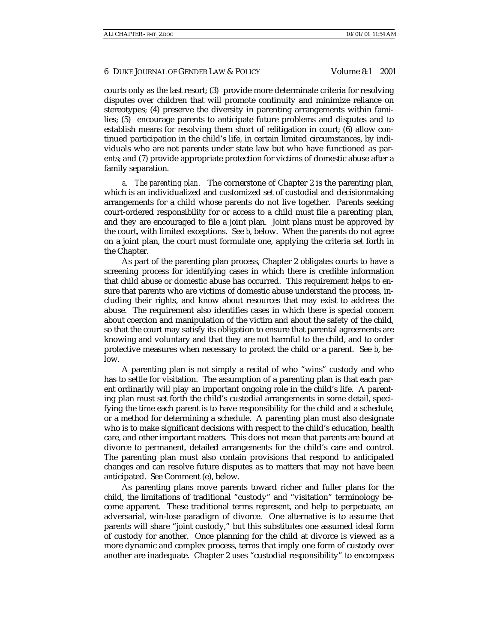#### 6 DUKE JOURNAL OF GENDER LAW & POLICY Volume 8:1 2001

courts only as the last resort; (3) provide more determinate criteria for resolving disputes over children that will promote continuity and minimize reliance on stereotypes; (4) preserve the diversity in parenting arrangements within families; (5) encourage parents to anticipate future problems and disputes and to establish means for resolving them short of relitigation in court; (6) allow continued participation in the child's life, in certain limited circumstances, by individuals who are not parents under state law but who have functioned as parents; and (7) provide appropriate protection for victims of domestic abuse after a family separation.

*a. The parenting plan.* The cornerstone of Chapter 2 is the parenting plan, which is an individualized and customized set of custodial and decisionmaking arrangements for a child whose parents do not live together. Parents seeking court-ordered responsibility for or access to a child must file a parenting plan, and they are encouraged to file a joint plan. Joint plans must be approved by the court, with limited exceptions. See *b*, below. When the parents do not agree on a joint plan, the court must formulate one, applying the criteria set forth in the Chapter.

As part of the parenting plan process, Chapter 2 obligates courts to have a screening process for identifying cases in which there is credible information that child abuse or domestic abuse has occurred. This requirement helps to ensure that parents who are victims of domestic abuse understand the process, including their rights, and know about resources that may exist to address the abuse. The requirement also identifies cases in which there is special concern about coercion and manipulation of the victim and about the safety of the child, so that the court may satisfy its obligation to ensure that parental agreements are knowing and voluntary and that they are not harmful to the child, and to order protective measures when necessary to protect the child or a parent. See *b*, below.

A parenting plan is not simply a recital of who "wins" custody and who has to settle for visitation. The assumption of a parenting plan is that each parent ordinarily will play an important ongoing role in the child's life. A parenting plan must set forth the child's custodial arrangements in some detail, specifying the time each parent is to have responsibility for the child and a schedule, or a method for determining a schedule. A parenting plan must also designate who is to make significant decisions with respect to the child's education, health care, and other important matters. This does not mean that parents are bound at divorce to permanent, detailed arrangements for the child's care and control. The parenting plan must also contain provisions that respond to anticipated changes and can resolve future disputes as to matters that may not have been anticipated. See Comment (e), below.

As parenting plans move parents toward richer and fuller plans for the child, the limitations of traditional "custody" and "visitation" terminology become apparent. These traditional terms represent, and help to perpetuate, an adversarial, win-lose paradigm of divorce. One alternative is to assume that parents will share "joint custody," but this substitutes one assumed ideal form of custody for another. Once planning for the child at divorce is viewed as a more dynamic and complex process, terms that imply one form of custody over another are inadequate. Chapter 2 uses "custodial responsibility" to encompass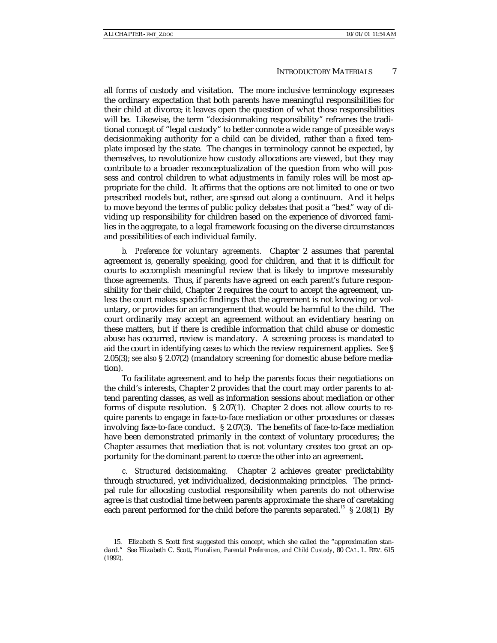all forms of custody and visitation. The more inclusive terminology expresses the ordinary expectation that both parents have meaningful responsibilities for their child at divorce; it leaves open the question of what those responsibilities will be. Likewise, the term "decisionmaking responsibility" reframes the traditional concept of "legal custody" to better connote a wide range of possible ways decisionmaking authority for a child can be divided, rather than a fixed template imposed by the state. The changes in terminology cannot be expected, by themselves, to revolutionize how custody allocations are viewed, but they may contribute to a broader reconceptualization of the question from who will possess and control children to what adjustments in family roles will be most appropriate for the child. It affirms that the options are not limited to one or two prescribed models but, rather, are spread out along a continuum. And it helps to move beyond the terms of public policy debates that posit a "best" way of dividing up responsibility for children based on the experience of divorced families in the aggregate, to a legal framework focusing on the diverse circumstances and possibilities of each individual family.

*b. Preference for voluntary agreements.* Chapter 2 assumes that parental agreement is, generally speaking, good for children, and that it is difficult for courts to accomplish meaningful review that is likely to improve measurably those agreements. Thus, if parents have agreed on each parent's future responsibility for their child, Chapter 2 requires the court to accept the agreement, unless the court makes specific findings that the agreement is not knowing or voluntary, or provides for an arrangement that would be harmful to the child. The court ordinarily may accept an agreement without an evidentiary hearing on these matters, but if there is credible information that child abuse or domestic abuse has occurred, review is mandatory. A screening process is mandated to aid the court in identifying cases to which the review requirement applies. *See* § 2.05(3); *see also* § 2.07(2) (mandatory screening for domestic abuse before mediation).

To facilitate agreement and to help the parents focus their negotiations on the child's interests, Chapter 2 provides that the court may order parents to attend parenting classes, as well as information sessions about mediation or other forms of dispute resolution. § 2.07(1). Chapter 2 does not allow courts to require parents to engage in face-to-face mediation or other procedures or classes involving face-to-face conduct. § 2.07(3). The benefits of face-to-face mediation have been demonstrated primarily in the context of voluntary procedures; the Chapter assumes that mediation that is not voluntary creates too great an opportunity for the dominant parent to coerce the other into an agreement.

*c. Structured decisionmaking.* Chapter 2 achieves greater predictability through structured, yet individualized, decisionmaking principles. The principal rule for allocating custodial responsibility when parents do not otherwise agree is that custodial time between parents approximate the share of caretaking each parent performed for the child before the parents separated.<sup>15</sup> § 2.08(1) By

<sup>15.</sup> Elizabeth S. Scott first suggested this concept, which she called the "approximation standard." See Elizabeth C. Scott, *Pluralism, Parental Preferences, and Child Custody*, 80 CAL. L. REV. 615 (1992).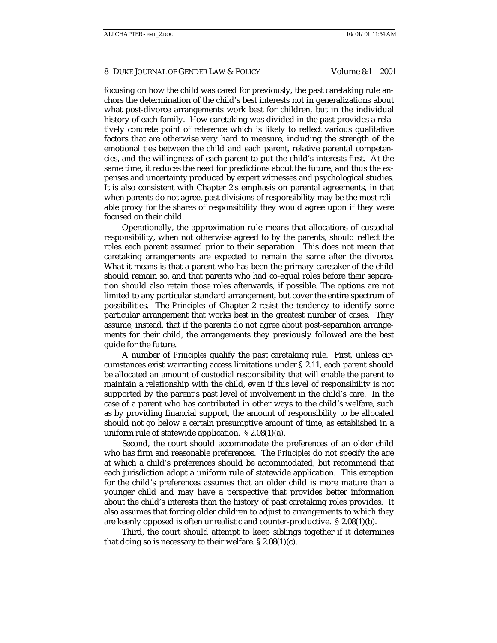focusing on how the child was cared for previously, the past caretaking rule anchors the determination of the child's best interests not in generalizations about what post-divorce arrangements work best for children, but in the individual history of each family. How caretaking was divided in the past provides a relatively concrete point of reference which is likely to reflect various qualitative factors that are otherwise very hard to measure, including the strength of the emotional ties between the child and each parent, relative parental competencies, and the willingness of each parent to put the child's interests first. At the same time, it reduces the need for predictions about the future, and thus the expenses and uncertainty produced by expert witnesses and psychological studies. It is also consistent with Chapter 2's emphasis on parental agreements, in that when parents do not agree, past divisions of responsibility may be the most reliable proxy for the shares of responsibility they would agree upon if they were focused on their child.

Operationally, the approximation rule means that allocations of custodial responsibility, when not otherwise agreed to by the parents, should reflect the roles each parent assumed prior to their separation. This does not mean that caretaking arrangements are expected to remain the same after the divorce. What it means is that a parent who has been the primary caretaker of the child should remain so, and that parents who had co-equal roles before their separation should also retain those roles afterwards, if possible. The options are not limited to any particular standard arrangement, but cover the entire spectrum of possibilities. The *Principles* of Chapter 2 resist the tendency to identify some particular arrangement that works best in the greatest number of cases. They assume, instead, that if the parents do not agree about post-separation arrangements for their child, the arrangements they previously followed are the best guide for the future.

A number of *Principles* qualify the past caretaking rule. First, unless circumstances exist warranting access limitations under § 2.11, each parent should be allocated an amount of custodial responsibility that will enable the parent to maintain a relationship with the child, even if this level of responsibility is not supported by the parent's past level of involvement in the child's care. In the case of a parent who has contributed in other ways to the child's welfare, such as by providing financial support, the amount of responsibility to be allocated should not go below a certain presumptive amount of time, as established in a uniform rule of statewide application. § 2.08(1)(a).

Second, the court should accommodate the preferences of an older child who has firm and reasonable preferences. The *Principles* do not specify the age at which a child's preferences should be accommodated, but recommend that each jurisdiction adopt a uniform rule of statewide application. This exception for the child's preferences assumes that an older child is more mature than a younger child and may have a perspective that provides better information about the child's interests than the history of past caretaking roles provides. It also assumes that forcing older children to adjust to arrangements to which they are keenly opposed is often unrealistic and counter-productive. § 2.08(1)(b).

Third, the court should attempt to keep siblings together if it determines that doing so is necessary to their welfare.  $\S 2.08(1)(c)$ .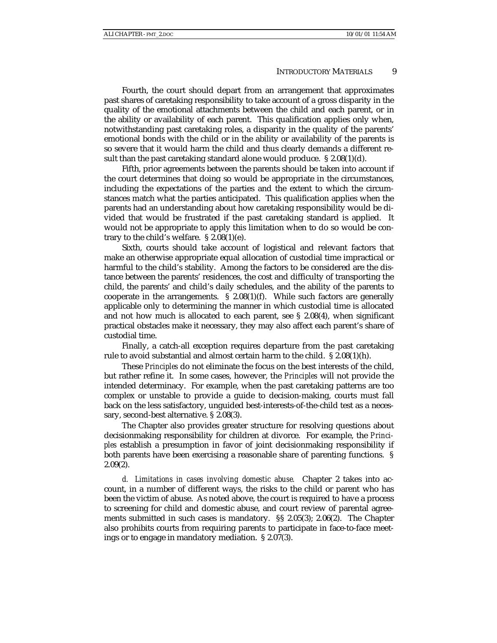Fourth, the court should depart from an arrangement that approximates past shares of caretaking responsibility to take account of a gross disparity in the quality of the emotional attachments between the child and each parent, or in the ability or availability of each parent. This qualification applies only when, notwithstanding past caretaking roles, a disparity in the quality of the parents' emotional bonds with the child or in the ability or availability of the parents is so severe that it would harm the child and thus clearly demands a different result than the past caretaking standard alone would produce. § 2.08(1)(d).

Fifth, prior agreements between the parents should be taken into account if the court determines that doing so would be appropriate in the circumstances, including the expectations of the parties and the extent to which the circumstances match what the parties anticipated. This qualification applies when the parents had an understanding about how caretaking responsibility would be divided that would be frustrated if the past caretaking standard is applied. It would not be appropriate to apply this limitation when to do so would be contrary to the child's welfare.  $\S 2.08(1)(e)$ .

Sixth, courts should take account of logistical and relevant factors that make an otherwise appropriate equal allocation of custodial time impractical or harmful to the child's stability. Among the factors to be considered are the distance between the parents' residences, the cost and difficulty of transporting the child, the parents' and child's daily schedules, and the ability of the parents to cooperate in the arrangements.  $\S$  2.08(1)(f). While such factors are generally applicable only to determining the manner in which custodial time is allocated and not how much is allocated to each parent, see  $\S$  2.08(4), when significant practical obstacles make it necessary, they may also affect each parent's share of custodial time.

Finally, a catch-all exception requires departure from the past caretaking rule to avoid substantial and almost certain harm to the child. § 2.08(1)(h).

These *Principles* do not eliminate the focus on the best interests of the child, but rather refine it. In some cases, however, the *Principles* will not provide the intended determinacy. For example, when the past caretaking patterns are too complex or unstable to provide a guide to decision-making, courts must fall back on the less satisfactory, unguided best-interests-of-the-child test as a necessary, second-best alternative. § 2.08(3).

The Chapter also provides greater structure for resolving questions about decisionmaking responsibility for children at divorce. For example, the *Principles* establish a presumption in favor of joint decisionmaking responsibility if both parents have been exercising a reasonable share of parenting functions. § 2.09(2).

*d. Limitations in cases involving domestic abuse.* Chapter 2 takes into account, in a number of different ways, the risks to the child or parent who has been the victim of abuse. As noted above, the court is required to have a process to screening for child and domestic abuse, and court review of parental agreements submitted in such cases is mandatory. §§ 2.05(3); 2.06(2). The Chapter also prohibits courts from requiring parents to participate in face-to-face meetings or to engage in mandatory mediation. § 2.07(3).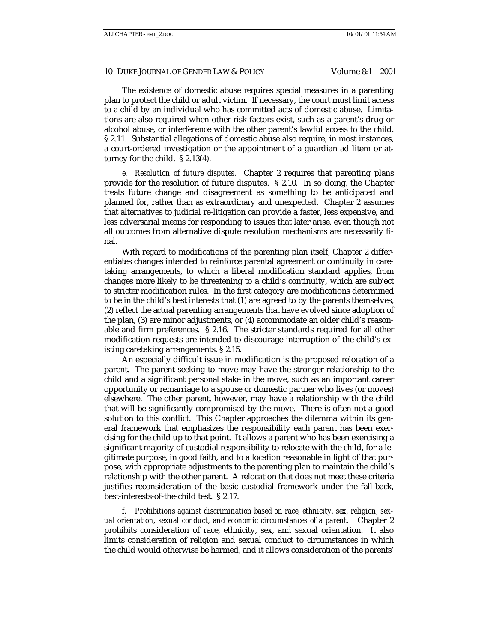#### 10 DUKE JOURNAL OF GENDER LAW & POLICY Volume 8:1 2001

The existence of domestic abuse requires special measures in a parenting plan to protect the child or adult victim. If necessary, the court must limit access to a child by an individual who has committed acts of domestic abuse. Limitations are also required when other risk factors exist, such as a parent's drug or alcohol abuse, or interference with the other parent's lawful access to the child. § 2.11. Substantial allegations of domestic abuse also require, in most instances, a court-ordered investigation or the appointment of a guardian ad litem or attorney for the child. § 2.13(4).

*e. Resolution of future disputes.* Chapter 2 requires that parenting plans provide for the resolution of future disputes. § 2.10. In so doing, the Chapter treats future change and disagreement as something to be anticipated and planned for, rather than as extraordinary and unexpected. Chapter 2 assumes that alternatives to judicial re-litigation can provide a faster, less expensive, and less adversarial means for responding to issues that later arise, even though not all outcomes from alternative dispute resolution mechanisms are necessarily final.

With regard to modifications of the parenting plan itself, Chapter 2 differentiates changes intended to reinforce parental agreement or continuity in caretaking arrangements, to which a liberal modification standard applies, from changes more likely to be threatening to a child's continuity, which are subject to stricter modification rules. In the first category are modifications determined to be in the child's best interests that (1) are agreed to by the parents themselves, (2) reflect the actual parenting arrangements that have evolved since adoption of the plan, (3) are minor adjustments, or (4) accommodate an older child's reasonable and firm preferences. § 2.16. The stricter standards required for all other modification requests are intended to discourage interruption of the child's existing caretaking arrangements. § 2.15.

An especially difficult issue in modification is the proposed relocation of a parent. The parent seeking to move may have the stronger relationship to the child and a significant personal stake in the move, such as an important career opportunity or remarriage to a spouse or domestic partner who lives (or moves) elsewhere. The other parent, however, may have a relationship with the child that will be significantly compromised by the move. There is often not a good solution to this conflict. This Chapter approaches the dilemma within its general framework that emphasizes the responsibility each parent has been exercising for the child up to that point. It allows a parent who has been exercising a significant majority of custodial responsibility to relocate with the child, for a legitimate purpose, in good faith, and to a location reasonable in light of that purpose, with appropriate adjustments to the parenting plan to maintain the child's relationship with the other parent. A relocation that does not meet these criteria justifies reconsideration of the basic custodial framework under the fall-back, best-interests-of-the-child test. § 2.17.

*f. Prohibitions against discrimination based on race, ethnicity, sex, religion, sexual orientation, sexual conduct, and economic circumstances of a parent.* Chapter 2 prohibits consideration of race, ethnicity, sex, and sexual orientation. It also limits consideration of religion and sexual conduct to circumstances in which the child would otherwise be harmed, and it allows consideration of the parents'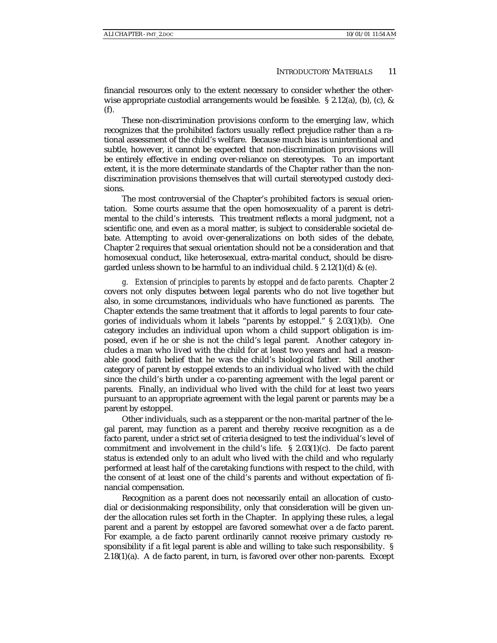financial resources only to the extent necessary to consider whether the otherwise appropriate custodial arrangements would be feasible.  $\S 2.12(a)$ , (b), (c), & (f).

These non-discrimination provisions conform to the emerging law, which recognizes that the prohibited factors usually reflect prejudice rather than a rational assessment of the child's welfare. Because much bias is unintentional and subtle, however, it cannot be expected that non-discrimination provisions will be entirely effective in ending over-reliance on stereotypes. To an important extent, it is the more determinate standards of the Chapter rather than the nondiscrimination provisions themselves that will curtail stereotyped custody decisions.

The most controversial of the Chapter's prohibited factors is sexual orientation. Some courts assume that the open homosexuality of a parent is detrimental to the child's interests. This treatment reflects a moral judgment, not a scientific one, and even as a moral matter, is subject to considerable societal debate. Attempting to avoid over-generalizations on both sides of the debate, Chapter 2 requires that sexual orientation should not be a consideration and that homosexual conduct, like heterosexual, extra-marital conduct, should be disregarded unless shown to be harmful to an individual child.  $\S 2.12(1)(d) \& (e)$ .

*g. Extension of principles to parents by estoppel and de facto parents.* Chapter 2 covers not only disputes between legal parents who do not live together but also, in some circumstances, individuals who have functioned as parents. The Chapter extends the same treatment that it affords to legal parents to four categories of individuals whom it labels "parents by estoppel." § 2.03(1)(b). One category includes an individual upon whom a child support obligation is imposed, even if he or she is not the child's legal parent. Another category includes a man who lived with the child for at least two years and had a reasonable good faith belief that he was the child's biological father. Still another category of parent by estoppel extends to an individual who lived with the child since the child's birth under a co-parenting agreement with the legal parent or parents. Finally, an individual who lived with the child for at least two years pursuant to an appropriate agreement with the legal parent or parents may be a parent by estoppel.

Other individuals, such as a stepparent or the non-marital partner of the legal parent, may function as a parent and thereby receive recognition as a de facto parent, under a strict set of criteria designed to test the individual's level of commitment and involvement in the child's life. § 2.03(1)(c). De facto parent status is extended only to an adult who lived with the child and who regularly performed at least half of the caretaking functions with respect to the child, with the consent of at least one of the child's parents and without expectation of financial compensation.

Recognition as a parent does not necessarily entail an allocation of custodial or decisionmaking responsibility, only that consideration will be given under the allocation rules set forth in the Chapter. In applying these rules, a legal parent and a parent by estoppel are favored somewhat over a de facto parent. For example, a de facto parent ordinarily cannot receive primary custody responsibility if a fit legal parent is able and willing to take such responsibility. §  $2.18(1)(a)$ . A de facto parent, in turn, is favored over other non-parents. Except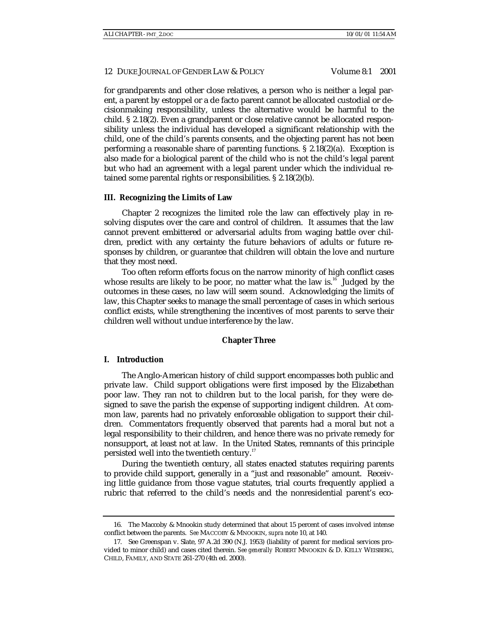for grandparents and other close relatives, a person who is neither a legal parent, a parent by estoppel or a de facto parent cannot be allocated custodial or decisionmaking responsibility, unless the alternative would be harmful to the child. § 2.18(2). Even a grandparent or close relative cannot be allocated responsibility unless the individual has developed a significant relationship with the child, one of the child's parents consents, and the objecting parent has not been performing a reasonable share of parenting functions. § 2.18(2)(a). Exception is also made for a biological parent of the child who is not the child's legal parent but who had an agreement with a legal parent under which the individual retained some parental rights or responsibilities. § 2.18(2)(b).

## **III. Recognizing the Limits of Law**

Chapter 2 recognizes the limited role the law can effectively play in resolving disputes over the care and control of children. It assumes that the law cannot prevent embittered or adversarial adults from waging battle over children, predict with any certainty the future behaviors of adults or future responses by children, or guarantee that children will obtain the love and nurture that they most need.

Too often reform efforts focus on the narrow minority of high conflict cases whose results are likely to be poor, no matter what the law is.<sup>16</sup> Judged by the outcomes in these cases, no law will seem sound. Acknowledging the limits of law, this Chapter seeks to manage the small percentage of cases in which serious conflict exists, while strengthening the incentives of most parents to serve their children well without undue interference by the law.

## **Chapter Three**

#### **I. Introduction**

The Anglo-American history of child support encompasses both public and private law. Child support obligations were first imposed by the Elizabethan poor law. They ran not to children but to the local parish, for they were designed to save the parish the expense of supporting indigent children. At common law, parents had no privately enforceable obligation to support their children. Commentators frequently observed that parents had a moral but not a legal responsibility to their children, and hence there was no private remedy for nonsupport, at least not at law. In the United States, remnants of this principle persisted well into the twentieth century.<sup>17</sup>

During the twentieth century, all states enacted statutes requiring parents to provide child support, generally in a "just and reasonable" amount. Receiving little guidance from those vague statutes, trial courts frequently applied a rubric that referred to the child's needs and the nonresidential parent's eco-

<sup>16.</sup> The Maccoby & Mnookin study determined that about 15 percent of cases involved intense conflict between the parents. *See* MACCOBY & MNOOKIN, *supra* note 10, at 140.

<sup>17.</sup> See Greenspan v. Slate, 97 A.2d 390 (N.J. 1953) (liability of parent for medical services provided to minor child) and cases cited therein. *See generally* ROBERT MNOOKIN & D. KELLY WEISBERG, CHILD, FAMILY, AND STATE 261-270 (4th ed. 2000).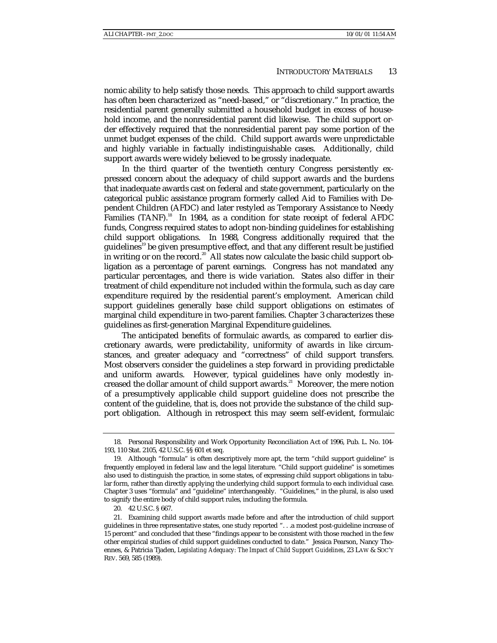nomic ability to help satisfy those needs. This approach to child support awards has often been characterized as "need-based," or "discretionary." In practice, the residential parent generally submitted a household budget in excess of household income, and the nonresidential parent did likewise. The child support order effectively required that the nonresidential parent pay some portion of the unmet budget expenses of the child. Child support awards were unpredictable and highly variable in factually indistinguishable cases. Additionally, child support awards were widely believed to be grossly inadequate.

In the third quarter of the twentieth century Congress persistently expressed concern about the adequacy of child support awards and the burdens that inadequate awards cast on federal and state government, particularly on the categorical public assistance program formerly called Aid to Families with Dependent Children (AFDC) and later restyled as Temporary Assistance to Needy Families  $(TANF).$ <sup>18</sup> In 1984, as a condition for state receipt of federal AFDC funds, Congress required states to adopt non-binding guidelines for establishing child support obligations. In 1988, Congress additionally required that the guidelines<sup>19</sup> be given presumptive effect, and that any different result be justified in writing or on the record.<sup>20</sup> All states now calculate the basic child support obligation as a percentage of parent earnings. Congress has not mandated any particular percentages, and there is wide variation. States also differ in their treatment of child expenditure not included within the formula, such as day care expenditure required by the residential parent's employment. American child support guidelines generally base child support obligations on estimates of marginal child expenditure in two-parent families. Chapter 3 characterizes these guidelines as first-generation Marginal Expenditure guidelines.

The anticipated benefits of formulaic awards, as compared to earlier discretionary awards, were predictability, uniformity of awards in like circumstances, and greater adequacy and "correctness" of child support transfers. Most observers consider the guidelines a step forward in providing predictable and uniform awards. However, typical guidelines have only modestly increased the dollar amount of child support awards.<sup>21</sup> Moreover, the mere notion of a presumptively applicable child support guideline does not prescribe the content of the guideline, that is, does not provide the substance of the child support obligation. Although in retrospect this may seem self-evident, formulaic

<sup>18.</sup> Personal Responsibility and Work Opportunity Reconciliation Act of 1996, Pub. L. No. 104- 193, 110 Stat. 2105, 42 U.S.C. §§ 601 et seq.

<sup>19.</sup> Although "formula" is often descriptively more apt, the term "child support guideline" is frequently employed in federal law and the legal literature. "Child support guideline" is sometimes also used to distinguish the practice, in some states, of expressing child support obligations in tabular form, rather than directly applying the underlying child support formula to each individual case. Chapter 3 uses "formula" and "guideline" interchangeably. "Guidelines," in the plural, is also used to signify the entire body of child support rules, including the formula.

<sup>20. 42</sup> U.S.C. § 667.

<sup>21.</sup> Examining child support awards made before and after the introduction of child support guidelines in three representative states, one study reported ". . .a modest post-guideline increase of 15 percent" and concluded that these "findings appear to be consistent with those reached in the few other empirical studies of child support guidelines conducted to date." Jessica Pearson, Nancy Thoennes, & Patricia Tjaden, *Legislating Adequacy: The Impact of Child Support Guidelines*, 23 LAW & SOC'Y REV. 569, 585 (1989).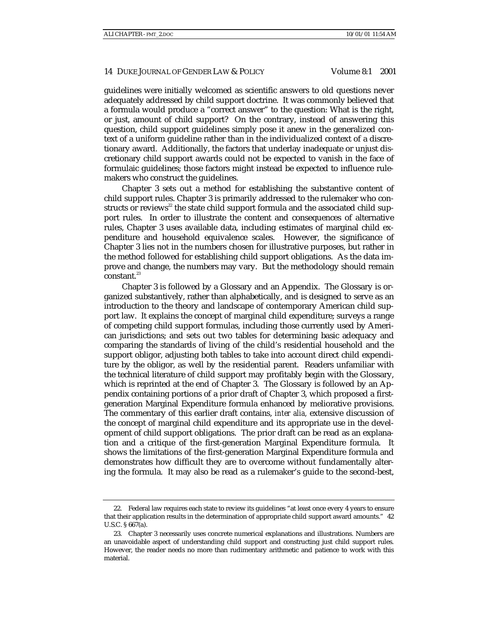guidelines were initially welcomed as scientific answers to old questions never adequately addressed by child support doctrine. It was commonly believed that a formula would produce a "correct answer" to the question: What is the right, or just, amount of child support? On the contrary, instead of answering this question, child support guidelines simply pose it anew in the generalized context of a uniform guideline rather than in the individualized context of a discretionary award. Additionally, the factors that underlay inadequate or unjust discretionary child support awards could not be expected to vanish in the face of formulaic guidelines; those factors might instead be expected to influence rulemakers who construct the guidelines.

Chapter 3 sets out a method for establishing the substantive content of child support rules. Chapter 3 is primarily addressed to the rulemaker who constructs or reviews<sup>22</sup> the state child support formula and the associated child support rules. In order to illustrate the content and consequences of alternative rules, Chapter 3 uses available data, including estimates of marginal child expenditure and household equivalence scales. However, the significance of Chapter 3 lies not in the numbers chosen for illustrative purposes, but rather in the method followed for establishing child support obligations. As the data improve and change, the numbers may vary. But the methodology should remain constant.<sup>23</sup>

Chapter 3 is followed by a Glossary and an Appendix. The Glossary is organized substantively, rather than alphabetically, and is designed to serve as an introduction to the theory and landscape of contemporary American child support law. It explains the concept of marginal child expenditure; surveys a range of competing child support formulas, including those currently used by American jurisdictions; and sets out two tables for determining basic adequacy and comparing the standards of living of the child's residential household and the support obligor, adjusting both tables to take into account direct child expenditure by the obligor, as well by the residential parent. Readers unfamiliar with the technical literature of child support may profitably begin with the Glossary, which is reprinted at the end of Chapter 3. The Glossary is followed by an Appendix containing portions of a prior draft of Chapter 3, which proposed a firstgeneration Marginal Expenditure formula enhanced by meliorative provisions. The commentary of this earlier draft contains, *inter alia,* extensive discussion of the concept of marginal child expenditure and its appropriate use in the development of child support obligations. The prior draft can be read as an explanation and a critique of the first-generation Marginal Expenditure formula. It shows the limitations of the first-generation Marginal Expenditure formula and demonstrates how difficult they are to overcome without fundamentally altering the formula. It may also be read as a rulemaker's guide to the second-best,

<sup>22.</sup> Federal law requires each state to review its guidelines "at least once every 4 years to ensure that their application results in the determination of appropriate child support award amounts." 42 U.S.C. § 667(a).

<sup>23.</sup> Chapter 3 necessarily uses concrete numerical explanations and illustrations. Numbers are an unavoidable aspect of understanding child support and constructing just child support rules. However, the reader needs no more than rudimentary arithmetic and patience to work with this material.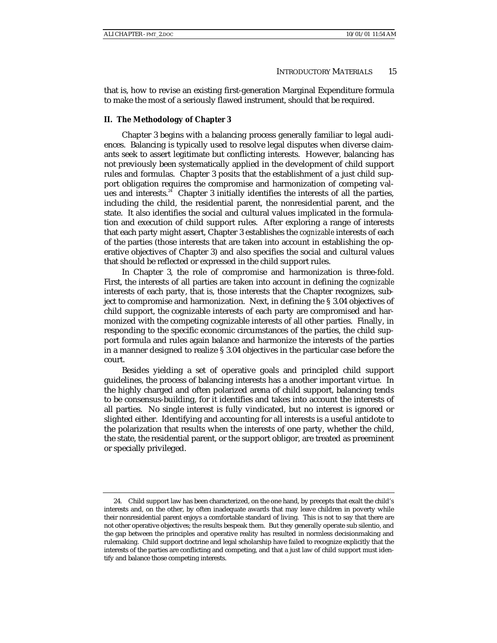that is, how to revise an existing first-generation Marginal Expenditure formula to make the most of a seriously flawed instrument, should that be required.

#### **II. The Methodology of Chapter 3**

Chapter 3 begins with a balancing process generally familiar to legal audiences. Balancing is typically used to resolve legal disputes when diverse claimants seek to assert legitimate but conflicting interests. However, balancing has not previously been systematically applied in the development of child support rules and formulas. Chapter 3 posits that the establishment of a just child support obligation requires the compromise and harmonization of competing values and interests. $^{24}$  Chapter 3 initially identifies the interests of all the parties, including the child, the residential parent, the nonresidential parent, and the state. It also identifies the social and cultural values implicated in the formulation and execution of child support rules. After exploring a range of interests that each party might assert, Chapter 3 establishes the *cognizable* interests of each of the parties (those interests that are taken into account in establishing the operative objectives of Chapter 3) and also specifies the social and cultural values that should be reflected or expressed in the child support rules.

In Chapter 3, the role of compromise and harmonization is three-fold. First, the interests of all parties are taken into account in defining the *cognizable* interests of each party, that is, those interests that the Chapter recognizes, subject to compromise and harmonization. Next, in defining the § 3.04 objectives of child support, the cognizable interests of each party are compromised and harmonized with the competing cognizable interests of all other parties. Finally, in responding to the specific economic circumstances of the parties, the child support formula and rules again balance and harmonize the interests of the parties in a manner designed to realize § 3.04 objectives in the particular case before the court.

Besides yielding a set of operative goals and principled child support guidelines, the process of balancing interests has a another important virtue. In the highly charged and often polarized arena of child support, balancing tends to be consensus-building, for it identifies and takes into account the interests of all parties. No single interest is fully vindicated, but no interest is ignored or slighted either. Identifying and accounting for all interests is a useful antidote to the polarization that results when the interests of one party, whether the child, the state, the residential parent, or the support obligor, are treated as preeminent or specially privileged.

<sup>24.</sup> Child support law has been characterized, on the one hand, by precepts that exalt the child's interests and, on the other, by often inadequate awards that may leave children in poverty while their nonresidential parent enjoys a comfortable standard of living. This is not to say that there are not other operative objectives; the results bespeak them. But they generally operate sub silentio, and the gap between the principles and operative reality has resulted in normless decisionmaking and rulemaking. Child support doctrine and legal scholarship have failed to recognize explicitly that the interests of the parties are conflicting and competing, and that a just law of child support must identify and balance those competing interests.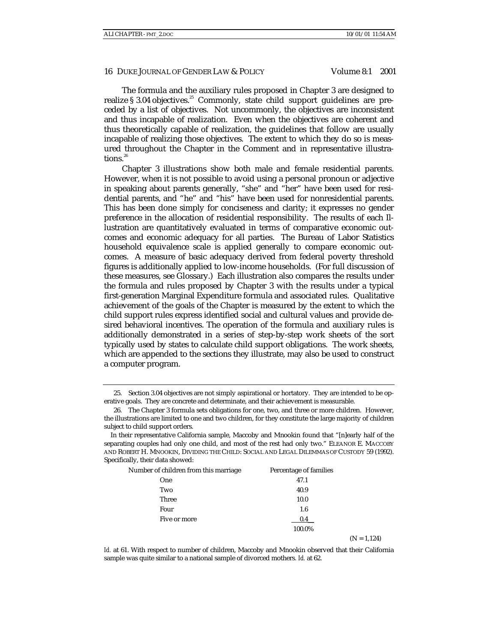The formula and the auxiliary rules proposed in Chapter 3 are designed to realize § 3.04 objectives.<sup>25</sup> Commonly, state child support guidelines are preceded by a list of objectives. Not uncommonly, the objectives are inconsistent and thus incapable of realization. Even when the objectives are coherent and thus theoretically capable of realization, the guidelines that follow are usually incapable of realizing those objectives. The extent to which they do so is measured throughout the Chapter in the Comment and in representative illustrations. $26$ 

Chapter 3 illustrations show both male and female residential parents. However, when it is not possible to avoid using a personal pronoun or adjective in speaking about parents generally, "she" and "her" have been used for residential parents, and "he" and "his" have been used for nonresidential parents. This has been done simply for conciseness and clarity; it expresses no gender preference in the allocation of residential responsibility. The results of each Illustration are quantitatively evaluated in terms of comparative economic outcomes and economic adequacy for all parties. The Bureau of Labor Statistics household equivalence scale is applied generally to compare economic outcomes. A measure of basic adequacy derived from federal poverty threshold figures is additionally applied to low-income households. (For full discussion of these measures, see Glossary.) Each illustration also compares the results under the formula and rules proposed by Chapter 3 with the results under a typical first-generation Marginal Expenditure formula and associated rules. Qualitative achievement of the goals of the Chapter is measured by the extent to which the child support rules express identified social and cultural values and provide desired behavioral incentives. The operation of the formula and auxiliary rules is additionally demonstrated in a series of step-by-step work sheets of the sort typically used by states to calculate child support obligations. The work sheets, which are appended to the sections they illustrate, may also be used to construct a computer program.

In their representative California sample, Maccoby and Mnookin found that "[n]early half of the separating couples had only one child, and most of the rest had only two." ELEANOR E. MACCOBY AND ROBERT H. MNOOKIN, DIVIDING THE CHILD: SOCIAL AND LEGAL DILEMMAS OF CUSTODY 59 (1992). Specifically, their data showed:

| Number of children from this marriage | Percentage of families |                |
|---------------------------------------|------------------------|----------------|
| One                                   | 47.1                   |                |
| Two                                   | 40.9                   |                |
| Three                                 | 10.0                   |                |
| Four                                  | 1.6                    |                |
| Five or more                          | 0.4                    |                |
|                                       | 100.0%                 |                |
|                                       |                        | $(N = 1, 124)$ |

*Id.* at 61. With respect to number of children, Maccoby and Mnookin observed that their California sample was quite similar to a national sample of divorced mothers*. Id.* at 62.

<sup>25.</sup> Section 3.04 objectives are not simply aspirational or hortatory. They are intended to be operative goals. They are concrete and determinate, and their achievement is measurable.

<sup>26.</sup> The Chapter 3 formula sets obligations for one, two, and three or more children. However, the illustrations are limited to one and two children, for they constitute the large majority of children subject to child support orders.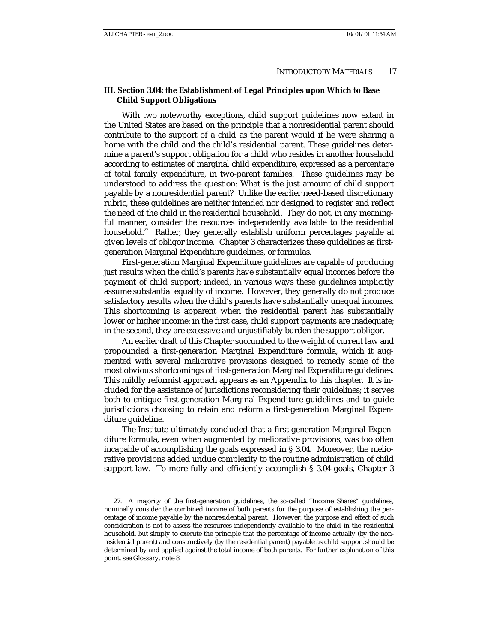## **III. Section 3.04: the Establishment of Legal Principles upon Which to Base Child Support Obligations**

With two noteworthy exceptions, child support guidelines now extant in the United States are based on the principle that a nonresidential parent should contribute to the support of a child as the parent would if he were sharing a home with the child and the child's residential parent. These guidelines determine a parent's support obligation for a child who resides in another household according to estimates of marginal child expenditure, expressed as a percentage of total family expenditure, in two-parent families. These guidelines may be understood to address the question: What is the just amount of child support payable by a nonresidential parent? Unlike the earlier need-based discretionary rubric, these guidelines are neither intended nor designed to register and reflect the need of the child in the residential household. They do not, in any meaningful manner, consider the resources independently available to the residential household.<sup>27</sup> Rather, they generally establish uniform percentages payable at given levels of obligor income. Chapter 3 characterizes these guidelines as firstgeneration Marginal Expenditure guidelines, or formulas.

First-generation Marginal Expenditure guidelines are capable of producing just results when the child's parents have substantially equal incomes before the payment of child support; indeed, in various ways these guidelines implicitly assume substantial equality of income. However, they generally do not produce satisfactory results when the child's parents have substantially unequal incomes. This shortcoming is apparent when the residential parent has substantially lower or higher income: in the first case, child support payments are inadequate; in the second, they are excessive and unjustifiably burden the support obligor.

An earlier draft of this Chapter succumbed to the weight of current law and propounded a first-generation Marginal Expenditure formula, which it augmented with several meliorative provisions designed to remedy some of the most obvious shortcomings of first-generation Marginal Expenditure guidelines. This mildly reformist approach appears as an Appendix to this chapter. It is included for the assistance of jurisdictions reconsidering their guidelines; it serves both to critique first-generation Marginal Expenditure guidelines and to guide jurisdictions choosing to retain and reform a first-generation Marginal Expenditure guideline.

The Institute ultimately concluded that a first-generation Marginal Expenditure formula, even when augmented by meliorative provisions, was too often incapable of accomplishing the goals expressed in  $\S$  3.04. Moreover, the meliorative provisions added undue complexity to the routine administration of child support law. To more fully and efficiently accomplish § 3.04 goals, Chapter 3

<sup>27.</sup> A majority of the first-generation guidelines, the so-called "Income Shares" guidelines, nominally consider the combined income of both parents for the purpose of establishing the percentage of income payable by the nonresidential parent. However, the purpose and effect of such consideration is not to assess the resources independently available to the child in the residential household, but simply to execute the principle that the percentage of income actually (by the nonresidential parent) and constructively (by the residential parent) payable as child support should be determined by and applied against the total income of both parents. For further explanation of this point, see Glossary, note 8.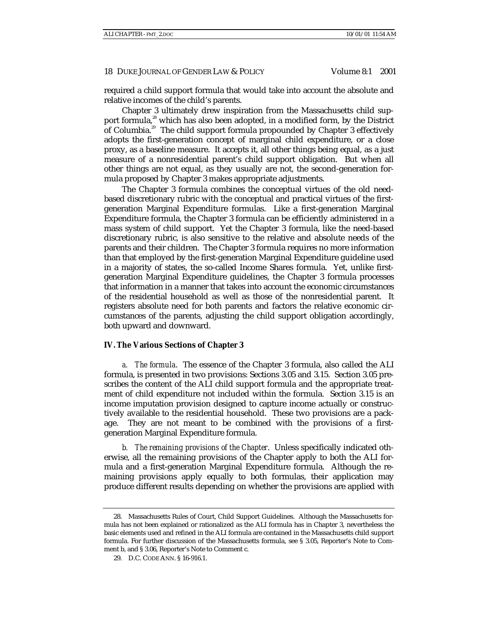required a child support formula that would take into account the absolute and relative incomes of the child's parents.

Chapter 3 ultimately drew inspiration from the Massachusetts child support formula,<sup>28</sup> which has also been adopted, in a modified form, by the District of Columbia.<sup>29</sup> The child support formula propounded by Chapter 3 effectively adopts the first-generation concept of marginal child expenditure, or a close proxy, as a baseline measure. It accepts it, all other things being equal, as a just measure of a nonresidential parent's child support obligation. But when all other things are not equal, as they usually are not, the second-generation formula proposed by Chapter 3 makes appropriate adjustments.

The Chapter 3 formula combines the conceptual virtues of the old needbased discretionary rubric with the conceptual and practical virtues of the firstgeneration Marginal Expenditure formulas. Like a first-generation Marginal Expenditure formula, the Chapter 3 formula can be efficiently administered in a mass system of child support. Yet the Chapter 3 formula, like the need-based discretionary rubric, is also sensitive to the relative and absolute needs of the parents and their children. The Chapter 3 formula requires no more information than that employed by the first-generation Marginal Expenditure guideline used in a majority of states, the so-called Income Shares formula. Yet, unlike firstgeneration Marginal Expenditure guidelines, the Chapter 3 formula processes that information in a manner that takes into account the economic circumstances of the residential household as well as those of the nonresidential parent. It registers absolute need for both parents and factors the relative economic circumstances of the parents, adjusting the child support obligation accordingly, both upward and downward.

## **IV. The Various Sections of Chapter 3**

*a. The formula*. The essence of the Chapter 3 formula, also called the ALI formula, is presented in two provisions: Sections 3.05 and 3.15. Section 3.05 prescribes the content of the ALI child support formula and the appropriate treatment of child expenditure not included within the formula. Section 3.15 is an income imputation provision designed to capture income actually or constructively available to the residential household. These two provisions are a package. They are not meant to be combined with the provisions of a firstgeneration Marginal Expenditure formula.

*b. The remaining provisions of the Chapter*. Unless specifically indicated otherwise, all the remaining provisions of the Chapter apply to both the ALI formula and a first-generation Marginal Expenditure formula. Although the remaining provisions apply equally to both formulas, their application may produce different results depending on whether the provisions are applied with

<sup>28.</sup> Massachusetts Rules of Court, Child Support Guidelines. Although the Massachusetts formula has not been explained or rationalized as the ALI formula has in Chapter 3, nevertheless the basic elements used and refined in the ALI formula are contained in the Massachusetts child support formula. For further discussion of the Massachusetts formula, see § 3.05, Reporter's Note to Comment b, and § 3.06, Reporter's Note to Comment c.

<sup>29.</sup> D.C. CODE ANN. § 16-916.1.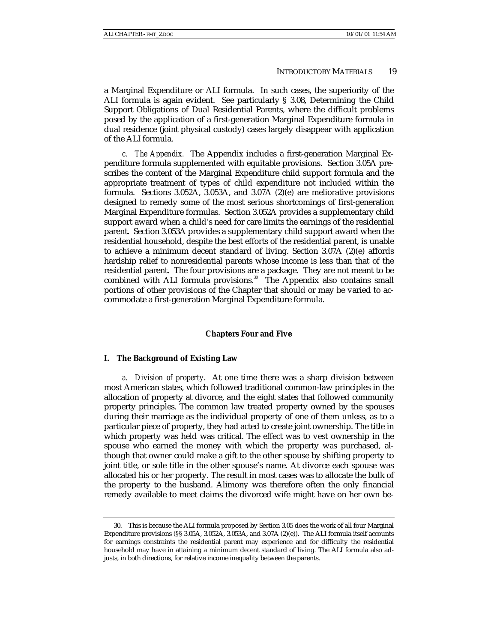a Marginal Expenditure or ALI formula. In such cases, the superiority of the ALI formula is again evident. See particularly § 3.08, Determining the Child Support Obligations of Dual Residential Parents, where the difficult problems posed by the application of a first-generation Marginal Expenditure formula in dual residence (joint physical custody) cases largely disappear with application of the ALI formula.

*c. The Appendix.* The Appendix includes a first-generation Marginal Expenditure formula supplemented with equitable provisions. Section 3.05A prescribes the content of the Marginal Expenditure child support formula and the appropriate treatment of types of child expenditure not included within the formula. Sections 3.052A, 3.053A, and 3.07A (2)(e) are meliorative provisions designed to remedy some of the most serious shortcomings of first-generation Marginal Expenditure formulas. Section 3.052A provides a supplementary child support award when a child's need for care limits the earnings of the residential parent. Section 3.053A provides a supplementary child support award when the residential household, despite the best efforts of the residential parent, is unable to achieve a minimum decent standard of living. Section 3.07A (2)(e) affords hardship relief to nonresidential parents whose income is less than that of the residential parent. The four provisions are a package. They are not meant to be combined with ALI formula provisions.<sup>30</sup> The Appendix also contains small portions of other provisions of the Chapter that should or may be varied to accommodate a first-generation Marginal Expenditure formula.

#### **Chapters Four and Five**

### **I. The Background of Existing Law**

*a. Division of property*. At one time there was a sharp division between most American states, which followed traditional common-law principles in the allocation of property at divorce, and the eight states that followed community property principles. The common law treated property owned by the spouses during their marriage as the individual property of one of them unless, as to a particular piece of property, they had acted to create joint ownership. The title in which property was held was critical. The effect was to vest ownership in the spouse who earned the money with which the property was purchased, although that owner could make a gift to the other spouse by shifting property to joint title, or sole title in the other spouse's name. At divorce each spouse was allocated his or her property. The result in most cases was to allocate the bulk of the property to the husband. Alimony was therefore often the only financial remedy available to meet claims the divorced wife might have on her own be-

<sup>30.</sup> This is because the ALI formula proposed by Section 3.05 does the work of all four Marginal Expenditure provisions (§§ 3.05A, 3.052A, 3.053A, and 3.07A (2)(e)). The ALI formula itself accounts for earnings constraints the residential parent may experience and for difficulty the residential household may have in attaining a minimum decent standard of living. The ALI formula also adjusts, in both directions, for relative income inequality between the parents.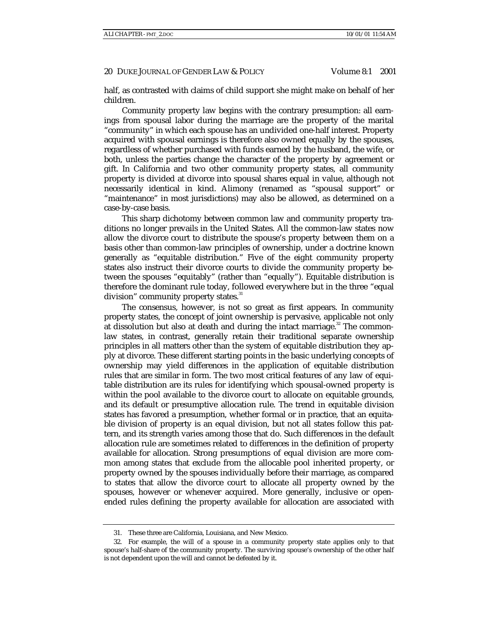half, as contrasted with claims of child support she might make on behalf of her children.

Community property law begins with the contrary presumption: all earnings from spousal labor during the marriage are the property of the marital "community" in which each spouse has an undivided one-half interest. Property acquired with spousal earnings is therefore also owned equally by the spouses, regardless of whether purchased with funds earned by the husband, the wife, or both, unless the parties change the character of the property by agreement or gift. In California and two other community property states, all community property is divided at divorce into spousal shares equal in value, although not necessarily identical in kind. Alimony (renamed as "spousal support" or "maintenance" in most jurisdictions) may also be allowed, as determined on a case-by-case basis.

This sharp dichotomy between common law and community property traditions no longer prevails in the United States. All the common-law states now allow the divorce court to distribute the spouse's property between them on a basis other than common-law principles of ownership, under a doctrine known generally as "equitable distribution." Five of the eight community property states also instruct their divorce courts to divide the community property between the spouses "equitably" (rather than "equally"). Equitable distribution is therefore the dominant rule today, followed everywhere but in the three "equal division" community property states.<sup>31</sup>

The consensus, however, is not so great as first appears. In community property states, the concept of joint ownership is pervasive, applicable not only at dissolution but also at death and during the intact marriage. $^{32}$  The commonlaw states, in contrast, generally retain their traditional separate ownership principles in all matters other than the system of equitable distribution they apply at divorce. These different starting points in the basic underlying concepts of ownership may yield differences in the application of equitable distribution rules that are similar in form. The two most critical features of any law of equitable distribution are its rules for identifying which spousal-owned property is within the pool available to the divorce court to allocate on equitable grounds, and its default or presumptive allocation rule. The trend in equitable division states has favored a presumption, whether formal or in practice, that an equitable division of property is an equal division, but not all states follow this pattern, and its strength varies among those that do. Such differences in the default allocation rule are sometimes related to differences in the definition of property available for allocation. Strong presumptions of equal division are more common among states that exclude from the allocable pool inherited property, or property owned by the spouses individually before their marriage, as compared to states that allow the divorce court to allocate all property owned by the spouses, however or whenever acquired. More generally, inclusive or openended rules defining the property available for allocation are associated with

<sup>31.</sup> These three are California, Louisiana, and New Mexico.

<sup>32.</sup> For example, the will of a spouse in a community property state applies only to that spouse's half-share of the community property. The surviving spouse's ownership of the other half is not dependent upon the will and cannot be defeated by it.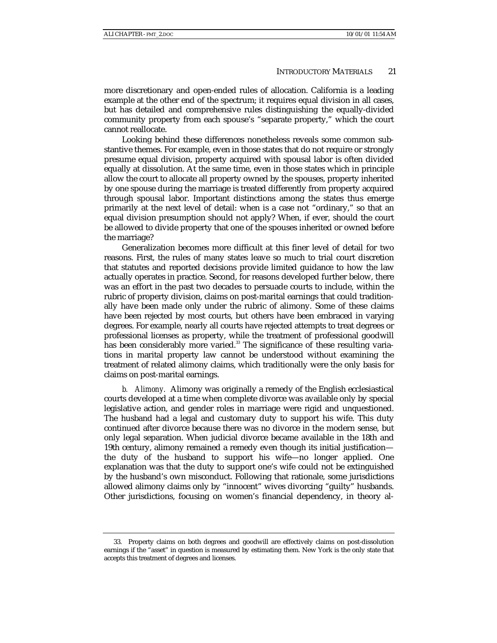more discretionary and open-ended rules of allocation. California is a leading example at the other end of the spectrum; it requires equal division in all cases, but has detailed and comprehensive rules distinguishing the equally-divided community property from each spouse's "separate property," which the court cannot reallocate.

Looking behind these differences nonetheless reveals some common substantive themes. For example, even in those states that do not require or strongly presume equal division, property acquired with spousal labor is often divided equally at dissolution. At the same time, even in those states which in principle allow the court to allocate all property owned by the spouses, property inherited by one spouse during the marriage is treated differently from property acquired through spousal labor. Important distinctions among the states thus emerge primarily at the next level of detail: when is a case not "ordinary," so that an equal division presumption should not apply? When, if ever, should the court be allowed to divide property that one of the spouses inherited or owned before the marriage?

Generalization becomes more difficult at this finer level of detail for two reasons. First, the rules of many states leave so much to trial court discretion that statutes and reported decisions provide limited guidance to how the law actually operates in practice. Second, for reasons developed further below, there was an effort in the past two decades to persuade courts to include, within the rubric of property division, claims on post-marital earnings that could traditionally have been made only under the rubric of alimony. Some of these claims have been rejected by most courts, but others have been embraced in varying degrees. For example, nearly all courts have rejected attempts to treat degrees or professional licenses as property, while the treatment of professional goodwill has been considerably more varied.<sup>33</sup> The significance of these resulting variations in marital property law cannot be understood without examining the treatment of related alimony claims, which traditionally were the only basis for claims on post-marital earnings.

*b. Alimony.* Alimony was originally a remedy of the English ecclesiastical courts developed at a time when complete divorce was available only by special legislative action, and gender roles in marriage were rigid and unquestioned. The husband had a legal and customary duty to support his wife. This duty continued after divorce because there was no divorce in the modern sense, but only legal separation. When judicial divorce became available in the 18th and 19th century, alimony remained a remedy even though its initial justification the duty of the husband to support his wife—no longer applied. One explanation was that the duty to support one's wife could not be extinguished by the husband's own misconduct. Following that rationale, some jurisdictions allowed alimony claims only by "innocent" wives divorcing "guilty" husbands. Other jurisdictions, focusing on women's financial dependency, in theory al-

<sup>33.</sup> Property claims on both degrees and goodwill are effectively claims on post-dissolution earnings if the "asset" in question is measured by estimating them. New York is the only state that accepts this treatment of degrees and licenses.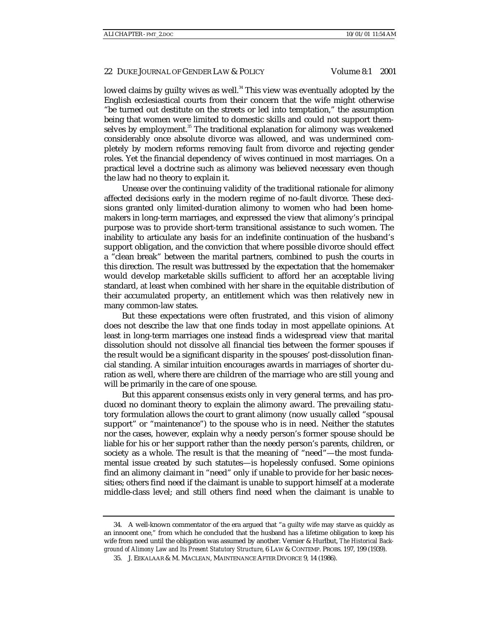lowed claims by guilty wives as well.<sup>34</sup> This view was eventually adopted by the English ecclesiastical courts from their concern that the wife might otherwise "be turned out destitute on the streets or led into temptation," the assumption being that women were limited to domestic skills and could not support themselves by employment.<sup>35</sup> The traditional explanation for alimony was weakened considerably once absolute divorce was allowed, and was undermined completely by modern reforms removing fault from divorce and rejecting gender roles. Yet the financial dependency of wives continued in most marriages. On a practical level a doctrine such as alimony was believed necessary even though the law had no theory to explain it.

Unease over the continuing validity of the traditional rationale for alimony affected decisions early in the modern regime of no-fault divorce. These decisions granted only limited-duration alimony to women who had been homemakers in long-term marriages, and expressed the view that alimony's principal purpose was to provide short-term transitional assistance to such women. The inability to articulate any basis for an indefinite continuation of the husband's support obligation, and the conviction that where possible divorce should effect a "clean break" between the marital partners, combined to push the courts in this direction. The result was buttressed by the expectation that the homemaker would develop marketable skills sufficient to afford her an acceptable living standard, at least when combined with her share in the equitable distribution of their accumulated property, an entitlement which was then relatively new in many common-law states.

But these expectations were often frustrated, and this vision of alimony does not describe the law that one finds today in most appellate opinions. At least in long-term marriages one instead finds a widespread view that marital dissolution should not dissolve all financial ties between the former spouses if the result would be a significant disparity in the spouses' post-dissolution financial standing. A similar intuition encourages awards in marriages of shorter duration as well, where there are children of the marriage who are still young and will be primarily in the care of one spouse.

But this apparent consensus exists only in very general terms, and has produced no dominant theory to explain the alimony award. The prevailing statutory formulation allows the court to grant alimony (now usually called "spousal support" or "maintenance") to the spouse who is in need. Neither the statutes nor the cases, however, explain why a needy person's former spouse should be liable for his or her support rather than the needy person's parents, children, or society as a whole. The result is that the meaning of "need"—the most fundamental issue created by such statutes—is hopelessly confused. Some opinions find an alimony claimant in "need" only if unable to provide for her basic necessities; others find need if the claimant is unable to support himself at a moderate middle-class level; and still others find need when the claimant is unable to

<sup>34.</sup> A well-known commentator of the era argued that "a guilty wife may starve as quickly as an innocent one," from which he concluded that the husband has a lifetime obligation to keep his wife from need until the obligation was assumed by another. Vernier & Hurlbut, *The Historical Background of Alimony Law and Its Present Statutory Structure*, 6 LAW & CONTEMP. PROBS. 197, 199 (1939).

<sup>35.</sup> J. EEKALAAR & M. MACLEAN, MAINTENANCE AFTER DIVORCE 9, 14 (1986).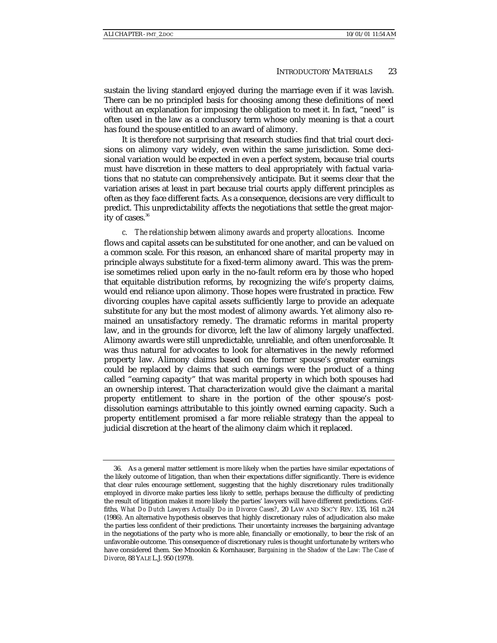sustain the living standard enjoyed during the marriage even if it was lavish. There can be no principled basis for choosing among these definitions of need without an explanation for imposing the obligation to meet it. In fact, "need" is often used in the law as a conclusory term whose only meaning is that a court has found the spouse entitled to an award of alimony.

It is therefore not surprising that research studies find that trial court decisions on alimony vary widely, even within the same jurisdiction. Some decisional variation would be expected in even a perfect system, because trial courts must have discretion in these matters to deal appropriately with factual variations that no statute can comprehensively anticipate. But it seems clear that the variation arises at least in part because trial courts apply different principles as often as they face different facts. As a consequence, decisions are very difficult to predict. This unpredictability affects the negotiations that settle the great majority of cases. $36$ 

*c. The relationship between alimony awards and property allocations.* Income flows and capital assets can be substituted for one another, and can be valued on a common scale. For this reason, an enhanced share of marital property may in principle always substitute for a fixed-term alimony award. This was the premise sometimes relied upon early in the no-fault reform era by those who hoped that equitable distribution reforms, by recognizing the wife's property claims, would end reliance upon alimony. Those hopes were frustrated in practice. Few divorcing couples have capital assets sufficiently large to provide an adequate substitute for any but the most modest of alimony awards. Yet alimony also remained an unsatisfactory remedy. The dramatic reforms in marital property law, and in the grounds for divorce, left the law of alimony largely unaffected. Alimony awards were still unpredictable, unreliable, and often unenforceable. It was thus natural for advocates to look for alternatives in the newly reformed property law. Alimony claims based on the former spouse's greater earnings could be replaced by claims that such earnings were the product of a thing called "earning capacity" that was marital property in which both spouses had an ownership interest. That characterization would give the claimant a marital property entitlement to share in the portion of the other spouse's postdissolution earnings attributable to this jointly owned earning capacity. Such a property entitlement promised a far more reliable strategy than the appeal to judicial discretion at the heart of the alimony claim which it replaced.

<sup>36.</sup> As a general matter settlement is more likely when the parties have similar expectations of the likely outcome of litigation, than when their expectations differ significantly. There is evidence that clear rules encourage settlement, suggesting that the highly discretionary rules traditionally employed in divorce make parties less likely to settle, perhaps because the difficulty of predicting the result of litigation makes it more likely the parties' lawyers will have different predictions. Griffiths*, What Do Dutch Lawyers Actually Do in Divorce Cases?*, 20 LAW AND SOC'Y REV. 135, 161 n.24 (1986). An alternative hypothesis observes that highly discretionary rules of adjudication also make the parties less confident of their predictions. Their uncertainty increases the bargaining advantage in the negotiations of the party who is more able, financially or emotionally, to bear the risk of an unfavorable outcome. This consequence of discretionary rules is thought unfortunate by writers who have considered them. See Mnookin & Kornhauser, *Bargaining in the Shadow of the Law: The Case of Divorce*, 88 YALE L.J. 950 (1979).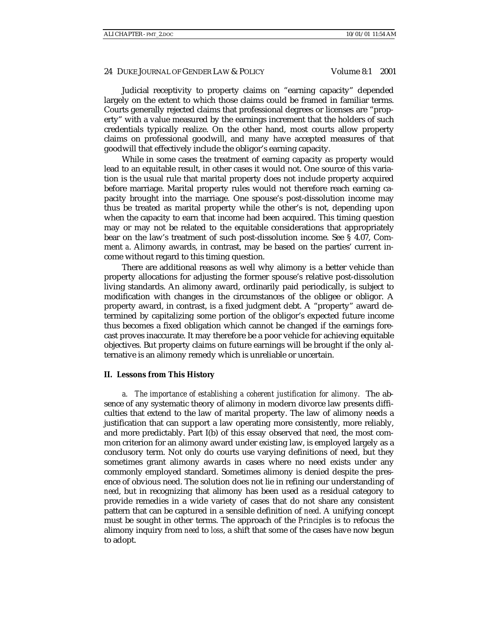Judicial receptivity to property claims on "earning capacity" depended largely on the extent to which those claims could be framed in familiar terms. Courts generally rejected claims that professional degrees or licenses are "property" with a value measured by the earnings increment that the holders of such credentials typically realize. On the other hand, most courts allow property claims on professional goodwill, and many have accepted measures of that goodwill that effectively include the obligor's earning capacity.

While in some cases the treatment of earning capacity as property would lead to an equitable result, in other cases it would not. One source of this variation is the usual rule that marital property does not include property acquired before marriage. Marital property rules would not therefore reach earning capacity brought into the marriage. One spouse's post-dissolution income may thus be treated as marital property while the other's is not, depending upon when the capacity to earn that income had been acquired. This timing question may or may not be related to the equitable considerations that appropriately bear on the law's treatment of such post-dissolution income. See § 4.07, Comment *a*. Alimony awards, in contrast, may be based on the parties' current income without regard to this timing question.

There are additional reasons as well why alimony is a better vehicle than property allocations for adjusting the former spouse's relative post-dissolution living standards. An alimony award, ordinarily paid periodically, is subject to modification with changes in the circumstances of the obligee or obligor. A property award, in contrast, is a fixed judgment debt. A "property" award determined by capitalizing some portion of the obligor's expected future income thus becomes a fixed obligation which cannot be changed if the earnings forecast proves inaccurate. It may therefore be a poor vehicle for achieving equitable objectives. But property claims on future earnings will be brought if the only alternative is an alimony remedy which is unreliable or uncertain.

#### **II. Lessons from This History**

*a. The importance of establishing a coherent justification for alimony.* The absence of any systematic theory of alimony in modern divorce law presents difficulties that extend to the law of marital property. The law of alimony needs a justification that can support a law operating more consistently, more reliably, and more predictably. Part I(b) of this essay observed that *need*, the most common criterion for an alimony award under existing law, is employed largely as a conclusory term. Not only do courts use varying definitions of need, but they sometimes grant alimony awards in cases where no need exists under any commonly employed standard. Sometimes alimony is denied despite the presence of obvious need. The solution does not lie in refining our understanding of *need*, but in recognizing that alimony has been used as a residual category to provide remedies in a wide variety of cases that do not share any consistent pattern that can be captured in a sensible definition of *need*. A unifying concept must be sought in other terms. The approach of the *Principles* is to refocus the alimony inquiry from *need* to *loss*, a shift that some of the cases have now begun to adopt.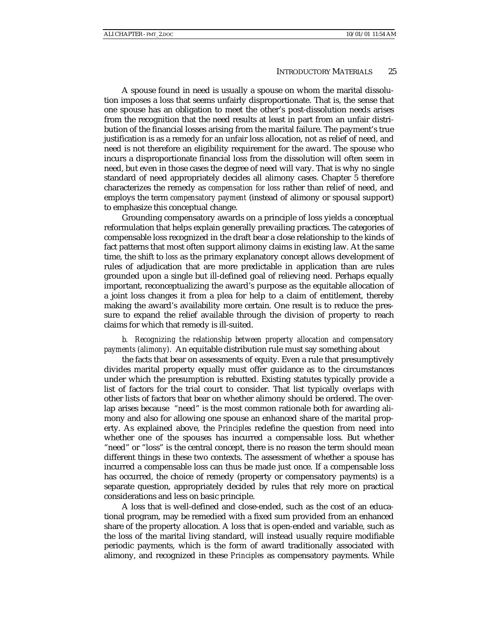A spouse found in need is usually a spouse on whom the marital dissolution imposes a loss that seems unfairly disproportionate. That is, the sense that one spouse has an obligation to meet the other's post-dissolution needs arises from the recognition that the need results at least in part from an unfair distribution of the financial losses arising from the marital failure. The payment's true justification is as a remedy for an unfair loss allocation, not as relief of need, and need is not therefore an eligibility requirement for the award. The spouse who incurs a disproportionate financial loss from the dissolution will often seem in need, but even in those cases the degree of need will vary. That is why no single standard of need appropriately decides all alimony cases. Chapter 5 therefore characterizes the remedy as *compensation for loss* rather than relief of need, and employs the term *compensatory payment* (instead of alimony or spousal support) to emphasize this conceptual change.

Grounding compensatory awards on a principle of loss yields a conceptual reformulation that helps explain generally prevailing practices. The categories of compensable loss recognized in the draft bear a close relationship to the kinds of fact patterns that most often support alimony claims in existing law. At the same time, the shift to *loss* as the primary explanatory concept allows development of rules of adjudication that are more predictable in application than are rules grounded upon a single but ill-defined goal of relieving need. Perhaps equally important, reconceptualizing the award's purpose as the equitable allocation of a joint loss changes it from a plea for help to a claim of entitlement, thereby making the award's availability more certain. One result is to reduce the pressure to expand the relief available through the division of property to reach claims for which that remedy is ill-suited.

*b. Recognizing the relationship between property allocation and compensatory payments (alimony).* An equitable distribution rule must say something about

the facts that bear on assessments of equity. Even a rule that presumptively divides marital property equally must offer guidance as to the circumstances under which the presumption is rebutted. Existing statutes typically provide a list of factors for the trial court to consider. That list typically overlaps with other lists of factors that bear on whether alimony should be ordered. The overlap arises because "need" is the most common rationale both for awarding alimony and also for allowing one spouse an enhanced share of the marital property. As explained above, the *Principles* redefine the question from need into whether one of the spouses has incurred a compensable loss. But whether "need" or "loss" is the central concept, there is no reason the term should mean different things in these two contexts. The assessment of whether a spouse has incurred a compensable loss can thus be made just once. If a compensable loss has occurred, the choice of remedy (property or compensatory payments) is a separate question, appropriately decided by rules that rely more on practical considerations and less on basic principle.

A loss that is well-defined and close-ended, such as the cost of an educational program, may be remedied with a fixed sum provided from an enhanced share of the property allocation. A loss that is open-ended and variable, such as the loss of the marital living standard, will instead usually require modifiable periodic payments, which is the form of award traditionally associated with alimony, and recognized in these *Principles* as compensatory payments. While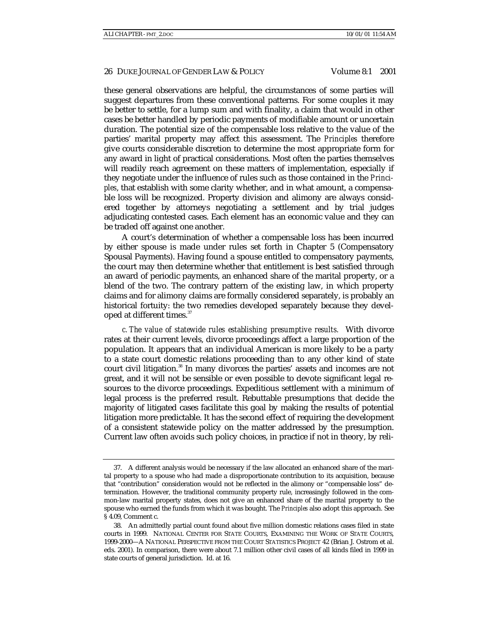these general observations are helpful, the circumstances of some parties will suggest departures from these conventional patterns. For some couples it may be better to settle, for a lump sum and with finality, a claim that would in other cases be better handled by periodic payments of modifiable amount or uncertain duration. The potential size of the compensable loss relative to the value of the parties' marital property may affect this assessment. The *Principles* therefore give courts considerable discretion to determine the most appropriate form for any award in light of practical considerations. Most often the parties themselves will readily reach agreement on these matters of implementation, especially if they negotiate under the influence of rules such as those contained in the *Principles*, that establish with some clarity whether, and in what amount, a compensable loss will be recognized. Property division and alimony are always considered together by attorneys negotiating a settlement and by trial judges adjudicating contested cases. Each element has an economic value and they can be traded off against one another.

A court's determination of whether a compensable loss has been incurred by either spouse is made under rules set forth in Chapter 5 (Compensatory Spousal Payments). Having found a spouse entitled to compensatory payments, the court may then determine whether that entitlement is best satisfied through an award of periodic payments, an enhanced share of the marital property, or a blend of the two. The contrary pattern of the existing law, in which property claims and for alimony claims are formally considered separately, is probably an historical fortuity: the two remedies developed separately because they developed at different times.<sup>37</sup>

*c. The value of statewide rules establishing presumptive results.* With divorce rates at their current levels, divorce proceedings affect a large proportion of the population. It appears that an individual American is more likely to be a party to a state court domestic relations proceeding than to any other kind of state court civil litigation.<sup>38</sup> In many divorces the parties' assets and incomes are not great, and it will not be sensible or even possible to devote significant legal resources to the divorce proceedings. Expeditious settlement with a minimum of legal process is the preferred result. Rebuttable presumptions that decide the majority of litigated cases facilitate this goal by making the results of potential litigation more predictable. It has the second effect of requiring the development of a consistent statewide policy on the matter addressed by the presumption. Current law often avoids such policy choices, in practice if not in theory, by reli-

<sup>37.</sup> A different analysis would be necessary if the law allocated an enhanced share of the marital property to a spouse who had made a disproportionate contribution to its acquisition, because that "contribution" consideration would not be reflected in the alimony or "compensable loss" determination. However, the traditional community property rule, increasingly followed in the common-law marital property states, does not give an enhanced share of the marital property to the spouse who earned the funds from which it was bought. The *Principles* also adopt this approach. See § 4.09, Comment c.

<sup>38.</sup> An admittedly partial count found about five million domestic relations cases filed in state courts in 1999. NATIONAL CENTER FOR STATE COURTS, EXAMINING THE WORK OF STATE COURTS, 1999-2000—A NATIONAL PERSPECTIVE FROM THE COURT STATISTICS PROJECT 42 (Brian J. Ostrom et al. eds. 2001). In comparison, there were about 7.1 million other civil cases of all kinds filed in 1999 in state courts of general jurisdiction. Id. at 16.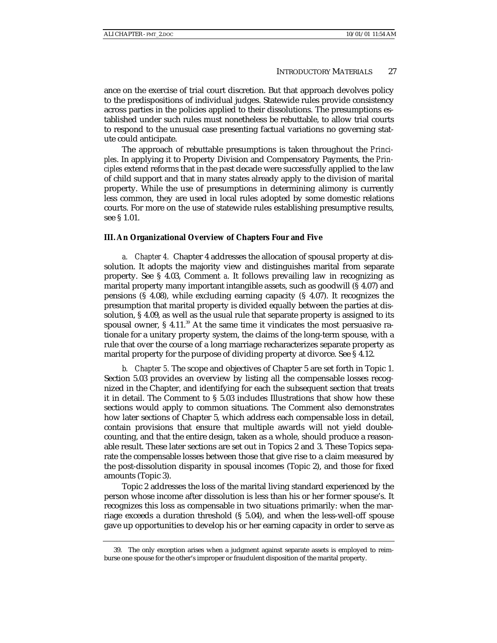ance on the exercise of trial court discretion. But that approach devolves policy to the predispositions of individual judges. Statewide rules provide consistency across parties in the policies applied to their dissolutions. The presumptions established under such rules must nonetheless be rebuttable, to allow trial courts to respond to the unusual case presenting factual variations no governing statute could anticipate.

The approach of rebuttable presumptions is taken throughout the *Principles*. In applying it to Property Division and Compensatory Payments, the *Principles* extend reforms that in the past decade were successfully applied to the law of child support and that in many states already apply to the division of marital property. While the use of presumptions in determining alimony is currently less common, they are used in local rules adopted by some domestic relations courts. For more on the use of statewide rules establishing presumptive results, see § 1.01.

## **III. An Organizational Overview of Chapters Four and Five**

*a. Chapter 4.* Chapter 4 addresses the allocation of spousal property at dissolution. It adopts the majority view and distinguishes marital from separate property. See § 4.03, Comment *a*. It follows prevailing law in recognizing as marital property many important intangible assets, such as goodwill (§ 4.07) and pensions (§ 4.08), while excluding earning capacity (§ 4.07). It recognizes the presumption that marital property is divided equally between the parties at dissolution, § 4.09, as well as the usual rule that separate property is assigned to its spousal owner,  $\S 4.11$ .<sup>39</sup> At the same time it vindicates the most persuasive rationale for a unitary property system, the claims of the long-term spouse, with a rule that over the course of a long marriage recharacterizes separate property as marital property for the purpose of dividing property at divorce. See § 4.12.

*b. Chapter 5.* The scope and objectives of Chapter 5 are set forth in Topic 1. Section 5.03 provides an overview by listing all the compensable losses recognized in the Chapter, and identifying for each the subsequent section that treats it in detail. The Comment to § 5.03 includes Illustrations that show how these sections would apply to common situations. The Comment also demonstrates how later sections of Chapter 5, which address each compensable loss in detail, contain provisions that ensure that multiple awards will not yield doublecounting, and that the entire design, taken as a whole, should produce a reasonable result. These later sections are set out in Topics 2 and 3. These Topics separate the compensable losses between those that give rise to a claim measured by the post-dissolution disparity in spousal incomes (Topic 2), and those for fixed amounts (Topic 3).

Topic 2 addresses the loss of the marital living standard experienced by the person whose income after dissolution is less than his or her former spouse's. It recognizes this loss as compensable in two situations primarily: when the marriage exceeds a duration threshold (§ 5.04), and when the less-well-off spouse gave up opportunities to develop his or her earning capacity in order to serve as

<sup>39.</sup> The only exception arises when a judgment against separate assets is employed to reimburse one spouse for the other's improper or fraudulent disposition of the marital property.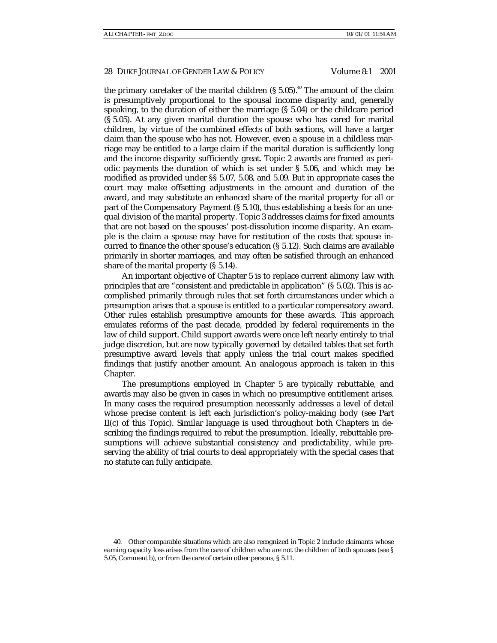the primary caretaker of the marital children  $(S, 5.05)$ .<sup>40</sup> The amount of the claim is presumptively proportional to the spousal income disparity and, generally speaking, to the duration of either the marriage (§ 5.04) or the childcare period (§ 5.05). At any given marital duration the spouse who has cared for marital children, by virtue of the combined effects of both sections, will have a larger claim than the spouse who has not. However, even a spouse in a childless marriage may be entitled to a large claim if the marital duration is sufficiently long and the income disparity sufficiently great. Topic 2 awards are framed as periodic payments the duration of which is set under § 5.06, and which may be modified as provided under §§ 5.07, 5.08, and 5.09. But in appropriate cases the court may make offsetting adjustments in the amount and duration of the award, and may substitute an enhanced share of the marital property for all or part of the Compensatory Payment (§ 5.10), thus establishing a basis for an unequal division of the marital property. Topic 3 addresses claims for fixed amounts that are not based on the spouses' post-dissolution income disparity. An example is the claim a spouse may have for restitution of the costs that spouse incurred to finance the other spouse's education (§ 5.12). Such claims are available primarily in shorter marriages, and may often be satisfied through an enhanced share of the marital property (§ 5.14).

An important objective of Chapter 5 is to replace current alimony law with principles that are "consistent and predictable in application" (§ 5.02). This is accomplished primarily through rules that set forth circumstances under which a presumption arises that a spouse is entitled to a particular compensatory award. Other rules establish presumptive amounts for these awards. This approach emulates reforms of the past decade, prodded by federal requirements in the law of child support. Child support awards were once left nearly entirely to trial judge discretion, but are now typically governed by detailed tables that set forth presumptive award levels that apply unless the trial court makes specified findings that justify another amount. An analogous approach is taken in this Chapter.

The presumptions employed in Chapter 5 are typically rebuttable, and awards may also be given in cases in which no presumptive entitlement arises. In many cases the required presumption necessarily addresses a level of detail whose precise content is left each jurisdiction's policy-making body (see Part II(c) of this Topic). Similar language is used throughout both Chapters in describing the findings required to rebut the presumption. Ideally, rebuttable presumptions will achieve substantial consistency and predictability, while preserving the ability of trial courts to deal appropriately with the special cases that no statute can fully anticipate.

<sup>40.</sup> Other comparable situations which are also recognized in Topic 2 include claimants whose earning capacity loss arises from the care of children who are not the children of both spouses (see § 5.05, Comment b), or from the care of certain other persons, § 5.11.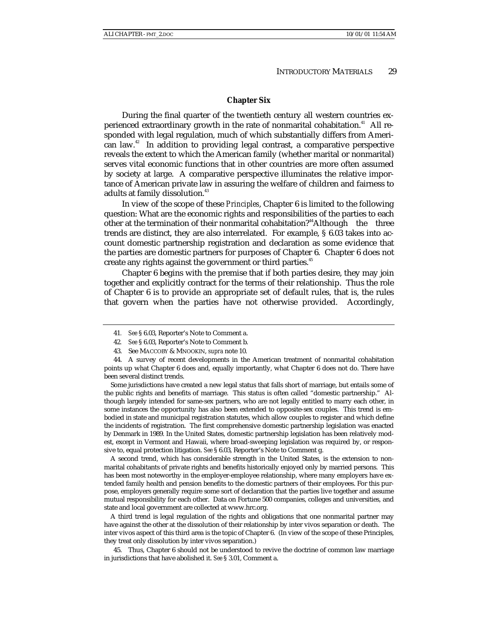## **Chapter Six**

During the final quarter of the twentieth century all western countries experienced extraordinary growth in the rate of nonmarital cohabitation.<sup>41</sup> All responded with legal regulation, much of which substantially differs from American law.<sup>42</sup> In addition to providing legal contrast, a comparative perspective reveals the extent to which the American family (whether marital or nonmarital) serves vital economic functions that in other countries are more often assumed by society at large. A comparative perspective illuminates the relative importance of American private law in assuring the welfare of children and fairness to adults at family dissolution.<sup>43</sup>

In view of the scope of these *Principles*, Chapter 6 is limited to the following question: What are the economic rights and responsibilities of the parties to each other at the termination of their nonmarital cohabitation?<sup>44</sup>Although the three trends are distinct, they are also interrelated. For example, § 6.03 takes into account domestic partnership registration and declaration as some evidence that the parties are domestic partners for purposes of Chapter 6. Chapter 6 does not create any rights against the government or third parties.<sup>45</sup>

Chapter 6 begins with the premise that if both parties desire, they may join together and explicitly contract for the terms of their relationship. Thus the role of Chapter 6 is to provide an appropriate set of default rules, that is, the rules that govern when the parties have not otherwise provided. Accordingly,

Some jurisdictions have created a new legal status that falls short of marriage, but entails some of the public rights and benefits of marriage. This status is often called "domestic partnership." Although largely intended for same-sex partners, who are not legally entitled to marry each other, in some instances the opportunity has also been extended to opposite-sex couples. This trend is embodied in state and municipal registration statutes, which allow couples to register and which define the incidents of registration. The first comprehensive domestic partnership legislation was enacted by Denmark in 1989. In the United States, domestic partnership legislation has been relatively modest, except in Vermont and Hawaii, where broad-sweeping legislation was required by, or responsive to, equal protection litigation. *See* § 6.03, Reporter's Note to Comment g.

A second trend, which has considerable strength in the United States, is the extension to nonmarital cohabitants of private rights and benefits historically enjoyed only by married persons. This has been most noteworthy in the employer-employee relationship, where many employers have extended family health and pension benefits to the domestic partners of their employees. For this purpose, employers generally require some sort of declaration that the parties live together and assume mutual responsibility for each other. Data on Fortune 500 companies, colleges and universities, and state and local government are collected at www.hrc.org.

A third trend is legal regulation of the rights and obligations that one nonmarital partner may have against the other at the dissolution of their relationship by inter vivos separation or death. The inter vivos aspect of this third area is the topic of Chapter 6. (In view of the scope of these Principles, they treat only dissolution by inter vivos separation.)

45. Thus, Chapter 6 should not be understood to revive the doctrine of common law marriage in jurisdictions that have abolished it. *See* § 3.01, Comment a.

<sup>41</sup>*. See* § 6.03, Reporter's Note to Comment a.

<sup>42</sup>*. See* § 6.03, Reporter's Note to Comment b.

<sup>43.</sup> See MACCOBY & MNOOKIN, *supra* note 10.

<sup>44.</sup> A survey of recent developments in the American treatment of nonmarital cohabitation points up what Chapter 6 does and, equally importantly, what Chapter 6 does not do. There have been several distinct trends.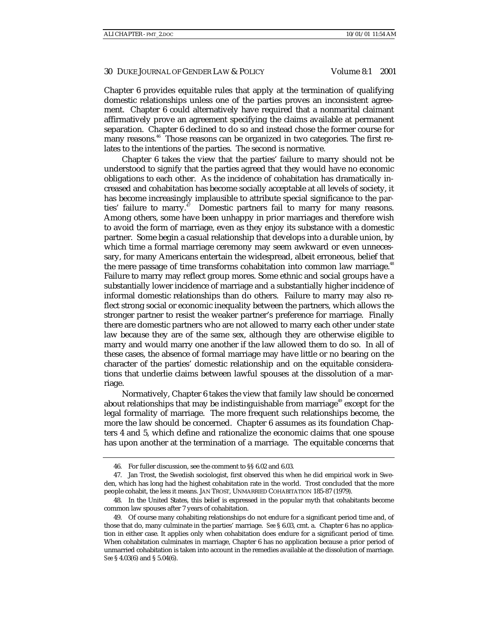Chapter 6 provides equitable rules that apply at the termination of qualifying domestic relationships unless one of the parties proves an inconsistent agreement. Chapter 6 could alternatively have required that a nonmarital claimant affirmatively prove an agreement specifying the claims available at permanent separation. Chapter 6 declined to do so and instead chose the former course for many reasons.<sup>46</sup> Those reasons can be organized in two categories. The first relates to the intentions of the parties. The second is normative.

Chapter 6 takes the view that the parties' failure to marry should not be understood to signify that the parties agreed that they would have no economic obligations to each other. As the incidence of cohabitation has dramatically increased and cohabitation has become socially acceptable at all levels of society, it has become increasingly implausible to attribute special significance to the parties' failure to marry.<sup> $47$ </sup> Domestic partners fail to marry for many reasons. Among others, some have been unhappy in prior marriages and therefore wish to avoid the form of marriage, even as they enjoy its substance with a domestic partner. Some begin a casual relationship that develops into a durable union, by which time a formal marriage ceremony may seem awkward or even unnecessary, for many Americans entertain the widespread, albeit erroneous, belief that the mere passage of time transforms cohabitation into common law marriage.<sup>48</sup> Failure to marry may reflect group mores. Some ethnic and social groups have a substantially lower incidence of marriage and a substantially higher incidence of informal domestic relationships than do others. Failure to marry may also reflect strong social or economic inequality between the partners, which allows the stronger partner to resist the weaker partner's preference for marriage. Finally there are domestic partners who are not allowed to marry each other under state law because they are of the same sex, although they are otherwise eligible to marry and would marry one another if the law allowed them to do so. In all of these cases, the absence of formal marriage may have little or no bearing on the character of the parties' domestic relationship and on the equitable considerations that underlie claims between lawful spouses at the dissolution of a marriage.

Normatively, Chapter 6 takes the view that family law should be concerned about relationships that may be indistinguishable from marriage<sup>49</sup> except for the legal formality of marriage. The more frequent such relationships become, the more the law should be concerned. Chapter 6 assumes as its foundation Chapters 4 and 5, which define and rationalize the economic claims that one spouse has upon another at the termination of a marriage. The equitable concerns that

<sup>46.</sup> For fuller discussion, see the comment to §§ 6.02 and 6.03.

<sup>47.</sup> Jan Trost, the Swedish sociologist, first observed this when he did empirical work in Sweden, which has long had the highest cohabitation rate in the world. Trost concluded that the more people cohabit, the less it means. JAN TROST, UNMARRIED COHABITATION 185-87 (1979).

<sup>48.</sup> In the United States, this belief is expressed in the popular myth that cohabitants become common law spouses after 7 years of cohabitation.

<sup>49.</sup> Of course many cohabiting relationships do not endure for a significant period time and, of those that do, many culminate in the parties' marriage. *See* § 6.03, cmt. a. Chapter 6 has no application in either case. It applies only when cohabitation does endure for a significant period of time. When cohabitation culminates in marriage, Chapter 6 has no application because a prior period of unmarried cohabitation is taken into account in the remedies available at the dissolution of marriage. *See* § 4.03(6) and § 5.04(6).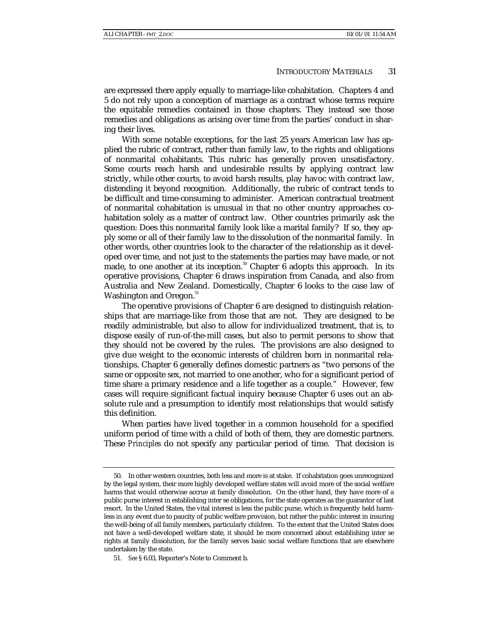are expressed there apply equally to marriage-like cohabitation. Chapters 4 and 5 do not rely upon a conception of marriage as a contract whose terms require the equitable remedies contained in those chapters. They instead see those remedies and obligations as arising over time from the parties' conduct in sharing their lives.

With some notable exceptions, for the last 25 years American law has applied the rubric of contract, rather than family law, to the rights and obligations of nonmarital cohabitants. This rubric has generally proven unsatisfactory. Some courts reach harsh and undesirable results by applying contract law strictly, while other courts, to avoid harsh results, play havoc with contract law, distending it beyond recognition. Additionally, the rubric of contract tends to be difficult and time-consuming to administer. American contractual treatment of nonmarital cohabitation is unusual in that no other country approaches cohabitation solely as a matter of contract law. Other countries primarily ask the question: Does this nonmarital family look like a marital family? If so, they apply some or all of their family law to the dissolution of the nonmarital family. In other words, other countries look to the character of the relationship as it developed over time, and not just to the statements the parties may have made, or not made, to one another at its inception.<sup>50</sup> Chapter 6 adopts this approach. In its operative provisions, Chapter 6 draws inspiration from Canada, and also from Australia and New Zealand. Domestically, Chapter 6 looks to the case law of Washington and Oregon.<sup>31</sup>

The operative provisions of Chapter 6 are designed to distinguish relationships that are marriage-like from those that are not. They are designed to be readily administrable, but also to allow for individualized treatment, that is, to dispose easily of run-of-the-mill cases, but also to permit persons to show that they should not be covered by the rules. The provisions are also designed to give due weight to the economic interests of children born in nonmarital relationships. Chapter 6 generally defines domestic partners as "two persons of the same or opposite sex, not married to one another, who for a significant period of time share a primary residence and a life together as a couple." However, few cases will require significant factual inquiry because Chapter 6 uses out an absolute rule and a presumption to identify most relationships that would satisfy this definition.

When parties have lived together in a common household for a specified uniform period of time with a child of both of them, they are domestic partners. These *Principles* do not specify any particular period of time. That decision is

<sup>50.</sup> In other western countries, both less and more is at stake. If cohabitation goes unrecognized by the legal system, their more highly developed welfare states will avoid more of the social welfare harms that would otherwise accrue at family dissolution. On the other hand, they have more of a public purse interest in establishing inter se obligations, for the state operates as the guarantor of last resort. In the United States, the vital interest is less the public purse, which is frequently held harmless in any event due to paucity of public welfare provision, but rather the public interest in insuring the well-being of all family members, particularly children. To the extent that the United States does not have a well-developed welfare state, it should be more concerned about establishing inter se rights at family dissolution, for the family serves basic social welfare functions that are elsewhere undertaken by the state.

<sup>51</sup>*. See* § 6.03, Reporter's Note to Comment b.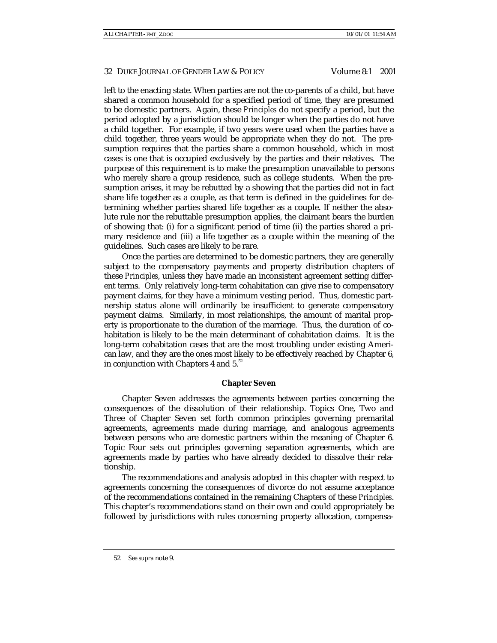#### 32 DUKE JOURNAL OF GENDER LAW & POLICY Volume 8:1 2001

left to the enacting state. When parties are not the co-parents of a child, but have shared a common household for a specified period of time, they are presumed to be domestic partners. Again, these *Principles* do not specify a period, but the period adopted by a jurisdiction should be longer when the parties do not have a child together. For example, if two years were used when the parties have a child together, three years would be appropriate when they do not. The presumption requires that the parties share a common household, which in most cases is one that is occupied exclusively by the parties and their relatives. The purpose of this requirement is to make the presumption unavailable to persons who merely share a group residence, such as college students. When the presumption arises, it may be rebutted by a showing that the parties did not in fact share life together as a couple, as that term is defined in the guidelines for determining whether parties shared life together as a couple. If neither the absolute rule nor the rebuttable presumption applies, the claimant bears the burden of showing that: (i) for a significant period of time (ii) the parties shared a primary residence and (iii) a life together as a couple within the meaning of the guidelines. Such cases are likely to be rare.

Once the parties are determined to be domestic partners, they are generally subject to the compensatory payments and property distribution chapters of these *Principles*, unless they have made an inconsistent agreement setting different terms. Only relatively long-term cohabitation can give rise to compensatory payment claims, for they have a minimum vesting period. Thus, domestic partnership status alone will ordinarily be insufficient to generate compensatory payment claims. Similarly, in most relationships, the amount of marital property is proportionate to the duration of the marriage. Thus, the duration of cohabitation is likely to be the main determinant of cohabitation claims. It is the long-term cohabitation cases that are the most troubling under existing American law, and they are the ones most likely to be effectively reached by Chapter 6, in conjunction with Chapters 4 and  $5.^{52}$ 

#### **Chapter Seven**

Chapter Seven addresses the agreements between parties concerning the consequences of the dissolution of their relationship. Topics One, Two and Three of Chapter Seven set forth common principles governing premarital agreements, agreements made during marriage, and analogous agreements between persons who are domestic partners within the meaning of Chapter 6. Topic Four sets out principles governing separation agreements, which are agreements made by parties who have already decided to dissolve their relationship.

The recommendations and analysis adopted in this chapter with respect to agreements concerning the consequences of divorce do not assume acceptance of the recommendations contained in the remaining Chapters of these *Principles*. This chapter's recommendations stand on their own and could appropriately be followed by jurisdictions with rules concerning property allocation, compensa-

<sup>52</sup>*. See supra* note 9.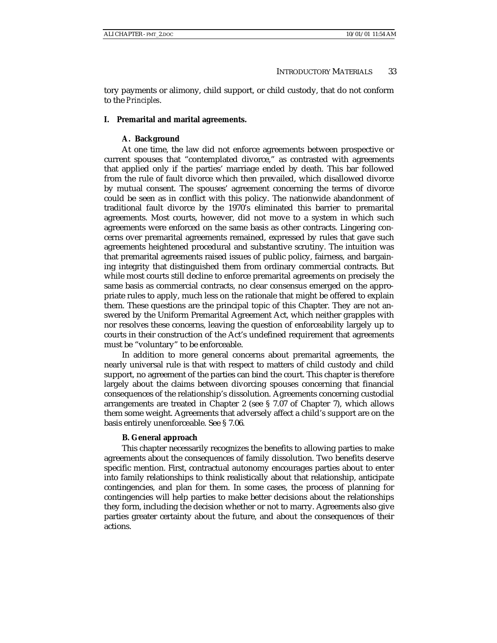tory payments or alimony, child support, or child custody, that do not conform to the *Principles*.

#### **I. Premarital and marital agreements.**

#### **A. Background**

At one time, the law did not enforce agreements between prospective or current spouses that "contemplated divorce," as contrasted with agreements that applied only if the parties' marriage ended by death. This bar followed from the rule of fault divorce which then prevailed, which disallowed divorce by mutual consent. The spouses' agreement concerning the terms of divorce could be seen as in conflict with this policy. The nationwide abandonment of traditional fault divorce by the 1970's eliminated this barrier to premarital agreements. Most courts, however, did not move to a system in which such agreements were enforced on the same basis as other contracts. Lingering concerns over premarital agreements remained, expressed by rules that gave such agreements heightened procedural and substantive scrutiny. The intuition was that premarital agreements raised issues of public policy, fairness, and bargaining integrity that distinguished them from ordinary commercial contracts. But while most courts still decline to enforce premarital agreements on precisely the same basis as commercial contracts, no clear consensus emerged on the appropriate rules to apply, much less on the rationale that might be offered to explain them. These questions are the principal topic of this Chapter. They are not answered by the Uniform Premarital Agreement Act, which neither grapples with nor resolves these concerns, leaving the question of enforceability largely up to courts in their construction of the Act's undefined requirement that agreements must be "voluntary" to be enforceable.

In addition to more general concerns about premarital agreements, the nearly universal rule is that with respect to matters of child custody and child support, no agreement of the parties can bind the court. This chapter is therefore largely about the claims between divorcing spouses concerning that financial consequences of the relationship's dissolution. Agreements concerning custodial arrangements are treated in Chapter 2 (see § 7.07 of Chapter 7), which allows them some weight. Agreements that adversely affect a child's support are on the basis entirely unenforceable. See § 7.06.

#### **B. General approach**

This chapter necessarily recognizes the benefits to allowing parties to make agreements about the consequences of family dissolution. Two benefits deserve specific mention. First, contractual autonomy encourages parties about to enter into family relationships to think realistically about that relationship, anticipate contingencies, and plan for them. In some cases, the process of planning for contingencies will help parties to make better decisions about the relationships they form, including the decision whether or not to marry. Agreements also give parties greater certainty about the future, and about the consequences of their actions.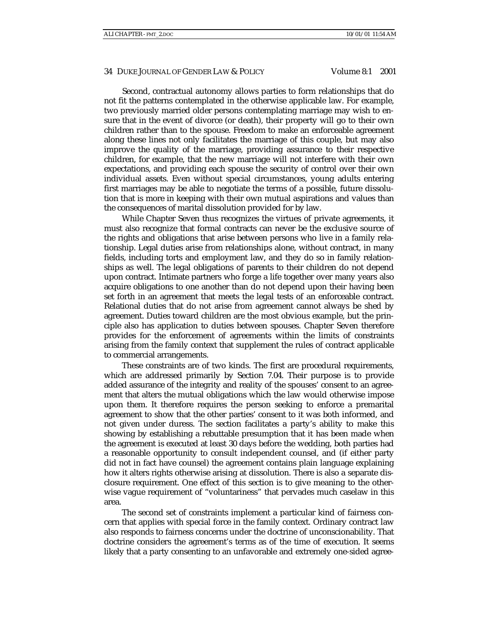Second, contractual autonomy allows parties to form relationships that do not fit the patterns contemplated in the otherwise applicable law. For example, two previously married older persons contemplating marriage may wish to ensure that in the event of divorce (or death), their property will go to their own children rather than to the spouse. Freedom to make an enforceable agreement along these lines not only facilitates the marriage of this couple, but may also improve the quality of the marriage, providing assurance to their respective children, for example, that the new marriage will not interfere with their own expectations, and providing each spouse the security of control over their own individual assets. Even without special circumstances, young adults entering first marriages may be able to negotiate the terms of a possible, future dissolution that is more in keeping with their own mutual aspirations and values than the consequences of marital dissolution provided for by law.

While Chapter Seven thus recognizes the virtues of private agreements, it must also recognize that formal contracts can never be the exclusive source of the rights and obligations that arise between persons who live in a family relationship. Legal duties arise from relationships alone, without contract, in many fields, including torts and employment law, and they do so in family relationships as well. The legal obligations of parents to their children do not depend upon contract. Intimate partners who forge a life together over many years also acquire obligations to one another than do not depend upon their having been set forth in an agreement that meets the legal tests of an enforceable contract. Relational duties that do not arise from agreement cannot always be shed by agreement. Duties toward children are the most obvious example, but the principle also has application to duties between spouses. Chapter Seven therefore provides for the enforcement of agreements within the limits of constraints arising from the family context that supplement the rules of contract applicable to commercial arrangements.

These constraints are of two kinds. The first are procedural requirements, which are addressed primarily by Section 7.04. Their purpose is to provide added assurance of the integrity and reality of the spouses' consent to an agreement that alters the mutual obligations which the law would otherwise impose upon them. It therefore requires the person seeking to enforce a premarital agreement to show that the other parties' consent to it was both informed, and not given under duress. The section facilitates a party's ability to make this showing by establishing a rebuttable presumption that it has been made when the agreement is executed at least 30 days before the wedding, both parties had a reasonable opportunity to consult independent counsel, and (if either party did not in fact have counsel) the agreement contains plain language explaining how it alters rights otherwise arising at dissolution. There is also a separate disclosure requirement. One effect of this section is to give meaning to the otherwise vague requirement of "voluntariness" that pervades much caselaw in this area.

The second set of constraints implement a particular kind of fairness concern that applies with special force in the family context. Ordinary contract law also responds to fairness concerns under the doctrine of unconscionability. That doctrine considers the agreement's terms as of the time of execution. It seems likely that a party consenting to an unfavorable and extremely one-sided agree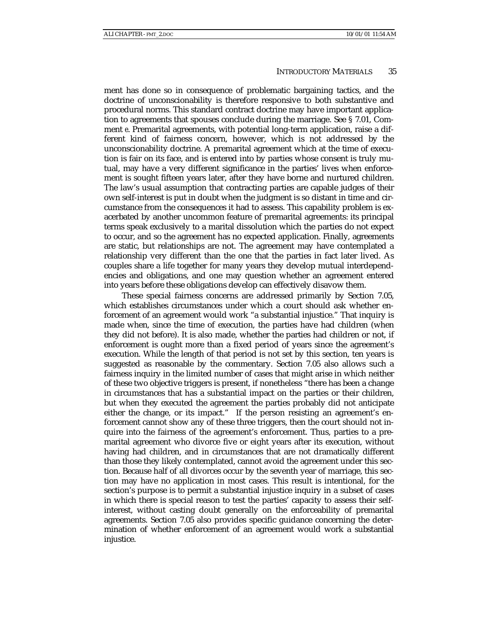ment has done so in consequence of problematic bargaining tactics, and the doctrine of unconscionability is therefore responsive to both substantive and procedural norms. This standard contract doctrine may have important application to agreements that spouses conclude during the marriage. See § 7.01, Comment *e*. Premarital agreements, with potential long-term application, raise a different kind of fairness concern, however, which is not addressed by the unconscionability doctrine. A premarital agreement which at the time of execution is fair on its face, and is entered into by parties whose consent is truly mutual, may have a very different significance in the parties' lives when enforcement is sought fifteen years later, after they have borne and nurtured children. The law's usual assumption that contracting parties are capable judges of their own self-interest is put in doubt when the judgment is so distant in time and circumstance from the consequences it had to assess. This capability problem is exacerbated by another uncommon feature of premarital agreements: its principal terms speak exclusively to a marital dissolution which the parties do not expect to occur, and so the agreement has no expected application. Finally, agreements are static, but relationships are not. The agreement may have contemplated a relationship very different than the one that the parties in fact later lived. As couples share a life together for many years they develop mutual interdependencies and obligations, and one may question whether an agreement entered into years before these obligations develop can effectively disavow them.

These special fairness concerns are addressed primarily by Section 7.05, which establishes circumstances under which a court should ask whether enforcement of an agreement would work "a substantial injustice." That inquiry is made when, since the time of execution, the parties have had children (when they did not before). It is also made, whether the parties had children or not, if enforcement is ought more than a fixed period of years since the agreement's execution. While the length of that period is not set by this section, ten years is suggested as reasonable by the commentary. Section 7.05 also allows such a fairness inquiry in the limited number of cases that might arise in which neither of these two objective triggers is present, if nonetheless "there has been a change in circumstances that has a substantial impact on the parties or their children, but when they executed the agreement the parties probably did not anticipate either the change, or its impact." If the person resisting an agreement's enforcement cannot show any of these three triggers, then the court should not inquire into the fairness of the agreement's enforcement. Thus, parties to a premarital agreement who divorce five or eight years after its execution, without having had children, and in circumstances that are not dramatically different than those they likely contemplated, cannot avoid the agreement under this section. Because half of all divorces occur by the seventh year of marriage, this section may have no application in most cases. This result is intentional, for the section's purpose is to permit a substantial injustice inquiry in a subset of cases in which there is special reason to test the parties' capacity to assess their selfinterest, without casting doubt generally on the enforceability of premarital agreements. Section 7.05 also provides specific guidance concerning the determination of whether enforcement of an agreement would work a substantial injustice.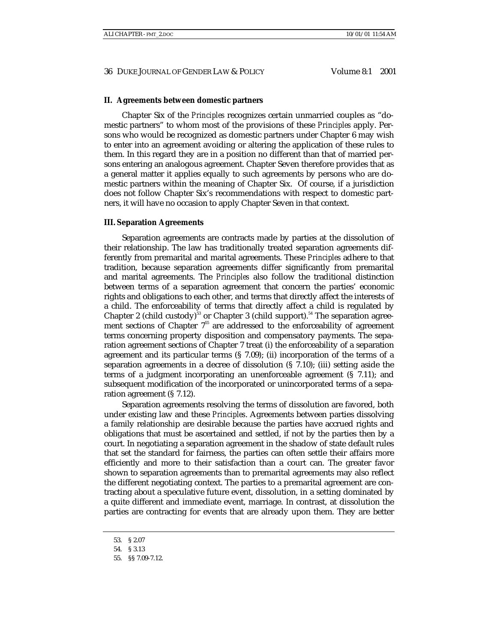#### **II. Agreements between domestic partners**

Chapter Six of the *Principles* recognizes certain unmarried couples as "domestic partners" to whom most of the provisions of these *Principles* apply. Persons who would be recognized as domestic partners under Chapter 6 may wish to enter into an agreement avoiding or altering the application of these rules to them. In this regard they are in a position no different than that of married persons entering an analogous agreement. Chapter Seven therefore provides that as a general matter it applies equally to such agreements by persons who are domestic partners within the meaning of Chapter Six. Of course, if a jurisdiction does not follow Chapter Six's recommendations with respect to domestic partners, it will have no occasion to apply Chapter Seven in that context.

#### **III. Separation Agreements**

Separation agreements are contracts made by parties at the dissolution of their relationship. The law has traditionally treated separation agreements differently from premarital and marital agreements. These *Principles* adhere to that tradition, because separation agreements differ significantly from premarital and marital agreements. The *Principles* also follow the traditional distinction between terms of a separation agreement that concern the parties' economic rights and obligations to each other, and terms that directly affect the interests of a child. The enforceability of terms that directly affect a child is regulated by Chapter 2 (child custody)<sup>53</sup> or Chapter 3 (child support).<sup>54</sup> The separation agreement sections of Chapter  $7^{55}$  are addressed to the enforceability of agreement terms concerning property disposition and compensatory payments. The separation agreement sections of Chapter 7 treat (i) the enforceability of a separation agreement and its particular terms (§ 7.09); (ii) incorporation of the terms of a separation agreements in a decree of dissolution (§ 7.10); (iii) setting aside the terms of a judgment incorporating an unenforceable agreement (§ 7.11); and subsequent modification of the incorporated or unincorporated terms of a separation agreement (§ 7.12).

Separation agreements resolving the terms of dissolution are favored, both under existing law and these *Principles*. Agreements between parties dissolving a family relationship are desirable because the parties have accrued rights and obligations that must be ascertained and settled, if not by the parties then by a court. In negotiating a separation agreement in the shadow of state default rules that set the standard for fairness, the parties can often settle their affairs more efficiently and more to their satisfaction than a court can. The greater favor shown to separation agreements than to premarital agreements may also reflect the different negotiating context. The parties to a premarital agreement are contracting about a speculative future event, dissolution, in a setting dominated by a quite different and immediate event, marriage. In contrast, at dissolution the parties are contracting for events that are already upon them. They are better

<sup>53.</sup> § 2.07

<sup>54.</sup> § 3.13

<sup>55.</sup> §§ 7.09-7.12.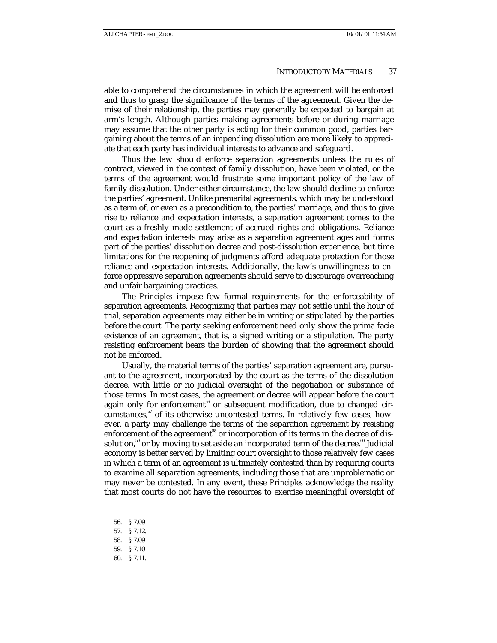able to comprehend the circumstances in which the agreement will be enforced and thus to grasp the significance of the terms of the agreement. Given the demise of their relationship, the parties may generally be expected to bargain at arm's length. Although parties making agreements before or during marriage may assume that the other party is acting for their common good, parties bargaining about the terms of an impending dissolution are more likely to appreciate that each party has individual interests to advance and safeguard.

Thus the law should enforce separation agreements unless the rules of contract, viewed in the context of family dissolution, have been violated, or the terms of the agreement would frustrate some important policy of the law of family dissolution. Under either circumstance, the law should decline to enforce the parties' agreement. Unlike premarital agreements, which may be understood as a term of, or even as a precondition to, the parties' marriage, and thus to give rise to reliance and expectation interests, a separation agreement comes to the court as a freshly made settlement of accrued rights and obligations. Reliance and expectation interests may arise as a separation agreement ages and forms part of the parties' dissolution decree and post-dissolution experience, but time limitations for the reopening of judgments afford adequate protection for those reliance and expectation interests. Additionally, the law's unwillingness to enforce oppressive separation agreements should serve to discourage overreaching and unfair bargaining practices.

The *Principles* impose few formal requirements for the enforceability of separation agreements. Recognizing that parties may not settle until the hour of trial, separation agreements may either be in writing or stipulated by the parties before the court. The party seeking enforcement need only show the prima facie existence of an agreement, that is, a signed writing or a stipulation. The party resisting enforcement bears the burden of showing that the agreement should not be enforced.

Usually, the material terms of the parties' separation agreement are, pursuant to the agreement, incorporated by the court as the terms of the dissolution decree, with little or no judicial oversight of the negotiation or substance of those terms. In most cases, the agreement or decree will appear before the court again only for enforcement<sup>56</sup> or subsequent modification, due to changed circumstances, $57$  of its otherwise uncontested terms. In relatively few cases, however, a party may challenge the terms of the separation agreement by resisting enforcement of the agreement<sup>58</sup> or incorporation of its terms in the decree of dissolution, $59$  or by moving to set aside an incorporated term of the decree. $60$  Judicial economy is better served by limiting court oversight to those relatively few cases in which a term of an agreement is ultimately contested than by requiring courts to examine all separation agreements, including those that are unproblematic or may never be contested. In any event, these *Principles* acknowledge the reality that most courts do not have the resources to exercise meaningful oversight of

- 56. § 7.09
- 57. § 7.12.
- 58. § 7.09
- 59. § 7.10
- 60. § 7.11.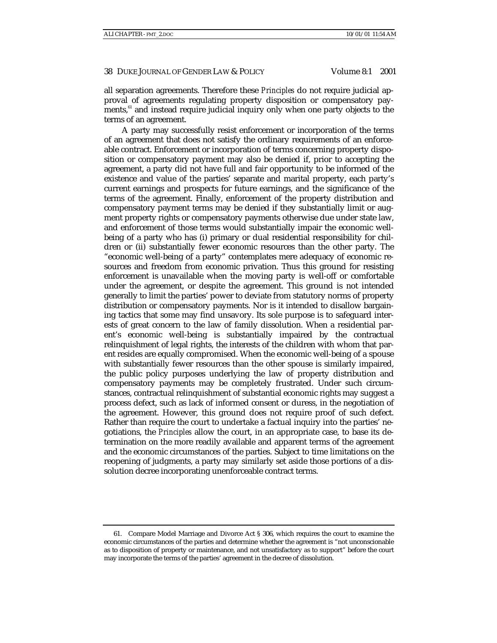all separation agreements. Therefore these *Principles* do not require judicial approval of agreements regulating property disposition or compensatory payments,<sup>61</sup> and instead require judicial inquiry only when one party objects to the terms of an agreement.

A party may successfully resist enforcement or incorporation of the terms of an agreement that does not satisfy the ordinary requirements of an enforceable contract. Enforcement or incorporation of terms concerning property disposition or compensatory payment may also be denied if, prior to accepting the agreement, a party did not have full and fair opportunity to be informed of the existence and value of the parties' separate and marital property, each party's current earnings and prospects for future earnings, and the significance of the terms of the agreement. Finally, enforcement of the property distribution and compensatory payment terms may be denied if they substantially limit or augment property rights or compensatory payments otherwise due under state law, and enforcement of those terms would substantially impair the economic wellbeing of a party who has (i) primary or dual residential responsibility for children or (ii) substantially fewer economic resources than the other party. The "economic well-being of a party" contemplates mere adequacy of economic resources and freedom from economic privation. Thus this ground for resisting enforcement is unavailable when the moving party is well-off or comfortable under the agreement, or despite the agreement. This ground is not intended generally to limit the parties' power to deviate from statutory norms of property distribution or compensatory payments. Nor is it intended to disallow bargaining tactics that some may find unsavory. Its sole purpose is to safeguard interests of great concern to the law of family dissolution. When a residential parent's economic well-being is substantially impaired by the contractual relinquishment of legal rights, the interests of the children with whom that parent resides are equally compromised. When the economic well-being of a spouse with substantially fewer resources than the other spouse is similarly impaired, the public policy purposes underlying the law of property distribution and compensatory payments may be completely frustrated. Under such circumstances, contractual relinquishment of substantial economic rights may suggest a process defect, such as lack of informed consent or duress, in the negotiation of the agreement. However, this ground does not require proof of such defect. Rather than require the court to undertake a factual inquiry into the parties' negotiations, the *Principles* allow the court, in an appropriate case, to base its determination on the more readily available and apparent terms of the agreement and the economic circumstances of the parties. Subject to time limitations on the reopening of judgments, a party may similarly set aside those portions of a dissolution decree incorporating unenforceable contract terms.

<sup>61.</sup> Compare Model Marriage and Divorce Act § 306, which requires the court to examine the economic circumstances of the parties and determine whether the agreement is "not unconscionable as to disposition of property or maintenance, and not unsatisfactory as to support" before the court may incorporate the terms of the parties' agreement in the decree of dissolution.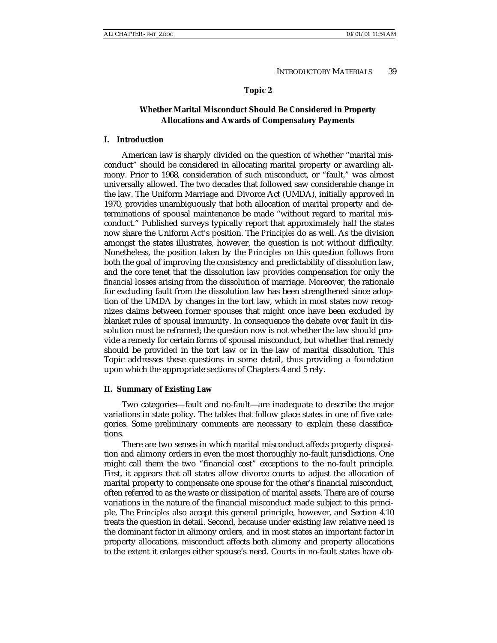## **Topic 2**

# **Whether Marital Misconduct Should Be Considered in Property Allocations and Awards of Compensatory Payments**

### **I. Introduction**

American law is sharply divided on the question of whether "marital misconduct" should be considered in allocating marital property or awarding alimony. Prior to 1968, consideration of such misconduct, or "fault," was almost universally allowed. The two decades that followed saw considerable change in the law. The Uniform Marriage and Divorce Act (UMDA), initially approved in 1970, provides unambiguously that both allocation of marital property and determinations of spousal maintenance be made "without regard to marital misconduct." Published surveys typically report that approximately half the states now share the Uniform Act's position. The *Principles* do as well. As the division amongst the states illustrates, however, the question is not without difficulty. Nonetheless, the position taken by the *Principles* on this question follows from both the goal of improving the consistency and predictability of dissolution law, and the core tenet that the dissolution law provides compensation for only the *financial* losses arising from the dissolution of marriage. Moreover, the rationale for excluding fault from the dissolution law has been strengthened since adoption of the UMDA by changes in the tort law, which in most states now recognizes claims between former spouses that might once have been excluded by blanket rules of spousal immunity. In consequence the debate over fault in dissolution must be reframed; the question now is not whether the law should provide a remedy for certain forms of spousal misconduct, but whether that remedy should be provided in the tort law or in the law of marital dissolution. This Topic addresses these questions in some detail, thus providing a foundation upon which the appropriate sections of Chapters 4 and 5 rely.

### **II. Summary of Existing Law**

Two categories—fault and no-fault—are inadequate to describe the major variations in state policy. The tables that follow place states in one of five categories. Some preliminary comments are necessary to explain these classifications.

There are two senses in which marital misconduct affects property disposition and alimony orders in even the most thoroughly no-fault jurisdictions. One might call them the two "financial cost" exceptions to the no-fault principle. First, it appears that all states allow divorce courts to adjust the allocation of marital property to compensate one spouse for the other's financial misconduct, often referred to as the waste or dissipation of marital assets. There are of course variations in the nature of the financial misconduct made subject to this principle. The *Principles* also accept this general principle, however, and Section 4.10 treats the question in detail. Second, because under existing law relative need is the dominant factor in alimony orders, and in most states an important factor in property allocations, misconduct affects both alimony and property allocations to the extent it enlarges either spouse's need. Courts in no-fault states have ob-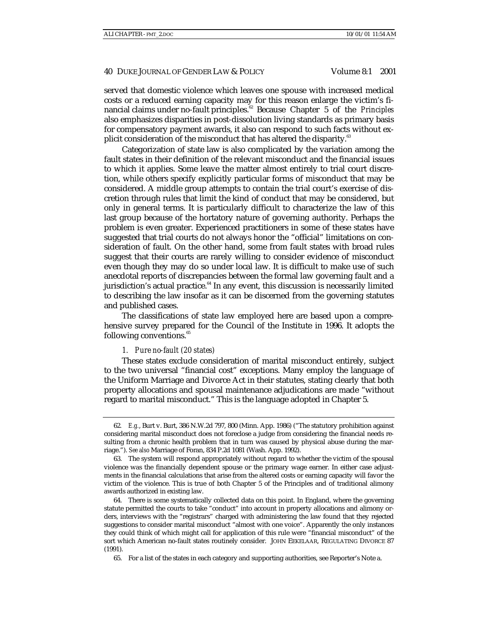#### 40 DUKE JOURNAL OF GENDER LAW & POLICY Volume 8:1 2001

served that domestic violence which leaves one spouse with increased medical costs or a reduced earning capacity may for this reason enlarge the victim's financial claims under no-fault principles.<sup>62</sup> Because Chapter 5 of the *Principles* also emphasizes disparities in post-dissolution living standards as primary basis for compensatory payment awards, it also can respond to such facts without explicit consideration of the misconduct that has altered the disparity.<sup>8</sup>

Categorization of state law is also complicated by the variation among the fault states in their definition of the relevant misconduct and the financial issues to which it applies. Some leave the matter almost entirely to trial court discretion, while others specify explicitly particular forms of misconduct that may be considered. A middle group attempts to contain the trial court's exercise of discretion through rules that limit the kind of conduct that may be considered, but only in general terms. It is particularly difficult to characterize the law of this last group because of the hortatory nature of governing authority. Perhaps the problem is even greater. Experienced practitioners in some of these states have suggested that trial courts do not always honor the "official" limitations on consideration of fault. On the other hand, some from fault states with broad rules suggest that their courts are rarely willing to consider evidence of misconduct even though they may do so under local law. It is difficult to make use of such anecdotal reports of discrepancies between the formal law governing fault and a jurisdiction's actual practice. $64$  In any event, this discussion is necessarily limited to describing the law insofar as it can be discerned from the governing statutes and published cases.

The classifications of state law employed here are based upon a comprehensive survey prepared for the Council of the Institute in 1996. It adopts the following conventions.<sup>65</sup>

## *1. Pure no-fault (20 states)*

These states exclude consideration of marital misconduct entirely, subject to the two universal "financial cost" exceptions. Many employ the language of the Uniform Marriage and Divorce Act in their statutes, stating clearly that both property allocations and spousal maintenance adjudications are made "without regard to marital misconduct." This is the language adopted in Chapter 5.

<sup>62</sup>*. E.g.*, Burt v. Burt, 386 N.W.2d 797, 800 (Minn. App. 1986) ("The statutory prohibition against considering marital misconduct does not foreclose a judge from considering the financial needs resulting from a chronic health problem that in turn was caused by physical abuse during the marriage."). *See also* Marriage of Foran, 834 P.2d 1081 (Wash. App. 1992).

<sup>63.</sup> The system will respond appropriately without regard to whether the victim of the spousal violence was the financially dependent spouse or the primary wage earner. In either case adjustments in the financial calculations that arise from the altered costs or earning capacity will favor the victim of the violence. This is true of both Chapter 5 of the Principles and of traditional alimony awards authorized in existing law.

<sup>64.</sup> There is some systematically collected data on this point. In England, where the governing statute permitted the courts to take "conduct" into account in property allocations and alimony orders, interviews with the "registrars" charged with administering the law found that they rejected suggestions to consider marital misconduct "almost with one voice". Apparently the only instances they could think of which might call for application of this rule were "financial misconduct" of the sort which American no-fault states routinely consider. JOHN EEKELAAR, REGULATING DIVORCE 87 (1991).

<sup>65.</sup> For a list of the states in each category and supporting authorities, see Reporter's Note a.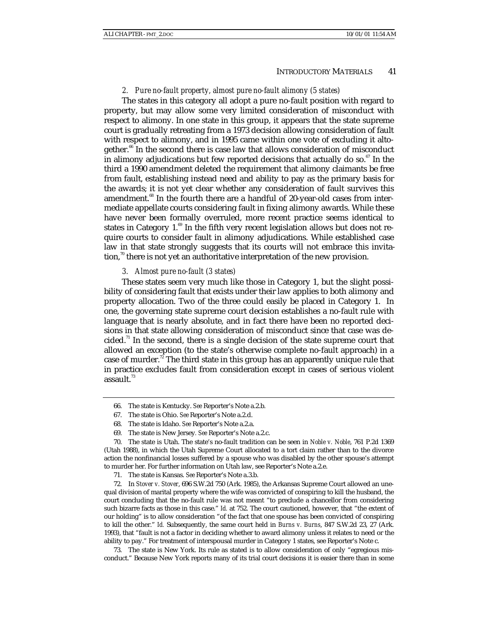### *2. Pure no-fault property, almost pure no-fault alimony (5 states)*

The states in this category all adopt a pure no-fault position with regard to property, but may allow some very limited consideration of misconduct with respect to alimony. In one state in this group, it appears that the state supreme court is gradually retreating from a 1973 decision allowing consideration of fault with respect to alimony, and in 1995 came within one vote of excluding it altogether.<sup>66</sup> In the second there is case law that allows consideration of misconduct in alimony adjudications but few reported decisions that actually do so. $\frac{67}{1}$  In the third a 1990 amendment deleted the requirement that alimony claimants be free from fault, establishing instead need and ability to pay as the primary basis for the awards; it is not yet clear whether any consideration of fault survives this amendment.<sup>68</sup> In the fourth there are a handful of 20-year-old cases from intermediate appellate courts considering fault in fixing alimony awards. While these have never been formally overruled, more recent practice seems identical to states in Category  $1.^{69}$  In the fifth very recent legislation allows but does not require courts to consider fault in alimony adjudications. While established case law in that state strongly suggests that its courts will not embrace this invitation, $\alpha$ <sup>0</sup> there is not yet an authoritative interpretation of the new provision.

#### *3. Almost pure no-fault (3 states)*

These states seem very much like those in Category 1, but the slight possibility of considering fault that exists under their law applies to both alimony and property allocation. Two of the three could easily be placed in Category 1. In one, the governing state supreme court decision establishes a no-fault rule with language that is nearly absolute, and in fact there have been no reported decisions in that state allowing consideration of misconduct since that case was decided.<sup>71</sup> In the second, there is a single decision of the state supreme court that allowed an exception (to the state's otherwise complete no-fault approach) in a case of murder. $^{\prime\prime}$  The third state in this group has an apparently unique rule that in practice excludes fault from consideration except in cases of serious violent assault. $^{73}$ 

73. The state is New York. Its rule as stated is to allow consideration of only "egregious misconduct." Because New York reports many of its trial court decisions it is easier there than in some

<sup>66.</sup> The state is Kentucky. *See* Reporter's Note a.2.b.

<sup>67.</sup> The state is Ohio. *See* Reporter's Note a.2.d.

<sup>68.</sup> The state is Idaho. *See* Reporter's Note a.2.a.

<sup>69.</sup> The state is New Jersey*. See* Reporter's Note a.2.c.

<sup>70.</sup> The state is Utah. The state's no-fault tradition can be seen in *Noble v. Noble*, 761 P.2d 1369 (Utah 1988), in which the Utah Supreme Court allocated to a tort claim rather than to the divorce action the nonfinancial losses suffered by a spouse who was disabled by the other spouse's attempt to murder her. For further information on Utah law, see Reporter's Note a.2.e.

<sup>71.</sup> The state is Kansas. *See* Reporter's Note a.3.b.

<sup>72.</sup> In *Stover v. Stover*, 696 S.W.2d 750 (Ark. 1985), the Arkansas Supreme Court allowed an unequal division of marital property where the wife was convicted of conspiring to kill the husband, the court concluding that the no-fault rule was not meant "to preclude a chancellor from considering such bizarre facts as those in this case." *Id.* at 752. The court cautioned, however, that "the extent of our holding" is to allow consideration "of the fact that one spouse has been convicted of conspiring to kill the other." *Id.* Subsequently, the same court held in *Burns v. Burns*, 847 S.W.2d 23, 27 (Ark. 1993), that "fault is not a factor in deciding whether to award alimony unless it relates to need or the ability to pay." For treatment of interspousal murder in Category 1 states, see Reporter's Note c.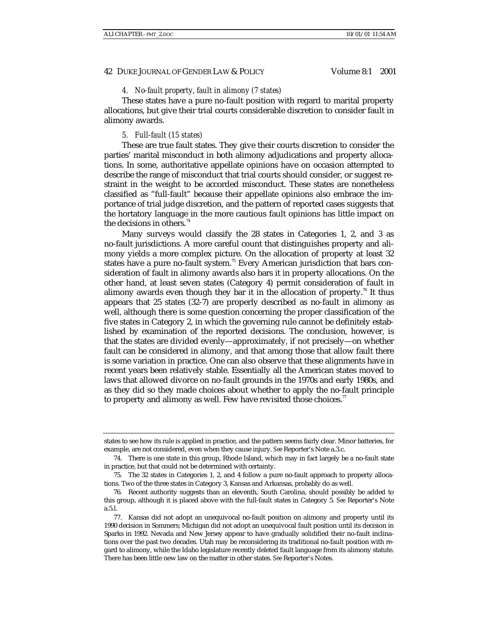## *4. No-fault property, fault in alimony (7 states)*

These states have a pure no-fault position with regard to marital property allocations, but give their trial courts considerable discretion to consider fault in alimony awards.

#### *5. Full-fault (15 states)*

These are true fault states. They give their courts discretion to consider the parties' marital misconduct in both alimony adjudications and property allocations. In some, authoritative appellate opinions have on occasion attempted to describe the range of misconduct that trial courts should consider, or suggest restraint in the weight to be accorded misconduct. These states are nonetheless classified as "full-fault" because their appellate opinions also embrace the importance of trial judge discretion, and the pattern of reported cases suggests that the hortatory language in the more cautious fault opinions has little impact on the decisions in others. $44$ 

Many surveys would classify the 28 states in Categories 1, 2, and 3 as no-fault jurisdictions. A more careful count that distinguishes property and alimony yields a more complex picture. On the allocation of property at least 32 states have a pure no-fault system.<sup>75</sup> Every American jurisdiction that bars consideration of fault in alimony awards also bars it in property allocations. On the other hand, at least seven states (Category 4) permit consideration of fault in alimony awards even though they bar it in the allocation of property.<sup>76</sup> It thus appears that 25 states (32-7) are properly described as no-fault in alimony as well, although there is some question concerning the proper classification of the five states in Category 2, in which the governing rule cannot be definitely established by examination of the reported decisions. The conclusion, however, is that the states are divided evenly—approximately, if not precisely—on whether fault can be considered in alimony, and that among those that allow fault there is some variation in practice. One can also observe that these alignments have in recent years been relatively stable. Essentially all the American states moved to laws that allowed divorce on no-fault grounds in the 1970s and early 1980s, and as they did so they made choices about whether to apply the no-fault principle to property and alimony as well. Few have revisited those choices. $<sup>7</sup>$ </sup>

states to see how its rule is applied in practice, and the pattern seems fairly clear. Minor batteries, for example, are not considered, even when they cause injury. *See* Reporter's Note a.3.c.

<sup>74.</sup> There is one state in this group, Rhode Island, which may in fact largely be a no-fault state in practice, but that could not be determined with certainty.

<sup>75.</sup> The 32 states in Categories 1, 2, and 4 follow a pure no-fault approach to property allocations. Two of the three states in Category 3, Kansas and Arkansas, probably do as well.

<sup>76.</sup> Recent authority suggests than an eleventh, South Carolina, should possibly be added to this group, although it is placed above with the full-fault states in Category 5. *See* Reporter's Note a.5.l.

<sup>77.</sup> Kansas did not adopt an unequivocal no-fault position on alimony and property until its 1990 decision in Sommers; Michigan did not adopt an unequivocal fault position until its decision in Sparks in 1992. Nevada and New Jersey appear to have gradually solidified their no-fault inclinations over the past two decades. Utah may be reconsidering its traditional no-fault position with regard to alimony, while the Idaho legislature recently deleted fault language from its alimony statute. There has been little new law on the matter in other states. *See* Reporter's Notes.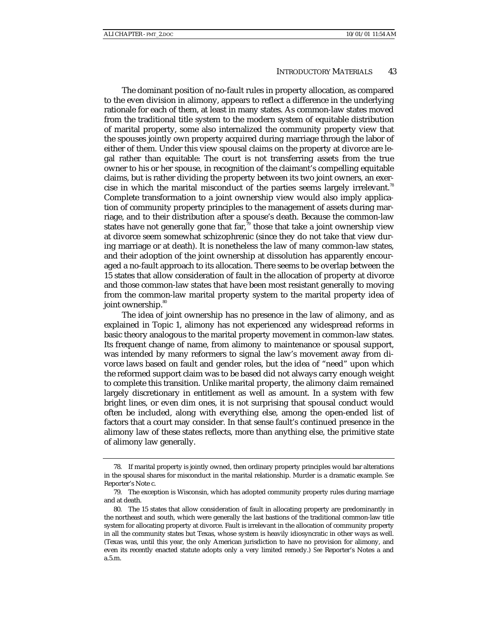The dominant position of no-fault rules in property allocation, as compared to the even division in alimony, appears to reflect a difference in the underlying rationale for each of them, at least in many states. As common-law states moved from the traditional title system to the modern system of equitable distribution of marital property, some also internalized the community property view that the spouses jointly own property acquired during marriage through the labor of either of them. Under this view spousal claims on the property at divorce are legal rather than equitable: The court is not transferring assets from the true owner to his or her spouse, in recognition of the claimant's compelling equitable claims, but is rather dividing the property between its two joint owners, an exercise in which the marital misconduct of the parties seems largely irrelevant.<sup>78</sup> Complete transformation to a joint ownership view would also imply application of community property principles to the management of assets during marriage, and to their distribution after a spouse's death. Because the common-law states have not generally gone that far,<sup>79</sup> those that take a joint ownership view at divorce seem somewhat schizophrenic (since they do not take that view during marriage or at death). It is nonetheless the law of many common-law states, and their adoption of the joint ownership at dissolution has apparently encouraged a no-fault approach to its allocation. There seems to be overlap between the 15 states that allow consideration of fault in the allocation of property at divorce and those common-law states that have been most resistant generally to moving from the common-law marital property system to the marital property idea of joint ownership.<sup>80</sup>

The idea of joint ownership has no presence in the law of alimony, and as explained in Topic 1, alimony has not experienced any widespread reforms in basic theory analogous to the marital property movement in common-law states. Its frequent change of name, from alimony to maintenance or spousal support, was intended by many reformers to signal the law's movement away from divorce laws based on fault and gender roles, but the idea of "need" upon which the reformed support claim was to be based did not always carry enough weight to complete this transition. Unlike marital property, the alimony claim remained largely discretionary in entitlement as well as amount. In a system with few bright lines, or even dim ones, it is not surprising that spousal conduct would often be included, along with everything else, among the open-ended list of factors that a court may consider. In that sense fault's continued presence in the alimony law of these states reflects, more than anything else, the primitive state of alimony law generally.

<sup>78.</sup> If marital property is jointly owned, then ordinary property principles would bar alterations in the spousal shares for misconduct in the marital relationship. Murder is a dramatic example. *See* Reporter's Note c.

<sup>79.</sup> The exception is Wisconsin, which has adopted community property rules during marriage and at death.

<sup>80.</sup> The 15 states that allow consideration of fault in allocating property are predominantly in the northeast and south, which were generally the last bastions of the traditional common-law title system for allocating property at divorce. Fault is irrelevant in the allocation of community property in all the community states but Texas, whose system is heavily idiosyncratic in other ways as well. (Texas was, until this year, the only American jurisdiction to have no provision for alimony, and even its recently enacted statute adopts only a very limited remedy.) *See* Reporter's Notes a and a.5.m.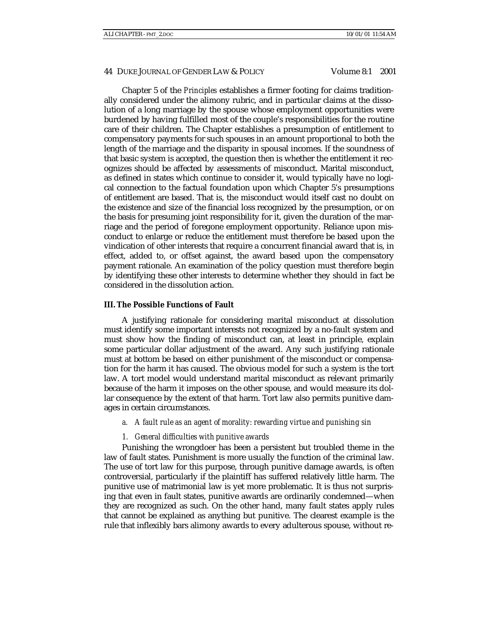## 44 DUKE JOURNAL OF GENDER LAW & POLICY Volume 8:1 2001

Chapter 5 of the *Principles* establishes a firmer footing for claims traditionally considered under the alimony rubric, and in particular claims at the dissolution of a long marriage by the spouse whose employment opportunities were burdened by having fulfilled most of the couple's responsibilities for the routine care of their children. The Chapter establishes a presumption of entitlement to compensatory payments for such spouses in an amount proportional to both the length of the marriage and the disparity in spousal incomes. If the soundness of that basic system is accepted, the question then is whether the entitlement it recognizes should be affected by assessments of misconduct. Marital misconduct, as defined in states which continue to consider it, would typically have no logical connection to the factual foundation upon which Chapter 5's presumptions of entitlement are based. That is, the misconduct would itself cast no doubt on the existence and size of the financial loss recognized by the presumption, or on the basis for presuming joint responsibility for it, given the duration of the marriage and the period of foregone employment opportunity. Reliance upon misconduct to enlarge or reduce the entitlement must therefore be based upon the vindication of other interests that require a concurrent financial award that is, in effect, added to, or offset against, the award based upon the compensatory payment rationale. An examination of the policy question must therefore begin by identifying these other interests to determine whether they should in fact be considered in the dissolution action.

## **III. The Possible Functions of Fault**

A justifying rationale for considering marital misconduct at dissolution must identify some important interests not recognized by a no-fault system and must show how the finding of misconduct can, at least in principle, explain some particular dollar adjustment of the award. Any such justifying rationale must at bottom be based on either punishment of the misconduct or compensation for the harm it has caused. The obvious model for such a system is the tort law. A tort model would understand marital misconduct as relevant primarily because of the harm it imposes on the other spouse, and would measure its dollar consequence by the extent of that harm. Tort law also permits punitive damages in certain circumstances.

# *a. A fault rule as an agent of morality: rewarding virtue and punishing sin*

*1. General difficulties with punitive awards*

Punishing the wrongdoer has been a persistent but troubled theme in the law of fault states. Punishment is more usually the function of the criminal law. The use of tort law for this purpose, through punitive damage awards, is often controversial, particularly if the plaintiff has suffered relatively little harm. The punitive use of matrimonial law is yet more problematic. It is thus not surprising that even in fault states, punitive awards are ordinarily condemned—when they are recognized as such. On the other hand, many fault states apply rules that cannot be explained as anything but punitive. The clearest example is the rule that inflexibly bars alimony awards to every adulterous spouse, without re-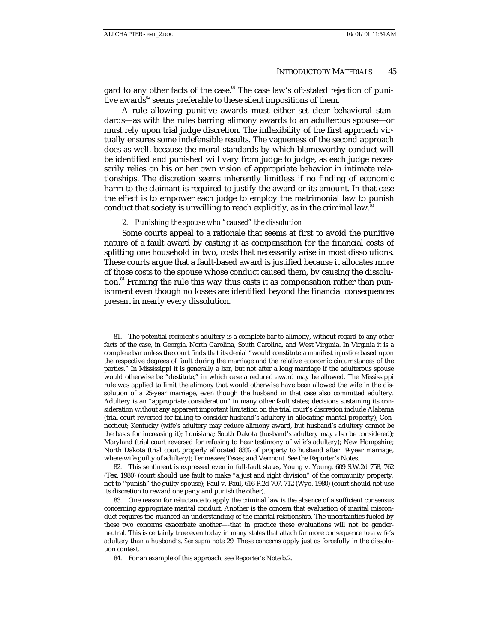gard to any other facts of the case.<sup>81</sup> The case law's oft-stated rejection of punitive awards<sup>82</sup> seems preferable to these silent impositions of them.

A rule allowing punitive awards must either set clear behavioral standards—as with the rules barring alimony awards to an adulterous spouse—or must rely upon trial judge discretion. The inflexibility of the first approach virtually ensures some indefensible results. The vagueness of the second approach does as well, because the moral standards by which blameworthy conduct will be identified and punished will vary from judge to judge, as each judge necessarily relies on his or her own vision of appropriate behavior in intimate relationships. The discretion seems inherently limitless if no finding of economic harm to the claimant is required to justify the award or its amount. In that case the effect is to empower each judge to employ the matrimonial law to punish conduct that society is unwilling to reach explicitly, as in the criminal law.<sup>83</sup>

## *2. Punishing the spouse who "caused" the dissolution*

Some courts appeal to a rationale that seems at first to avoid the punitive nature of a fault award by casting it as compensation for the financial costs of splitting one household in two, costs that necessarily arise in most dissolutions. These courts argue that a fault-based award is justified because it allocates more of those costs to the spouse whose conduct caused them, by causing the dissolution.<sup>84</sup> Framing the rule this way thus casts it as compensation rather than punishment even though no losses are identified beyond the financial consequences present in nearly every dissolution.

<sup>81.</sup> The potential recipient's adultery is a complete bar to alimony, without regard to any other facts of the case, in Georgia, North Carolina, South Carolina, and West Virginia. In Virginia it is a complete bar unless the court finds that its denial "would constitute a manifest injustice based upon the respective degrees of fault during the marriage and the relative economic circumstances of the parties." In Mississippi it is generally a bar, but not after a long marriage if the adulterous spouse would otherwise be "destitute," in which case a reduced award may be allowed. The Mississippi rule was applied to limit the alimony that would otherwise have been allowed the wife in the dissolution of a 25-year marriage, even though the husband in that case also committed adultery. Adultery is an "appropriate consideration" in many other fault states; decisions sustaining its consideration without any apparent important limitation on the trial court's discretion include Alabama (trial court reversed for failing to consider husband's adultery in allocating marital property); Connecticut; Kentucky (wife's adultery may reduce alimony award, but husband's adultery cannot be the basis for increasing it); Louisiana; South Dakota (husband's adultery may also be considered); Maryland (trial court reversed for refusing to hear testimony of wife's adultery); New Hampshire; North Dakota (trial court properly allocated 83% of property to husband after 19-year marriage, where wife guilty of adultery); Tennessee; Texas; and Vermont. See the Reporter's Notes.

<sup>82.</sup> This sentiment is expressed even in full-fault states, Young v. Young, 609 S.W.2d 758, 762 (Tex. 1980) (court should use fault to make "a just and right division" of the community property, not to "punish" the guilty spouse); Paul v. Paul, 616 P.2d 707, 712 (Wyo. 1980) (court should not use its discretion to reward one party and punish the other).

<sup>83.</sup> One reason for reluctance to apply the criminal law is the absence of a sufficient consensus concerning appropriate marital conduct. Another is the concern that evaluation of marital misconduct requires too nuanced an understanding of the marital relationship. The uncertainties fueled by these two concerns exacerbate another—-that in practice these evaluations will not be genderneutral. This is certainly true even today in many states that attach far more consequence to a wife's adultery than a husband's. *See supra* note 29. These concerns apply just as forcefully in the dissolution context.

<sup>84.</sup> For an example of this approach, see Reporter's Note b.2.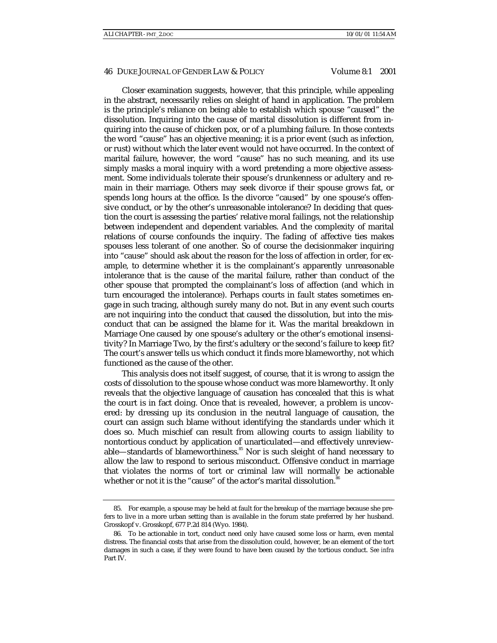Closer examination suggests, however, that this principle, while appealing in the abstract, necessarily relies on sleight of hand in application. The problem is the principle's reliance on being able to establish which spouse "caused" the dissolution. Inquiring into the cause of marital dissolution is different from inquiring into the cause of chicken pox, or of a plumbing failure. In those contexts the word "cause" has an objective meaning; it is a prior event (such as infection, or rust) without which the later event would not have occurred. In the context of marital failure, however, the word "cause" has no such meaning, and its use simply masks a moral inquiry with a word pretending a more objective assessment. Some individuals tolerate their spouse's drunkenness or adultery and remain in their marriage. Others may seek divorce if their spouse grows fat, or spends long hours at the office. Is the divorce "caused" by one spouse's offensive conduct, or by the other's unreasonable intolerance? In deciding that question the court is assessing the parties' relative moral failings, not the relationship between independent and dependent variables. And the complexity of marital relations of course confounds the inquiry. The fading of affective ties makes spouses less tolerant of one another. So of course the decisionmaker inquiring into "cause" should ask about the reason for the loss of affection in order, for example, to determine whether it is the complainant's apparently unreasonable intolerance that is the cause of the marital failure, rather than conduct of the other spouse that prompted the complainant's loss of affection (and which in turn encouraged the intolerance). Perhaps courts in fault states sometimes engage in such tracing, although surely many do not. But in any event such courts are not inquiring into the conduct that caused the dissolution, but into the misconduct that can be assigned the blame for it. Was the marital breakdown in Marriage One caused by one spouse's adultery or the other's emotional insensitivity? In Marriage Two, by the first's adultery or the second's failure to keep fit? The court's answer tells us which conduct it finds more blameworthy, not which functioned as the cause of the other.

This analysis does not itself suggest, of course, that it is wrong to assign the costs of dissolution to the spouse whose conduct was more blameworthy. It only reveals that the objective language of causation has concealed that this is what the court is in fact doing. Once that is revealed, however, a problem is uncovered: by dressing up its conclusion in the neutral language of causation, the court can assign such blame without identifying the standards under which it does so. Much mischief can result from allowing courts to assign liability to nontortious conduct by application of unarticulated—and effectively unreviewable—standards of blameworthiness.<sup>85</sup> Nor is such sleight of hand necessary to allow the law to respond to serious misconduct. Offensive conduct in marriage that violates the norms of tort or criminal law will normally be actionable whether or not it is the "cause" of the actor's marital dissolution.<sup>86</sup>

<sup>85.</sup> For example, a spouse may be held at fault for the breakup of the marriage because she prefers to live in a more urban setting than is available in the forum state preferred by her husband. Grosskopf v. Grosskopf, 677 P.2d 814 (Wyo. 1984).

<sup>86.</sup> To be actionable in tort, conduct need only have caused some loss or harm, even mental distress. The financial costs that arise from the dissolution could, however, be an element of the tort damages in such a case, if they were found to have been caused by the tortious conduct. *See infra* Part IV.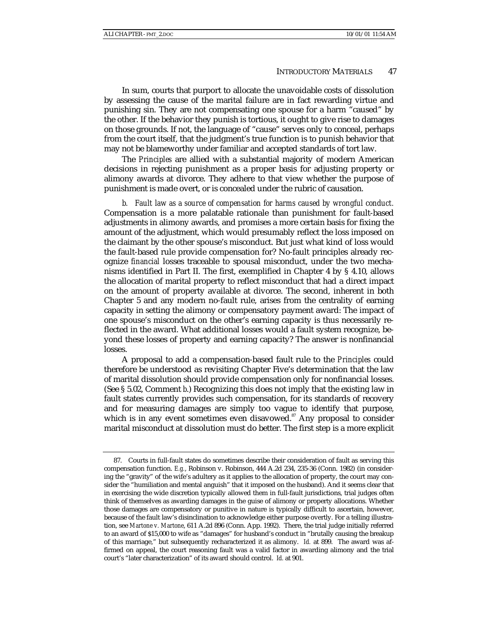In sum, courts that purport to allocate the unavoidable costs of dissolution by assessing the cause of the marital failure are in fact rewarding virtue and punishing sin. They are not compensating one spouse for a harm "caused" by the other. If the behavior they punish is tortious, it ought to give rise to damages on those grounds. If not, the language of "cause" serves only to conceal, perhaps from the court itself, that the judgment's true function is to punish behavior that may not be blameworthy under familiar and accepted standards of tort law.

The *Principles* are allied with a substantial majority of modern American decisions in rejecting punishment as a proper basis for adjusting property or alimony awards at divorce. They adhere to that view whether the purpose of punishment is made overt, or is concealed under the rubric of causation.

*b. Fault law as a source of compensation for harms caused by wrongful conduct.* Compensation is a more palatable rationale than punishment for fault-based adjustments in alimony awards, and promises a more certain basis for fixing the amount of the adjustment, which would presumably reflect the loss imposed on the claimant by the other spouse's misconduct. But just what kind of loss would the fault-based rule provide compensation for? No-fault principles already recognize *financial* losses traceable to spousal misconduct, under the two mechanisms identified in Part II. The first, exemplified in Chapter 4 by § 4.10, allows the allocation of marital property to reflect misconduct that had a direct impact on the amount of property available at divorce. The second, inherent in both Chapter 5 and any modern no-fault rule, arises from the centrality of earning capacity in setting the alimony or compensatory payment award: The impact of one spouse's misconduct on the other's earning capacity is thus necessarily reflected in the award. What additional losses would a fault system recognize, beyond these losses of property and earning capacity? The answer is nonfinancial losses.

A proposal to add a compensation-based fault rule to the *Principles* could therefore be understood as revisiting Chapter Five's determination that the law of marital dissolution should provide compensation only for nonfinancial losses. (See § 5.02, Comment *b*.) Recognizing this does not imply that the existing law in fault states currently provides such compensation, for its standards of recovery and for measuring damages are simply too vague to identify that purpose, which is in any event sometimes even disavowed. $^{87}$  Any proposal to consider marital misconduct at dissolution must do better. The first step is a more explicit

<sup>87.</sup> Courts in full-fault states do sometimes describe their consideration of fault as serving this compensation function. *E.g.*, Robinson v. Robinson, 444 A.2d 234, 235-36 (Conn. 1982) (in considering the "gravity" of the wife's adultery as it applies to the allocation of property, the court may consider the "humiliation and mental anguish" that it imposed on the husband). And it seems clear that in exercising the wide discretion typically allowed them in full-fault jurisdictions, trial judges often think of themselves as awarding damages in the guise of alimony or property allocations. Whether those damages are compensatory or punitive in nature is typically difficult to ascertain, however, because of the fault law's disinclination to acknowledge either purpose overtly. For a telling illustration, see *Martone v. Martone*, 611 A.2d 896 (Conn. App. 1992). There, the trial judge initially referred to an award of \$15,000 to wife as "damages" for husband's conduct in "brutally causing the breakup of this marriage," but subsequently recharacterized it as alimony. *Id.* at 899. The award was affirmed on appeal, the court reasoning fault was a valid factor in awarding alimony and the trial court's "later characterization" of its award should control. *Id.* at 901.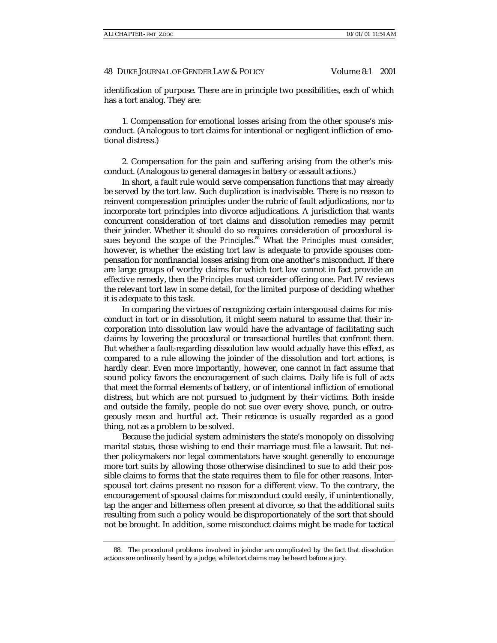identification of purpose. There are in principle two possibilities, each of which has a tort analog. They are:

1. Compensation for emotional losses arising from the other spouse's misconduct. (Analogous to tort claims for intentional or negligent infliction of emotional distress.)

2. Compensation for the pain and suffering arising from the other's misconduct. (Analogous to general damages in battery or assault actions.)

In short, a fault rule would serve compensation functions that may already be served by the tort law. Such duplication is inadvisable. There is no reason to reinvent compensation principles under the rubric of fault adjudications, nor to incorporate tort principles into divorce adjudications. A jurisdiction that wants concurrent consideration of tort claims and dissolution remedies may permit their joinder. Whether it should do so requires consideration of procedural issues beyond the scope of the *Principles*. 88 What the *Principles* must consider, however, is whether the existing tort law is adequate to provide spouses compensation for nonfinancial losses arising from one another's misconduct. If there are large groups of worthy claims for which tort law cannot in fact provide an effective remedy, then the *Principles* must consider offering one. Part IV reviews the relevant tort law in some detail, for the limited purpose of deciding whether it is adequate to this task.

In comparing the virtues of recognizing certain interspousal claims for misconduct in tort or in dissolution, it might seem natural to assume that their incorporation into dissolution law would have the advantage of facilitating such claims by lowering the procedural or transactional hurdles that confront them. But whether a fault-regarding dissolution law would actually have this effect, as compared to a rule allowing the joinder of the dissolution and tort actions, is hardly clear. Even more importantly, however, one cannot in fact assume that sound policy favors the encouragement of such claims. Daily life is full of acts that meet the formal elements of battery, or of intentional infliction of emotional distress, but which are not pursued to judgment by their victims. Both inside and outside the family, people do not sue over every shove, punch, or outrageously mean and hurtful act. Their reticence is usually regarded as a good thing, not as a problem to be solved.

Because the judicial system administers the state's monopoly on dissolving marital status, those wishing to end their marriage must file a lawsuit. But neither policymakers nor legal commentators have sought generally to encourage more tort suits by allowing those otherwise disinclined to sue to add their possible claims to forms that the state requires them to file for other reasons. Interspousal tort claims present no reason for a different view. To the contrary, the encouragement of spousal claims for misconduct could easily, if unintentionally, tap the anger and bitterness often present at divorce, so that the additional suits resulting from such a policy would be disproportionately of the sort that should not be brought. In addition, some misconduct claims might be made for tactical

<sup>88.</sup> The procedural problems involved in joinder are complicated by the fact that dissolution actions are ordinarily heard by a judge, while tort claims may be heard before a jury.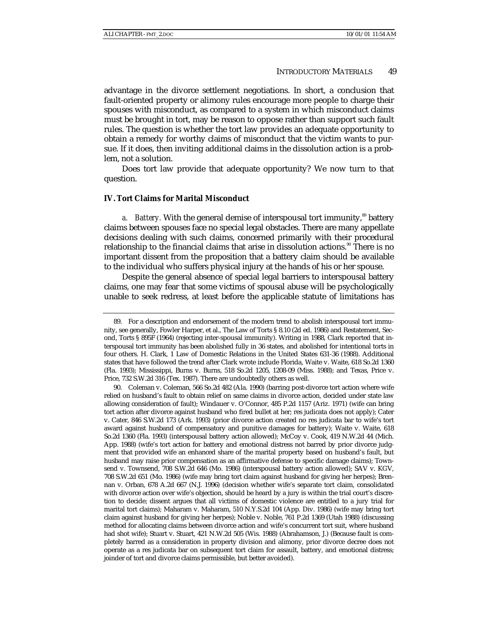advantage in the divorce settlement negotiations. In short, a conclusion that fault-oriented property or alimony rules encourage more people to charge their spouses with misconduct, as compared to a system in which misconduct claims must be brought in tort, may be reason to oppose rather than support such fault rules. The question is whether the tort law provides an adequate opportunity to obtain a remedy for worthy claims of misconduct that the victim wants to pursue. If it does, then inviting additional claims in the dissolution action is a problem, not a solution.

Does tort law provide that adequate opportunity? We now turn to that question.

## **IV. Tort Claims for Marital Misconduct**

*a. Battery.* With the general demise of interspousal tort immunity.<sup>89</sup> battery claims between spouses face no special legal obstacles. There are many appellate decisions dealing with such claims, concerned primarily with their procedural relationship to the financial claims that arise in dissolution actions. $\frac{90}{10}$  There is no important dissent from the proposition that a battery claim should be available to the individual who suffers physical injury at the hands of his or her spouse.

Despite the general absence of special legal barriers to interspousal battery claims, one may fear that some victims of spousal abuse will be psychologically unable to seek redress, at least before the applicable statute of limitations has

<sup>89.</sup> For a description and endorsement of the modern trend to abolish interspousal tort immunity, see generally, Fowler Harper, et al., The Law of Torts § 8.10 (2d ed. 1986) and Restatement, Second, Torts § 895F (1964) (rejecting inter-spousal immunity). Writing in 1988, Clark reported that interspousal tort immunity has been abolished fully in 36 states, and abolished for intentional torts in four others. H. Clark, 1 Law of Domestic Relations in the United States 631-36 (1988). Additional states that have followed the trend after Clark wrote include Florida, Waite v. Waite, 618 So.2d 1360 (Fla. 1993); Mississippi, Burns v. Burns, 518 So.2d 1205, 1208-09 (Miss. 1988); and Texas, Price v. Price, 732 S.W.2d 316 (Tex. 1987). There are undoubtedly others as well.

<sup>90.</sup> Coleman v. Coleman, 566 So.2d 482 (Ala. 1990) (barring post-divorce tort action where wife relied on husband's fault to obtain relief on same claims in divorce action, decided under state law allowing consideration of fault); Windauer v. O'Connor, 485 P.2d 1157 (Ariz. 1971) (wife can bring tort action after divorce against husband who fired bullet at her; res judicata does not apply); Cater v. Cater, 846 S.W.2d 173 (Ark. 1993) (prior divorce action created no res judicata bar to wife's tort award against husband of compensatory and punitive damages for battery); Waite v. Waite, 618 So.2d 1360 (Fla. 1993) (interspousal battery action allowed); McCoy v. Cook, 419 N.W.2d 44 (Mich. App. 1988) (wife's tort action for battery and emotional distress not barred by prior divorce judgment that provided wife an enhanced share of the marital property based on husband's fault, but husband may raise prior compensation as an affirmative defense to specific damage claims); Townsend v. Townsend, 708 S.W.2d 646 (Mo. 1986) (interspousal battery action allowed); SAV v. KGV, 708 S.W.2d 651 (Mo. 1986) (wife may bring tort claim against husband for giving her herpes); Brennan v. Orban, 678 A.2d 667 (N.J. 1996) (decision whether wife's separate tort claim, consolidated with divorce action over wife's objection, should be heard by a jury is within the trial court's discretion to decide; dissent argues that all victims of domestic violence are entitled to a jury trial for marital tort claims); Maharam v. Maharam, 510 N.Y.S.2d 104 (App. Div. 1986) (wife may bring tort claim against husband for giving her herpes); Noble v. Noble, 761 P.2d 1369 (Utah 1988) (discussing method for allocating claims between divorce action and wife's concurrent tort suit, where husband had shot wife); Stuart v. Stuart, 421 N.W.2d 505 (Wis. 1988) (Abrahamson, J.) (Because fault is completely barred as a consideration in property division and alimony, prior divorce decree does not operate as a res judicata bar on subsequent tort claim for assault, battery, and emotional distress; joinder of tort and divorce claims permissible, but better avoided).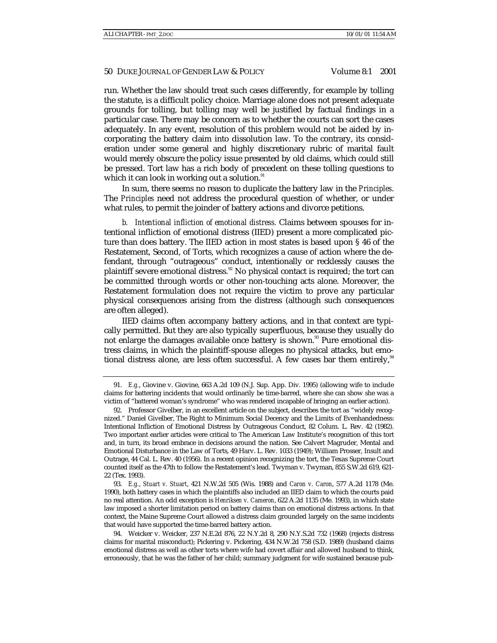#### 50 DUKE JOURNAL OF GENDER LAW & POLICY Volume 8:1 2001

run. Whether the law should treat such cases differently, for example by tolling the statute, is a difficult policy choice. Marriage alone does not present adequate grounds for tolling, but tolling may well be justified by factual findings in a particular case. There may be concern as to whether the courts can sort the cases adequately. In any event, resolution of this problem would not be aided by incorporating the battery claim into dissolution law. To the contrary, its consideration under some general and highly discretionary rubric of marital fault would merely obscure the policy issue presented by old claims, which could still be pressed. Tort law has a rich body of precedent on these tolling questions to which it can look in working out a solution.<sup>91</sup>

In sum, there seems no reason to duplicate the battery law in the *Principles*. The *Principles* need not address the procedural question of whether, or under what rules, to permit the joinder of battery actions and divorce petitions.

*b. Intentional infliction of emotional distress.* Claims between spouses for intentional infliction of emotional distress (IIED) present a more complicated picture than does battery. The IIED action in most states is based upon § 46 of the Restatement, Second, of Torts, which recognizes a cause of action where the defendant, through "outrageous" conduct, intentionally or recklessly causes the plaintiff severe emotional distress.<sup>92</sup> No physical contact is required; the tort can be committed through words or other non-touching acts alone. Moreover, the Restatement formulation does not require the victim to prove any particular physical consequences arising from the distress (although such consequences are often alleged).

IIED claims often accompany battery actions, and in that context are typically permitted. But they are also typically superfluous, because they usually do not enlarge the damages available once battery is shown.<sup>93</sup> Pure emotional distress claims, in which the plaintiff-spouse alleges no physical attacks, but emotional distress alone, are less often successful. A few cases bar them entirely,  $\mu$ 

<sup>91.</sup> *E.g.*, Giovine v. Giovine, 663 A.2d 109 (N.J. Sup. App. Div. 1995) (allowing wife to include claims for battering incidents that would ordinarily be time-barred, where she can show she was a victim of "battered woman's syndrome" who was rendered incapable of bringing an earlier action).

<sup>92.</sup> Professor Givelber, in an excellent article on the subject, describes the tort as "widely recognized." Daniel Givelber, The Right to Minimum Social Decency and the Limits of Evenhandedness: Intentional Infliction of Emotional Distress by Outrageous Conduct, 82 Colum. L. Rev. 42 (1982). Two important earlier articles were critical to The American Law Institute's recognition of this tort and, in turn, its broad embrace in decisions around the nation. See Calvert Magruder, Mental and Emotional Disturbance in the Law of Torts, 49 Harv. L. Rev. 1033 (1949); William Prosser, Insult and Outrage, 44 Cal. L. Rev. 40 (1956). In a recent opinion recognizing the tort, the Texas Supreme Court counted itself as the 47th to follow the Restatement's lead. Twyman v. Twyman, 855 S.W.2d 619, 621- 22 (Tex. 1993).

<sup>93.</sup> *E.g.*, *Stuart v. Stuart*, 421 N.W.2d 505 (Wis. 1988) and *Caron v. Caron*, 577 A.2d 1178 (Me. 1990), both battery cases in which the plaintiffs also included an IIED claim to which the courts paid no real attention. An odd exception is *Henriksen v. Cameron*, 622 A.2d 1135 (Me. 1993), in which state law imposed a shorter limitation period on battery claims than on emotional distress actions. In that context, the Maine Supreme Court allowed a distress claim grounded largely on the same incidents that would have supported the time-barred battery action.

<sup>94.</sup> Weicker v. Weicker, 237 N.E.2d 876, 22 N.Y.2d 8, 290 N.Y.S.2d 732 (1968) (rejects distress claims for marital misconduct); Pickering v. Pickering, 434 N.W.2d 758 (S.D. 1989) (husband claims emotional distress as well as other torts where wife had covert affair and allowed husband to think, erroneously, that he was the father of her child; summary judgment for wife sustained because pub-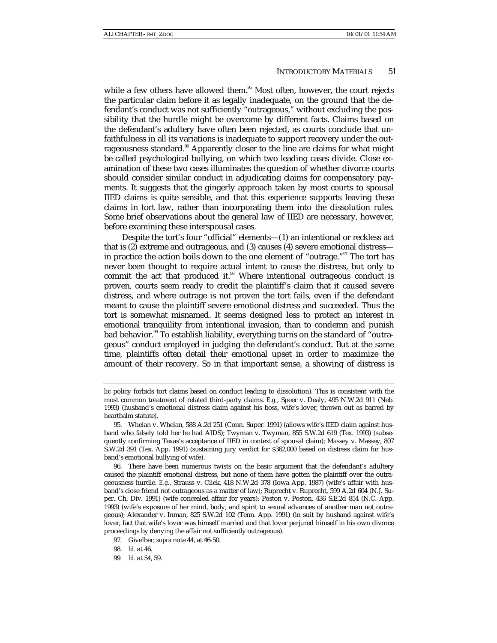while a few others have allowed them.<sup>95</sup> Most often, however, the court rejects the particular claim before it as legally inadequate, on the ground that the defendant's conduct was not sufficiently "outrageous," without excluding the possibility that the hurdle might be overcome by different facts. Claims based on the defendant's adultery have often been rejected, as courts conclude that unfaithfulness in all its variations is inadequate to support recovery under the outrageousness standard.<sup>96</sup> Apparently closer to the line are claims for what might be called psychological bullying, on which two leading cases divide. Close examination of these two cases illuminates the question of whether divorce courts should consider similar conduct in adjudicating claims for compensatory payments. It suggests that the gingerly approach taken by most courts to spousal IIED claims is quite sensible, and that this experience supports leaving these claims in tort law, rather than incorporating them into the dissolution rules. Some brief observations about the general law of IIED are necessary, however, before examining these interspousal cases.

Despite the tort's four "official" elements—(1) an intentional or reckless act that is (2) extreme and outrageous, and (3) causes (4) severe emotional distress in practice the action boils down to the one element of "outrage." $\mathrm{^{97}}$  The tort has never been thought to require actual intent to cause the distress, but only to commit the act that produced it. $\mathscr{L}^*$  Where intentional outrageous conduct is proven, courts seem ready to credit the plaintiff's claim that it caused severe distress, and where outrage is not proven the tort fails, even if the defendant meant to cause the plaintiff severe emotional distress and succeeded. Thus the tort is somewhat misnamed. It seems designed less to protect an interest in emotional tranquility from intentional invasion, than to condemn and punish bad behavior.<sup>99</sup> To establish liability, everything turns on the standard of "outrageous" conduct employed in judging the defendant's conduct. But at the same time, plaintiffs often detail their emotional upset in order to maximize the amount of their recovery. So in that important sense, a showing of distress is

lic policy forbids tort claims based on conduct leading to dissolution). This is consistent with the most common treatment of related third-party claims. *E.g.*, Speer v. Dealy, 495 N.W.2d 911 (Neb. 1993) (husband's emotional distress claim against his boss, wife's lover, thrown out as barred by heartbalm statute).

<sup>95.</sup> Whelan v. Whelan, 588 A.2d 251 (Conn. Super. 1991) (allows wife's IIED claim against husband who falsely told her he had AIDS); Twyman v. Twyman, 855 S.W.2d 619 (Tex. 1993) (subsequently confirming Texas's acceptance of IIED in context of spousal claim); Massey v. Massey, 807 S.W.2d 391 (Tex. App. 1991) (sustaining jury verdict for \$362,000 based on distress claim for husband's emotional bullying of wife).

<sup>96.</sup> There have been numerous twists on the basic argument that the defendant's adultery caused the plaintiff emotional distress, but none of them have gotten the plaintiff over the outrageousness hurdle. *E.g.*, Strauss v. Cilek, 418 N.W.2d 378 (Iowa App. 1987) (wife's affair with husband's close friend not outrageous as a matter of law); Ruprecht v. Ruprecht, 599 A.2d 604 (N.J. Super. Ch. Div. 1991) (wife concealed affair for years); Poston v. Poston, 436 S.E.2d 854 (N.C. App. 1993) (wife's exposure of her mind, body, and spirit to sexual advances of another man not outrageous); Alexander v. Inman, 825 S.W.2d 102 (Tenn. App. 1991) (in suit by husband against wife's lover, fact that wife's lover was himself married and that lover perjured himself in his own divorce proceedings by denying the affair not sufficiently outrageous).

<sup>97.</sup> Givelber, *supra* note 44, at 46-50.

<sup>98.</sup> *Id.* at 46.

<sup>99</sup>*. Id.* at 54, 59.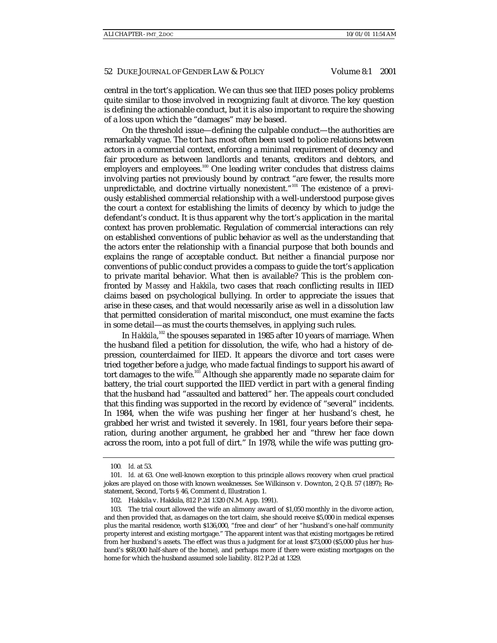central in the tort's application. We can thus see that IIED poses policy problems quite similar to those involved in recognizing fault at divorce. The key question is defining the actionable conduct, but it is also important to require the showing of a loss upon which the "damages" may be based.

On the threshold issue—defining the culpable conduct—the authorities are remarkably vague. The tort has most often been used to police relations between actors in a commercial context, enforcing a minimal requirement of decency and fair procedure as between landlords and tenants, creditors and debtors, and employers and employees.<sup>100</sup> One leading writer concludes that distress claims involving parties not previously bound by contract "are fewer, the results more unpredictable, and doctrine virtually nonexistent."<sup>101</sup> The existence of a previously established commercial relationship with a well-understood purpose gives the court a context for establishing the limits of decency by which to judge the defendant's conduct. It is thus apparent why the tort's application in the marital context has proven problematic. Regulation of commercial interactions can rely on established conventions of public behavior as well as the understanding that the actors enter the relationship with a financial purpose that both bounds and explains the range of acceptable conduct. But neither a financial purpose nor conventions of public conduct provides a compass to guide the tort's application to private marital behavior. What then is available? This is the problem confronted by *Massey* and *Hakkila*, two cases that reach conflicting results in IIED claims based on psychological bullying. In order to appreciate the issues that arise in these cases, and that would necessarily arise as well in a dissolution law that permitted consideration of marital misconduct, one must examine the facts in some detail—as must the courts themselves, in applying such rules.

In *Hakkila*,'<sup>102</sup> the spouses separated in 1985 after 10 years of marriage. When the husband filed a petition for dissolution, the wife, who had a history of depression, counterclaimed for IIED. It appears the divorce and tort cases were tried together before a judge, who made factual findings to support his award of tort damages to the wife.<sup>103</sup> Although she apparently made no separate claim for battery, the trial court supported the IIED verdict in part with a general finding that the husband had "assaulted and battered" her. The appeals court concluded that this finding was supported in the record by evidence of "several" incidents. In 1984, when the wife was pushing her finger at her husband's chest, he grabbed her wrist and twisted it severely. In 1981, four years before their separation, during another argument, he grabbed her and "threw her face down across the room, into a pot full of dirt." In 1978, while the wife was putting gro-

<sup>100</sup>*. Id.* at 53.

<sup>101.</sup> *Id.* at 63. One well-known exception to this principle allows recovery when cruel practical jokes are played on those with known weaknesses. *See* Wilkinson v. Downton, 2 Q.B. 57 (1897); Restatement, Second, Torts § 46, Comment d, Illustration 1.

<sup>102.</sup> Hakkila v. Hakkila, 812 P.2d 1320 (N.M. App. 1991).

<sup>103.</sup> The trial court allowed the wife an alimony award of \$1,050 monthly in the divorce action, and then provided that, as damages on the tort claim, she should receive \$5,000 in medical expenses plus the marital residence, worth \$136,000, "free and clear" of her "husband's one-half community property interest and existing mortgage." The apparent intent was that existing mortgages be retired from her husband's assets. The effect was thus a judgment for at least \$73,000 (\$5,000 plus her husband's \$68,000 half-share of the home), and perhaps more if there were existing mortgages on the home for which the husband assumed sole liability. 812 P.2d at 1329.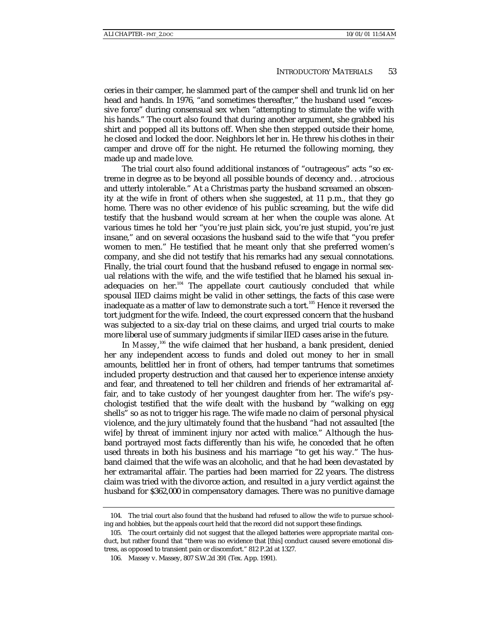ceries in their camper, he slammed part of the camper shell and trunk lid on her head and hands. In 1976, "and sometimes thereafter," the husband used "excessive force" during consensual sex when "attempting to stimulate the wife with his hands." The court also found that during another argument, she grabbed his shirt and popped all its buttons off. When she then stepped outside their home, he closed and locked the door. Neighbors let her in. He threw his clothes in their camper and drove off for the night. He returned the following morning, they made up and made love.

The trial court also found additional instances of "outrageous" acts "so extreme in degree as to be beyond all possible bounds of decency and. . .atrocious and utterly intolerable." At a Christmas party the husband screamed an obscenity at the wife in front of others when she suggested, at 11 p.m., that they go home. There was no other evidence of his public screaming, but the wife did testify that the husband would scream at her when the couple was alone. At various times he told her "you're just plain sick, you're just stupid, you're just insane," and on several occasions the husband said to the wife that "you prefer women to men." He testified that he meant only that she preferred women's company, and she did not testify that his remarks had any sexual connotations. Finally, the trial court found that the husband refused to engage in normal sexual relations with the wife, and the wife testified that he blamed his sexual inadequacies on her.<sup>104</sup> The appellate court cautiously concluded that while spousal IIED claims might be valid in other settings, the facts of this case were inadequate as a matter of law to demonstrate such a tort.<sup>105</sup> Hence it reversed the tort judgment for the wife. Indeed, the court expressed concern that the husband was subjected to a six-day trial on these claims, and urged trial courts to make more liberal use of summary judgments if similar IIED cases arise in the future.

In *Massey*,<sup>106</sup> the wife claimed that her husband, a bank president, denied her any independent access to funds and doled out money to her in small amounts, belittled her in front of others, had temper tantrums that sometimes included property destruction and that caused her to experience intense anxiety and fear, and threatened to tell her children and friends of her extramarital affair, and to take custody of her youngest daughter from her. The wife's psychologist testified that the wife dealt with the husband by "walking on egg shells" so as not to trigger his rage. The wife made no claim of personal physical violence, and the jury ultimately found that the husband "had not assaulted [the wife] by threat of imminent injury nor acted with malice." Although the husband portrayed most facts differently than his wife, he conceded that he often used threats in both his business and his marriage "to get his way." The husband claimed that the wife was an alcoholic, and that he had been devastated by her extramarital affair. The parties had been married for 22 years. The distress claim was tried with the divorce action, and resulted in a jury verdict against the husband for \$362,000 in compensatory damages. There was no punitive damage

<sup>104.</sup> The trial court also found that the husband had refused to allow the wife to pursue schooling and hobbies, but the appeals court held that the record did not support these findings.

<sup>105.</sup> The court certainly did not suggest that the alleged batteries were appropriate marital conduct, but rather found that "there was no evidence that [this] conduct caused severe emotional distress, as opposed to transient pain or discomfort." 812 P.2d at 1327.

<sup>106.</sup> Massey v. Massey, 807 S.W.2d 391 (Tex. App. 1991).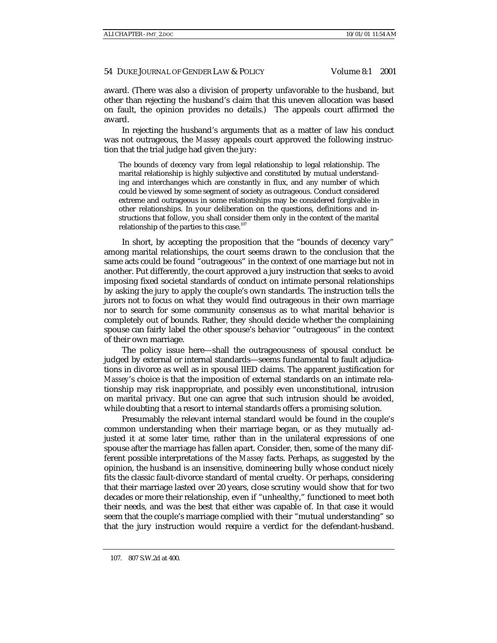award. (There was also a division of property unfavorable to the husband, but other than rejecting the husband's claim that this uneven allocation was based on fault, the opinion provides no details.) The appeals court affirmed the award.

In rejecting the husband's arguments that as a matter of law his conduct was not outrageous, the *Massey* appeals court approved the following instruction that the trial judge had given the jury:

The bounds of decency vary from legal relationship to legal relationship. The marital relationship is highly subjective and constituted by mutual understanding and interchanges which are constantly in flux, and any number of which could be viewed by some segment of society as outrageous. Conduct considered extreme and outrageous in some relationships may be considered forgivable in other relationships. In your deliberation on the questions, definitions and instructions that follow, you shall consider them only in the context of the marital relationship of the parties to this case. $107$ 

In short, by accepting the proposition that the "bounds of decency vary" among marital relationships, the court seems drawn to the conclusion that the same acts could be found "outrageous" in the context of one marriage but not in another. Put differently, the court approved a jury instruction that seeks to avoid imposing fixed societal standards of conduct on intimate personal relationships by asking the jury to apply the couple's own standards. The instruction tells the jurors not to focus on what they would find outrageous in their own marriage nor to search for some community consensus as to what marital behavior is completely out of bounds. Rather, they should decide whether the complaining spouse can fairly label the other spouse's behavior "outrageous" in the context of their own marriage.

The policy issue here—shall the outrageousness of spousal conduct be judged by external or internal standards—seems fundamental to fault adjudications in divorce as well as in spousal IIED claims. The apparent justification for *Massey*'s choice is that the imposition of external standards on an intimate relationship may risk inappropriate, and possibly even unconstitutional, intrusion on marital privacy. But one can agree that such intrusion should be avoided, while doubting that a resort to internal standards offers a promising solution.

Presumably the relevant internal standard would be found in the couple's common understanding when their marriage began, or as they mutually adjusted it at some later time, rather than in the unilateral expressions of one spouse after the marriage has fallen apart. Consider, then, some of the many different possible interpretations of the *Massey* facts. Perhaps, as suggested by the opinion, the husband is an insensitive, domineering bully whose conduct nicely fits the classic fault-divorce standard of mental cruelty. Or perhaps, considering that their marriage lasted over 20 years, close scrutiny would show that for two decades or more their relationship, even if "unhealthy," functioned to meet both their needs, and was the best that either was capable of. In that case it would seem that the couple's marriage complied with their "mutual understanding" so that the jury instruction would require a verdict for the defendant-husband.

<sup>107. 807</sup> S.W.2d at 400.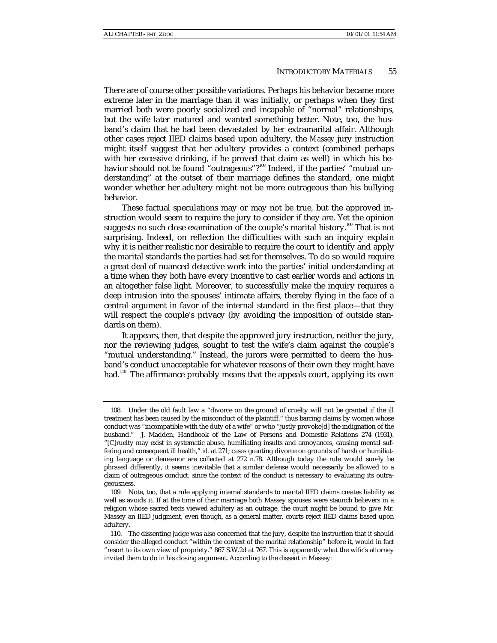There are of course other possible variations. Perhaps his behavior became more extreme later in the marriage than it was initially, or perhaps when they first married both were poorly socialized and incapable of "normal" relationships, but the wife later matured and wanted something better. Note, too, the husband's claim that he had been devastated by her extramarital affair. Although other cases reject IIED claims based upon adultery, the *Massey* jury instruction might itself suggest that her adultery provides a context (combined perhaps with her excessive drinking, if he proved that claim as well) in which his behavior should not be found "outrageous"?<sup>108</sup> Indeed, if the parties' "mutual understanding" at the outset of their marriage defines the standard, one might wonder whether her adultery might not be more outrageous than his bullying behavior.

These factual speculations may or may not be true, but the approved instruction would seem to require the jury to consider if they are. Yet the opinion suggests no such close examination of the couple's marital history.<sup>109</sup> That is not surprising. Indeed, on reflection the difficulties with such an inquiry explain why it is neither realistic nor desirable to require the court to identify and apply the marital standards the parties had set for themselves. To do so would require a great deal of nuanced detective work into the parties' initial understanding at a time when they both have every incentive to cast earlier words and actions in an altogether false light. Moreover, to successfully make the inquiry requires a deep intrusion into the spouses' intimate affairs, thereby flying in the face of a central argument in favor of the internal standard in the first place—that they will respect the couple's privacy (by avoiding the imposition of outside standards on them).

It appears, then, that despite the approved jury instruction, neither the jury, nor the reviewing judges, sought to test the wife's claim against the couple's "mutual understanding." Instead, the jurors were permitted to deem the husband's conduct unacceptable for whatever reasons of their own they might have had.<sup>110</sup> The affirmance probably means that the appeals court, applying its own

<sup>108.</sup> Under the old fault law a "divorce on the ground of cruelty will not be granted if the ill treatment has been caused by the misconduct of the plaintiff," thus barring claims by women whose conduct was "incompatible with the duty of a wife" or who "justly provoke[d] the indignation of the husband." J. Madden, Handbook of the Law of Persons and Domestic Relations 274 (1931). "[C]ruelty may exist in systematic abuse, humiliating insults and annoyances, causing mental suffering and consequent ill health," *id.* at 271; cases granting divorce on grounds of harsh or humiliating language or demeanor are collected at 272 n.78. Although today the rule would surely be phrased differently, it seems inevitable that a similar defense would necessarily be allowed to a claim of outrageous conduct, since the context of the conduct is necessary to evaluating its outrageousness.

<sup>109.</sup> Note, too, that a rule applying internal standards to marital IIED claims creates liability as well as avoids it. If at the time of their marriage both Massey spouses were staunch believers in a religion whose sacred texts viewed adultery as an outrage, the court might be bound to give Mr. Massey an IIED judgment, even though, as a general matter, courts reject IIED claims based upon adultery.

<sup>110.</sup> The dissenting judge was also concerned that the jury, despite the instruction that it should consider the alleged conduct "within the context of the marital relationship" before it, would in fact "resort to its own view of propriety." 867 S.W.2d at 767. This is apparently what the wife's attorney invited them to do in his closing argument. According to the dissent in Massey: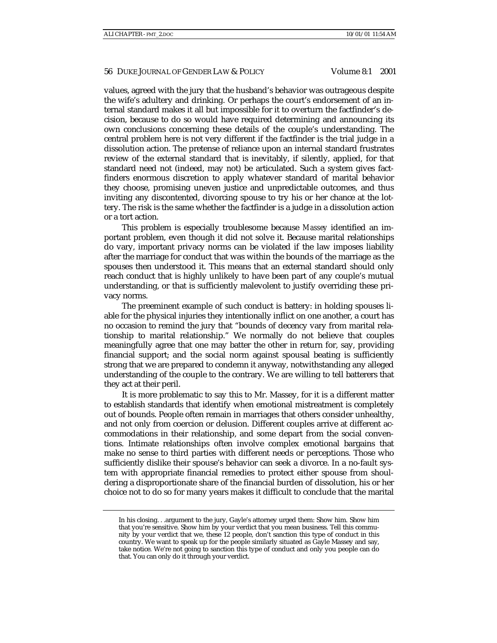values, agreed with the jury that the husband's behavior was outrageous despite the wife's adultery and drinking. Or perhaps the court's endorsement of an internal standard makes it all but impossible for it to overturn the factfinder's decision, because to do so would have required determining and announcing its own conclusions concerning these details of the couple's understanding. The central problem here is not very different if the factfinder is the trial judge in a dissolution action. The pretense of reliance upon an internal standard frustrates review of the external standard that is inevitably, if silently, applied, for that standard need not (indeed, may not) be articulated. Such a system gives factfinders enormous discretion to apply whatever standard of marital behavior they choose, promising uneven justice and unpredictable outcomes, and thus inviting any discontented, divorcing spouse to try his or her chance at the lottery. The risk is the same whether the factfinder is a judge in a dissolution action or a tort action.

This problem is especially troublesome because *Massey* identified an important problem, even though it did not solve it. Because marital relationships do vary, important privacy norms can be violated if the law imposes liability after the marriage for conduct that was within the bounds of the marriage as the spouses then understood it. This means that an external standard should only reach conduct that is highly unlikely to have been part of any couple's mutual understanding, or that is sufficiently malevolent to justify overriding these privacy norms.

The preeminent example of such conduct is battery: in holding spouses liable for the physical injuries they intentionally inflict on one another, a court has no occasion to remind the jury that "bounds of decency vary from marital relationship to marital relationship." We normally do not believe that couples meaningfully agree that one may batter the other in return for, say, providing financial support; and the social norm against spousal beating is sufficiently strong that we are prepared to condemn it anyway, notwithstanding any alleged understanding of the couple to the contrary. We are willing to tell batterers that they act at their peril.

It is more problematic to say this to Mr. Massey, for it is a different matter to establish standards that identify when emotional mistreatment is completely out of bounds. People often remain in marriages that others consider unhealthy, and not only from coercion or delusion. Different couples arrive at different accommodations in their relationship, and some depart from the social conventions. Intimate relationships often involve complex emotional bargains that make no sense to third parties with different needs or perceptions. Those who sufficiently dislike their spouse's behavior can seek a divorce. In a no-fault system with appropriate financial remedies to protect either spouse from shouldering a disproportionate share of the financial burden of dissolution, his or her choice not to do so for many years makes it difficult to conclude that the marital

In his closing. . .argument to the jury, Gayle's attorney urged them: Show him. Show him that you're sensitive. Show him by your verdict that you mean business. Tell this community by your verdict that we, these 12 people, don't sanction this type of conduct in this country. We want to speak up for the people similarly situated as Gayle Massey and say, take notice. We're not going to sanction this type of conduct and only you people can do that. You can only do it through your verdict.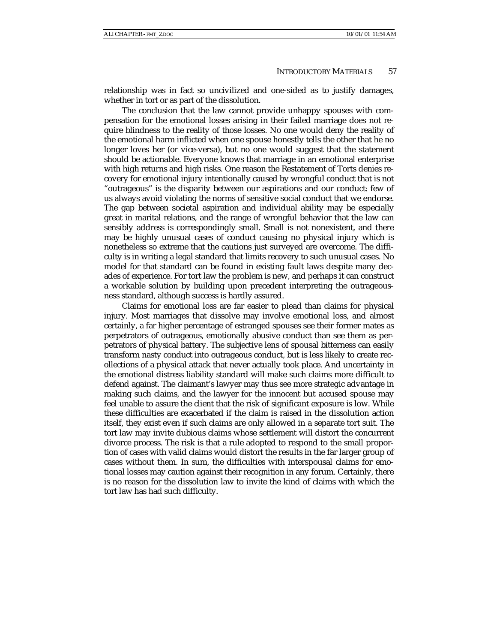relationship was in fact so uncivilized and one-sided as to justify damages, whether in tort or as part of the dissolution.

The conclusion that the law cannot provide unhappy spouses with compensation for the emotional losses arising in their failed marriage does not require blindness to the reality of those losses. No one would deny the reality of the emotional harm inflicted when one spouse honestly tells the other that he no longer loves her (or vice-versa), but no one would suggest that the statement should be actionable. Everyone knows that marriage in an emotional enterprise with high returns and high risks. One reason the Restatement of Torts denies recovery for emotional injury intentionally caused by wrongful conduct that is not "outrageous" is the disparity between our aspirations and our conduct: few of us always avoid violating the norms of sensitive social conduct that we endorse. The gap between societal aspiration and individual ability may be especially great in marital relations, and the range of wrongful behavior that the law can sensibly address is correspondingly small. Small is not nonexistent, and there may be highly unusual cases of conduct causing no physical injury which is nonetheless so extreme that the cautions just surveyed are overcome. The difficulty is in writing a legal standard that limits recovery to such unusual cases. No model for that standard can be found in existing fault laws despite many decades of experience. For tort law the problem is new, and perhaps it can construct a workable solution by building upon precedent interpreting the outrageousness standard, although success is hardly assured.

Claims for emotional loss are far easier to plead than claims for physical injury. Most marriages that dissolve may involve emotional loss, and almost certainly, a far higher percentage of estranged spouses see their former mates as perpetrators of outrageous, emotionally abusive conduct than see them as perpetrators of physical battery. The subjective lens of spousal bitterness can easily transform nasty conduct into outrageous conduct, but is less likely to create recollections of a physical attack that never actually took place. And uncertainty in the emotional distress liability standard will make such claims more difficult to defend against. The claimant's lawyer may thus see more strategic advantage in making such claims, and the lawyer for the innocent but accused spouse may feel unable to assure the client that the risk of significant exposure is low. While these difficulties are exacerbated if the claim is raised in the dissolution action itself, they exist even if such claims are only allowed in a separate tort suit. The tort law may invite dubious claims whose settlement will distort the concurrent divorce process. The risk is that a rule adopted to respond to the small proportion of cases with valid claims would distort the results in the far larger group of cases without them. In sum, the difficulties with interspousal claims for emotional losses may caution against their recognition in any forum. Certainly, there is no reason for the dissolution law to invite the kind of claims with which the tort law has had such difficulty.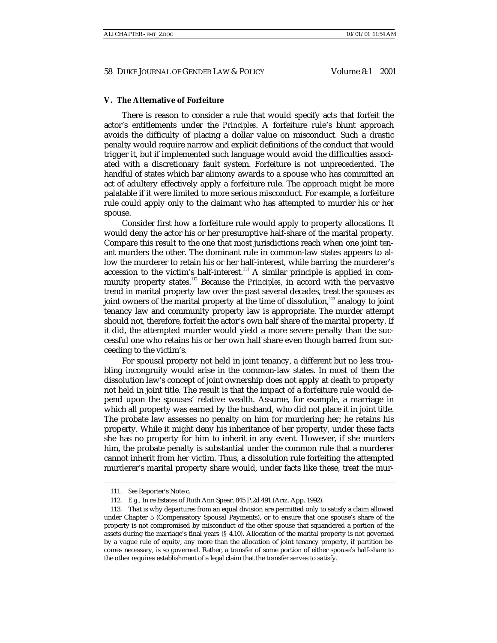# **V. The Alternative of Forfeiture**

There is reason to consider a rule that would specify acts that forfeit the actor's entitlements under the *Principles*. A forfeiture rule's blunt approach avoids the difficulty of placing a dollar value on misconduct. Such a drastic penalty would require narrow and explicit definitions of the conduct that would trigger it, but if implemented such language would avoid the difficulties associated with a discretionary fault system. Forfeiture is not unprecedented. The handful of states which bar alimony awards to a spouse who has committed an act of adultery effectively apply a forfeiture rule. The approach might be more palatable if it were limited to more serious misconduct. For example, a forfeiture rule could apply only to the claimant who has attempted to murder his or her spouse.

Consider first how a forfeiture rule would apply to property allocations. It would deny the actor his or her presumptive half-share of the marital property. Compare this result to the one that most jurisdictions reach when one joint tenant murders the other. The dominant rule in common-law states appears to allow the murderer to retain his or her half-interest, while barring the murderer's accession to the victim's half-interest. $111$  A similar principle is applied in community property states.<sup>112</sup> Because the *Principles*, in accord with the pervasive trend in marital property law over the past several decades, treat the spouses as joint owners of the marital property at the time of dissolution, $113$  analogy to joint tenancy law and community property law is appropriate. The murder attempt should not, therefore, forfeit the actor's own half share of the marital property. If it did, the attempted murder would yield a more severe penalty than the successful one who retains his or her own half share even though barred from succeeding to the victim's.

For spousal property not held in joint tenancy, a different but no less troubling incongruity would arise in the common-law states. In most of them the dissolution law's concept of joint ownership does not apply at death to property not held in joint title. The result is that the impact of a forfeiture rule would depend upon the spouses' relative wealth. Assume, for example, a marriage in which all property was earned by the husband, who did not place it in joint title. The probate law assesses no penalty on him for murdering her; he retains his property. While it might deny his inheritance of her property, under these facts she has no property for him to inherit in any event. However, if she murders him, the probate penalty is substantial under the common rule that a murderer cannot inherit from her victim. Thus, a dissolution rule forfeiting the attempted murderer's marital property share would, under facts like these, treat the mur-

<sup>111.</sup> *See* Reporter's Note c.

<sup>112.</sup> *E.g.*, In re Estates of Ruth Ann Spear, 845 P.2d 491 (Ariz. App. 1992).

<sup>113.</sup> That is why departures from an equal division are permitted only to satisfy a claim allowed under Chapter 5 (Compensatory Spousal Payments), or to ensure that one spouse's share of the property is not compromised by misconduct of the other spouse that squandered a portion of the assets during the marriage's final years (§ 4.10). Allocation of the marital property is not governed by a vague rule of equity, any more than the allocation of joint tenancy property, if partition becomes necessary, is so governed. Rather, a transfer of some portion of either spouse's half-share to the other requires establishment of a legal claim that the transfer serves to satisfy.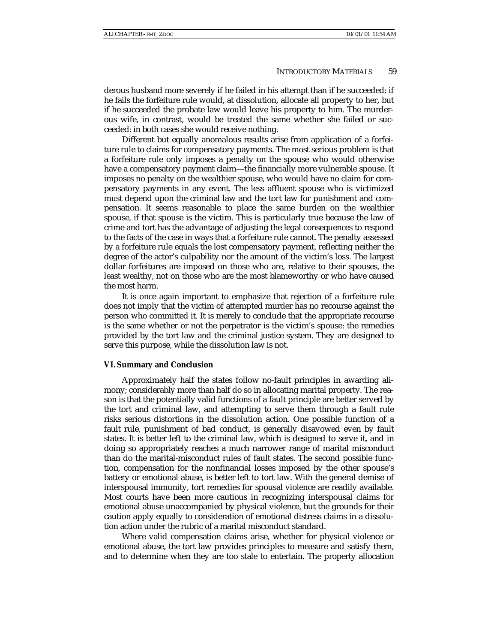derous husband more severely if he failed in his attempt than if he succeeded: if he fails the forfeiture rule would, at dissolution, allocate all property to her, but if he succeeded the probate law would leave his property to him. The murderous wife, in contrast, would be treated the same whether she failed or succeeded: in both cases she would receive nothing.

Different but equally anomalous results arise from application of a forfeiture rule to claims for compensatory payments. The most serious problem is that a forfeiture rule only imposes a penalty on the spouse who would otherwise have a compensatory payment claim—the financially more vulnerable spouse. It imposes no penalty on the wealthier spouse, who would have no claim for compensatory payments in any event. The less affluent spouse who is victimized must depend upon the criminal law and the tort law for punishment and compensation. It seems reasonable to place the same burden on the wealthier spouse, if that spouse is the victim. This is particularly true because the law of crime and tort has the advantage of adjusting the legal consequences to respond to the facts of the case in ways that a forfeiture rule cannot. The penalty assessed by a forfeiture rule equals the lost compensatory payment, reflecting neither the degree of the actor's culpability nor the amount of the victim's loss. The largest dollar forfeitures are imposed on those who are, relative to their spouses, the least wealthy, not on those who are the most blameworthy or who have caused the most harm.

It is once again important to emphasize that rejection of a forfeiture rule does not imply that the victim of attempted murder has no recourse against the person who committed it. It is merely to conclude that the appropriate recourse is the same whether or not the perpetrator is the victim's spouse: the remedies provided by the tort law and the criminal justice system. They are designed to serve this purpose, while the dissolution law is not.

#### **VI. Summary and Conclusion**

Approximately half the states follow no-fault principles in awarding alimony; considerably more than half do so in allocating marital property. The reason is that the potentially valid functions of a fault principle are better served by the tort and criminal law, and attempting to serve them through a fault rule risks serious distortions in the dissolution action. One possible function of a fault rule, punishment of bad conduct, is generally disavowed even by fault states. It is better left to the criminal law, which is designed to serve it, and in doing so appropriately reaches a much narrower range of marital misconduct than do the marital-misconduct rules of fault states. The second possible function, compensation for the nonfinancial losses imposed by the other spouse's battery or emotional abuse, is better left to tort law. With the general demise of interspousal immunity, tort remedies for spousal violence are readily available. Most courts have been more cautious in recognizing interspousal claims for emotional abuse unaccompanied by physical violence, but the grounds for their caution apply equally to consideration of emotional distress claims in a dissolution action under the rubric of a marital misconduct standard.

Where valid compensation claims arise, whether for physical violence or emotional abuse, the tort law provides principles to measure and satisfy them, and to determine when they are too stale to entertain. The property allocation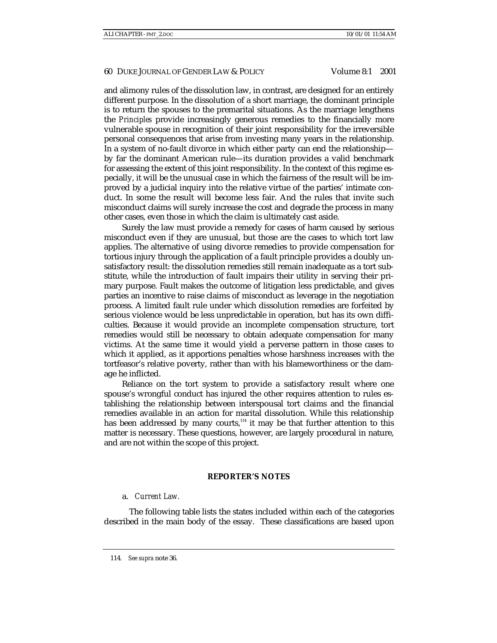and alimony rules of the dissolution law, in contrast, are designed for an entirely different purpose. In the dissolution of a short marriage, the dominant principle is to return the spouses to the premarital situations. As the marriage lengthens the *Principles* provide increasingly generous remedies to the financially more vulnerable spouse in recognition of their joint responsibility for the irreversible personal consequences that arise from investing many years in the relationship. In a system of no-fault divorce in which either party can end the relationship by far the dominant American rule—its duration provides a valid benchmark for assessing the extent of this joint responsibility. In the context of this regime especially, it will be the unusual case in which the fairness of the result will be improved by a judicial inquiry into the relative virtue of the parties' intimate conduct. In some the result will become less fair. And the rules that invite such misconduct claims will surely increase the cost and degrade the process in many other cases, even those in which the claim is ultimately cast aside.

Surely the law must provide a remedy for cases of harm caused by serious misconduct even if they are unusual, but those are the cases to which tort law applies. The alternative of using divorce remedies to provide compensation for tortious injury through the application of a fault principle provides a doubly unsatisfactory result: the dissolution remedies still remain inadequate as a tort substitute, while the introduction of fault impairs their utility in serving their primary purpose. Fault makes the outcome of litigation less predictable, and gives parties an incentive to raise claims of misconduct as leverage in the negotiation process. A limited fault rule under which dissolution remedies are forfeited by serious violence would be less unpredictable in operation, but has its own difficulties. Because it would provide an incomplete compensation structure, tort remedies would still be necessary to obtain adequate compensation for many victims. At the same time it would yield a perverse pattern in those cases to which it applied, as it apportions penalties whose harshness increases with the tortfeasor's relative poverty, rather than with his blameworthiness or the damage he inflicted.

Reliance on the tort system to provide a satisfactory result where one spouse's wrongful conduct has injured the other requires attention to rules establishing the relationship between interspousal tort claims and the financial remedies available in an action for marital dissolution. While this relationship has been addressed by many courts,<sup>114</sup> it may be that further attention to this matter is necessary. These questions, however, are largely procedural in nature, and are not within the scope of this project.

# **REPORTER'S NOTES**

## a. *Current Law.*

The following table lists the states included within each of the categories described in the main body of the essay. These classifications are based upon

<sup>114</sup>*. See supra* note 36.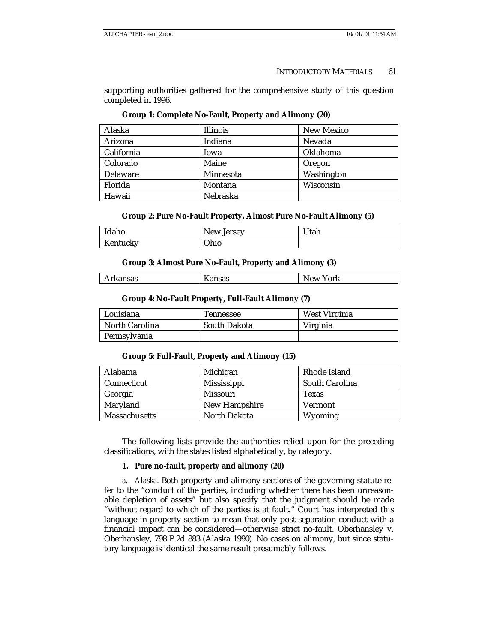supporting authorities gathered for the comprehensive study of this question completed in 1996.

| Alaska     | Illinois         | <b>New Mexico</b> |
|------------|------------------|-------------------|
| Arizona    | Indiana          | Nevada            |
| California | Iowa             | Oklahoma          |
| Colorado   | Maine            | Oregon            |
| Delaware   | <b>Minnesota</b> | Washington        |
| Florida    | Montana          | Wisconsin         |
| Hawaii     | Nebraska         |                   |

## **Group 1: Complete No-Fault, Property and Alimony (20)**

# **Group 2: Pure No-Fault Property, Almost Pure No-Fault Alimony (5)**

| Idaho    | New Jersey | Utah |
|----------|------------|------|
| Kentucky | Ohio       |      |

## **Group 3: Almost Pure No-Fault, Property and Alimony (3)**

| $ -$<br>n<br>יי ~<br>w<br>11.<br>TOTH<br>. .<br>. |
|---------------------------------------------------|
|---------------------------------------------------|

## **Group 4: No-Fault Property, Full-Fault Alimony (7)**

| Louisiana      | <b>Tennessee</b> | West Virginia |
|----------------|------------------|---------------|
| North Carolina | South Dakota     | Virginia      |
| Pennsylvania   |                  |               |

## **Group 5: Full-Fault, Property and Alimony (15)**

| Alabama       | Michigan           | Rhode Island          |
|---------------|--------------------|-----------------------|
| Connecticut   | <b>Mississippi</b> | <b>South Carolina</b> |
| Georgia       | Missouri           | <b>Texas</b>          |
| Maryland      | New Hampshire      | <b>Vermont</b>        |
| Massachusetts | North Dakota       | Wyoming               |

The following lists provide the authorities relied upon for the preceding classifications, with the states listed alphabetically, by category.

# **1. Pure no-fault, property and alimony (20)**

*a. Alaska.* Both property and alimony sections of the governing statute refer to the "conduct of the parties, including whether there has been unreasonable depletion of assets" but also specify that the judgment should be made "without regard to which of the parties is at fault." Court has interpreted this language in property section to mean that only post-separation conduct with a financial impact can be considered—otherwise strict no-fault. Oberhansley v. Oberhansley, 798 P.2d 883 (Alaska 1990). No cases on alimony, but since statutory language is identical the same result presumably follows.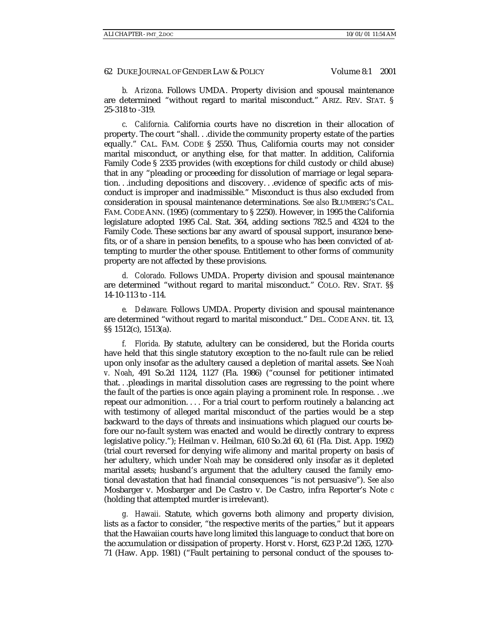*b. Arizona.* Follows UMDA. Property division and spousal maintenance are determined "without regard to marital misconduct." ARIZ. REV. STAT. § 25-318 to -319.

*c. California.* California courts have no discretion in their allocation of property. The court "shall. . .divide the community property estate of the parties equally." CAL. FAM. CODE § 2550. Thus, California courts may not consider marital misconduct, or anything else, for that matter. In addition, California Family Code § 2335 provides (with exceptions for child custody or child abuse) that in any "pleading or proceeding for dissolution of marriage or legal separation. . .including depositions and discovery. . .evidence of specific acts of misconduct is improper and inadmissible." Misconduct is thus also excluded from consideration in spousal maintenance determinations. *See also* BLUMBERG'S CAL. FAM. CODE ANN. (1995) (commentary to § 2250). However, in 1995 the California legislature adopted 1995 Cal. Stat. 364, adding sections 782.5 and 4324 to the Family Code. These sections bar any award of spousal support, insurance benefits, or of a share in pension benefits, to a spouse who has been convicted of attempting to murder the other spouse. Entitlement to other forms of community property are not affected by these provisions.

*d. Colorado.* Follows UMDA. Property division and spousal maintenance are determined "without regard to marital misconduct." COLO. REV. STAT. §§ 14-10-113 to -114.

*e. Delaware.* Follows UMDA. Property division and spousal maintenance are determined "without regard to marital misconduct." DEL. CODE ANN. tit. 13, §§ 1512(c), 1513(a).

*f. Florida.* By statute, adultery can be considered, but the Florida courts have held that this single statutory exception to the no-fault rule can be relied upon only insofar as the adultery caused a depletion of marital assets. See *Noah v. Noah*, 491 So.2d 1124, 1127 (Fla. 1986) ("counsel for petitioner intimated that. . .pleadings in marital dissolution cases are regressing to the point where the fault of the parties is once again playing a prominent role. In response. . .we repeat our admonition. . . . For a trial court to perform routinely a balancing act with testimony of alleged marital misconduct of the parties would be a step backward to the days of threats and insinuations which plagued our courts before our no-fault system was enacted and would be directly contrary to express legislative policy."); Heilman v. Heilman, 610 So.2d 60, 61 (Fla. Dist. App. 1992) (trial court reversed for denying wife alimony and marital property on basis of her adultery, which under *Noah* may be considered only insofar as it depleted marital assets; husband's argument that the adultery caused the family emotional devastation that had financial consequences "is not persuasive"). *See also* Mosbarger v. Mosbarger and De Castro v. De Castro, infra Reporter's Note *c* (holding that attempted murder is irrelevant).

*g. Hawaii.* Statute, which governs both alimony and property division, lists as a factor to consider, "the respective merits of the parties," but it appears that the Hawaiian courts have long limited this language to conduct that bore on the accumulation or dissipation of property. Horst v. Horst, 623 P.2d 1265, 1270- 71 (Haw. App. 1981) ("Fault pertaining to personal conduct of the spouses to-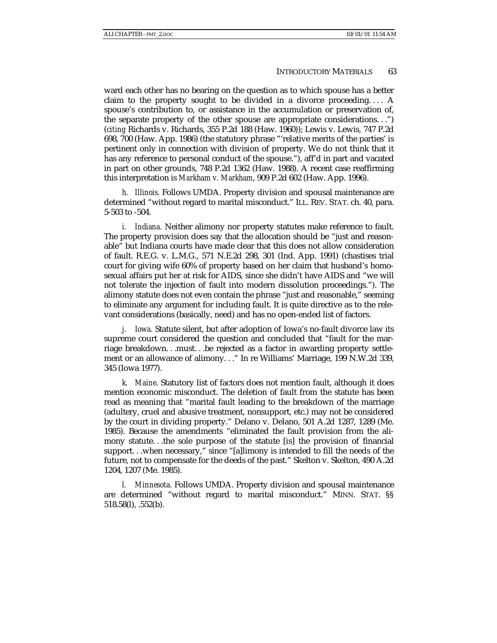ward each other has no bearing on the question as to which spouse has a better claim to the property sought to be divided in a divorce proceeding.... A spouse's contribution to, or assistance in the accumulation or preservation of, the separate property of the other spouse are appropriate considerations. . .") (*citing* Richards v. Richards, 355 P.2d 188 (Haw. 1960)); Lewis v. Lewis, 747 P.2d 698, 700 (Haw. App. 1986) (the statutory phrase "'relative merits of the parties' is pertinent only in connection with division of property. We do not think that it has any reference to personal conduct of the spouse."), aff'd in part and vacated in part on other grounds, 748 P.2d 1362 (Haw. 1988). A recent case reaffirming this interpretation is *Markham v. Markham*, 909 P.2d 602 (Haw. App. 1996).

*h. Illinois.* Follows UMDA. Property division and spousal maintenance are determined "without regard to marital misconduct." ILL. REV. STAT. ch. 40, para. 5-503 to -504.

*i. Indiana.* Neither alimony nor property statutes make reference to fault. The property provision does say that the allocation should be "just and reasonable" but Indiana courts have made clear that this does not allow consideration of fault. R.E.G. v. L.M.G., 571 N.E.2d 298, 301 (Ind. App. 1991) (chastises trial court for giving wife 60% of property based on her claim that husband's homosexual affairs put her at risk for AIDS, since she didn't have AIDS and "we will not tolerate the injection of fault into modern dissolution proceedings."). The alimony statute does not even contain the phrase "just and reasonable," seeming to eliminate any argument for including fault. It is quite directive as to the relevant considerations (basically, need) and has no open-ended list of factors.

*j. Iowa.* Statute silent, but after adoption of Iowa's no-fault divorce law its supreme court considered the question and concluded that "fault for the marriage breakdown. . .must. . .be rejected as a factor in awarding property settlement or an allowance of alimony. . ." In re Williams' Marriage, 199 N.W.2d 339, 345 (Iowa 1977).

*k. Maine.* Statutory list of factors does not mention fault, although it does mention economic misconduct. The deletion of fault from the statute has been read as meaning that "marital fault leading to the breakdown of the marriage (adultery, cruel and abusive treatment, nonsupport, etc.) may not be considered by the court in dividing property." Delano v. Delano, 501 A.2d 1287, 1289 (Me. 1985). Because the amendments "eliminated the fault provision from the alimony statute. . .the sole purpose of the statute [is] the provision of financial support. . .when necessary," since "[a]limony is intended to fill the needs of the future, not to compensate for the deeds of the past." Skelton v. Skelton, 490 A.2d 1204, 1207 (Me. 1985).

*l. Minnesota.* Follows UMDA. Property division and spousal maintenance are determined "without regard to marital misconduct." MINN. STAT. §§ 518.58(l), .552(b).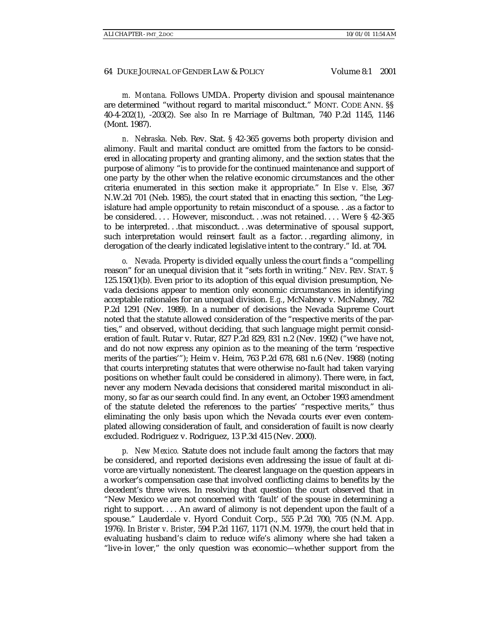*m. Montana.* Follows UMDA. Property division and spousal maintenance are determined "without regard to marital misconduct." MONT. CODE ANN. §§ 40-4-202(1), -203(2). *See also* In re Marriage of Bultman, 740 P.2d 1145, 1146 (Mont. 1987).

*n. Nebraska.* Neb. Rev. Stat. § 42-365 governs both property division and alimony. Fault and marital conduct are omitted from the factors to be considered in allocating property and granting alimony, and the section states that the purpose of alimony "is to provide for the continued maintenance and support of one party by the other when the relative economic circumstances and the other criteria enumerated in this section make it appropriate." In *Else v. Else*, 367 N.W.2d 701 (Neb. 1985), the court stated that in enacting this section, "the Legislature had ample opportunity to retain misconduct of a spouse. . .as a factor to be considered. . . . However, misconduct. . .was not retained. . . . Were § 42-365 to be interpreted. . .that misconduct. . .was determinative of spousal support, such interpretation would reinsert fault as a factor. . .regarding alimony, in derogation of the clearly indicated legislative intent to the contrary." Id. at 704.

*o. Nevada.* Property is divided equally unless the court finds a "compelling reason" for an unequal division that it "sets forth in writing." NEV. REV. STAT. §  $125.150(1)(b)$ . Even prior to its adoption of this equal division presumption, Nevada decisions appear to mention only economic circumstances in identifying acceptable rationales for an unequal division. *E.g.*, McNabney v. McNabney, 782 P.2d 1291 (Nev. 1989). In a number of decisions the Nevada Supreme Court noted that the statute allowed consideration of the "respective merits of the parties," and observed, without deciding, that such language might permit consideration of fault. Rutar v. Rutar, 827 P.2d 829, 831 n.2 (Nev. 1992) ("we have not, and do not now express any opinion as to the meaning of the term 'respective merits of the parties'"); Heim v. Heim, 763 P.2d 678, 681 n.6 (Nev. 1988) (noting that courts interpreting statutes that were otherwise no-fault had taken varying positions on whether fault could be considered in alimony). There were, in fact, never any modern Nevada decisions that considered marital misconduct in alimony, so far as our search could find. In any event, an October 1993 amendment of the statute deleted the references to the parties' "respective merits," thus eliminating the only basis upon which the Nevada courts ever even contemplated allowing consideration of fault, and consideration of fauilt is now clearly excluded. Rodriguez v. Rodriguez, 13 P.3d 415 (Nev. 2000).

*p. New Mexico.* Statute does not include fault among the factors that may be considered, and reported decisions even addressing the issue of fault at divorce are virtually nonexistent. The clearest language on the question appears in a worker's compensation case that involved conflicting claims to benefits by the decedent's three wives. In resolving that question the court observed that in "New Mexico we are not concerned with 'fault' of the spouse in determining a right to support. . . . An award of alimony is not dependent upon the fault of a spouse." Lauderdale v. Hyord Conduit Corp., 555 P.2d 700, 705 (N.M. App. 1976). In *Brister v. Brister*, 594 P.2d 1167, 1171 (N.M. 1979), the court held that in evaluating husband's claim to reduce wife's alimony where she had taken a "live-in lover," the only question was economic—whether support from the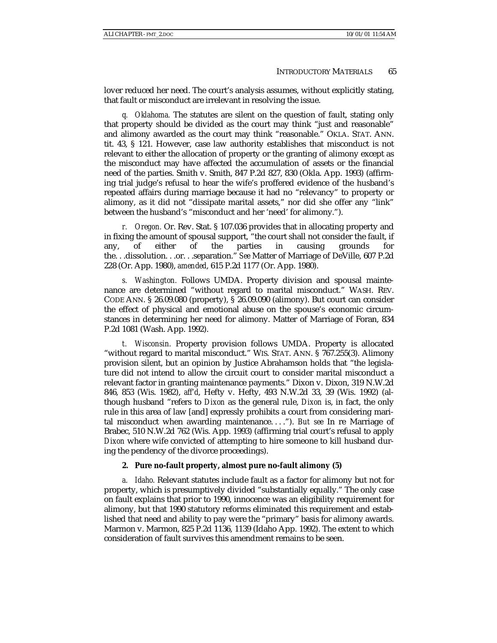lover reduced her need. The court's analysis assumes, without explicitly stating, that fault or misconduct are irrelevant in resolving the issue.

*q. Oklahoma.* The statutes are silent on the question of fault, stating only that property should be divided as the court may think "just and reasonable" and alimony awarded as the court may think "reasonable." OKLA. STAT. ANN. tit. 43, § 121. However, case law authority establishes that misconduct is not relevant to either the allocation of property or the granting of alimony except as the misconduct may have affected the accumulation of assets or the financial need of the parties. Smith v. Smith, 847 P.2d 827, 830 (Okla. App. 1993) (affirming trial judge's refusal to hear the wife's proffered evidence of the husband's repeated affairs during marriage because it had no "relevancy" to property or alimony, as it did not "dissipate marital assets," nor did she offer any "link" between the husband's "misconduct and her 'need' for alimony.").

*r. Oregon.* Or. Rev. Stat. § 107.036 provides that in allocating property and in fixing the amount of spousal support, "the court shall not consider the fault, if any, of either of the parties in causing grounds for the. . .dissolution. . .or. . .separation." *See* Matter of Marriage of DeVille, 607 P.2d 228 (Or. App. 1980), *amended*, 615 P.2d 1177 (Or. App. 1980).

*s. Washington.* Follows UMDA. Property division and spousal maintenance are determined "without regard to marital misconduct." WASH. REV. CODE ANN. § 26.09.080 (property), § 26.09.090 (alimony). But court can consider the effect of physical and emotional abuse on the spouse's economic circumstances in determining her need for alimony. Matter of Marriage of Foran, 834 P.2d 1081 (Wash. App. 1992).

*t. Wisconsin.* Property provision follows UMDA. Property is allocated "without regard to marital misconduct." WIS. STAT. ANN. § 767.255(3). Alimony provision silent, but an opinion by Justice Abrahamson holds that "the legislature did not intend to allow the circuit court to consider marital misconduct a relevant factor in granting maintenance payments." Dixon v. Dixon, 319 N.W.2d 846, 853 (Wis. 1982), *aff'd*, Hefty v. Hefty, 493 N.W.2d 33, 39 (Wis. 1992) (although husband "refers to *Dixon* as the general rule, *Dixon* is, in fact, the only rule in this area of law [and] expressly prohibits a court from considering marital misconduct when awarding maintenance. . . ."). *But see* In re Marriage of Brabec, 510 N.W.2d 762 (Wis. App. 1993) (affirming trial court's refusal to apply *Dixon* where wife convicted of attempting to hire someone to kill husband during the pendency of the divorce proceedings).

## **2. Pure no-fault property, almost pure no-fault alimony (5)**

*a. Idaho.* Relevant statutes include fault as a factor for alimony but not for property, which is presumptively divided "substantially equally." The only case on fault explains that prior to 1990, innocence was an eligibility requirement for alimony, but that 1990 statutory reforms eliminated this requirement and established that need and ability to pay were the "primary" basis for alimony awards. Marmon v. Marmon, 825 P.2d 1136, 1139 (Idaho App. 1992). The extent to which consideration of fault survives this amendment remains to be seen.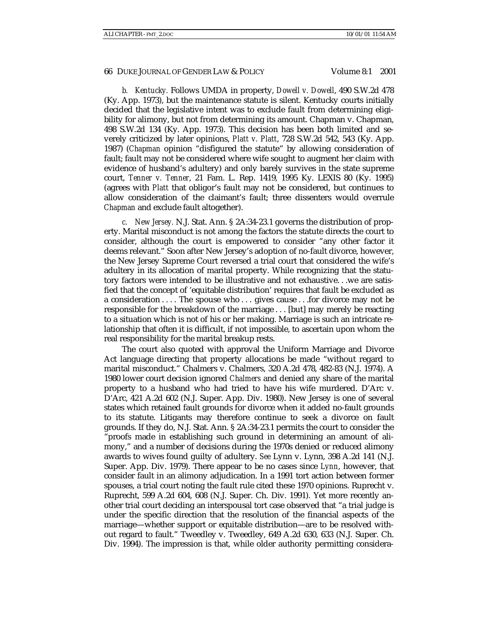*b. Kentucky.* Follows UMDA in property, *Dowell v. Dowell*, 490 S.W.2d 478 (Ky. App. 1973), but the maintenance statute is silent. Kentucky courts initially decided that the legislative intent was to exclude fault from determining eligibility for alimony, but not from determining its amount. Chapman v. Chapman, 498 S.W.2d 134 (Ky. App. 1973). This decision has been both limited and severely criticized by later opinions, *Platt v. Platt*, 728 S.W.2d 542, 543 (Ky. App. 1987) (*Chapman* opinion "disfigured the statute" by allowing consideration of fault; fault may not be considered where wife sought to augment her claim with evidence of husband's adultery) and only barely survives in the state supreme court, *Tenner v. Tenner*, 21 Fam. L. Rep. 1419, 1995 Ky. LEXIS 80 (Ky. 1995) (agrees with *Platt* that obligor's fault may not be considered, but continues to allow consideration of the claimant's fault; three dissenters would overrule *Chapman* and exclude fault altogether).

*c. New Jersey.* N.J. Stat. Ann. § 2A:34-23.1 governs the distribution of property. Marital misconduct is not among the factors the statute directs the court to consider, although the court is empowered to consider "any other factor it deems relevant." Soon after New Jersey's adoption of no-fault divorce, however, the New Jersey Supreme Court reversed a trial court that considered the wife's adultery in its allocation of marital property. While recognizing that the statutory factors were intended to be illustrative and not exhaustive. . .we are satisfied that the concept of 'equitable distribution' requires that fault be excluded as a consideration . . . . The spouse who . . . gives cause . . .for divorce may not be responsible for the breakdown of the marriage . . . [but] may merely be reacting to a situation which is not of his or her making. Marriage is such an intricate relationship that often it is difficult, if not impossible, to ascertain upon whom the real responsibility for the marital breakup rests.

The court also quoted with approval the Uniform Marriage and Divorce Act language directing that property allocations be made "without regard to marital misconduct." Chalmers v. Chalmers, 320 A.2d 478, 482-83 (N.J. 1974). A 1980 lower court decision ignored *Chalmers* and denied any share of the marital property to a husband who had tried to have his wife murdered. D'Arc v. D'Arc, 421 A.2d 602 (N.J. Super. App. Div. 1980). New Jersey is one of several states which retained fault grounds for divorce when it added no-fault grounds to its statute. Litigants may therefore continue to seek a divorce on fault grounds. If they do, N.J. Stat. Ann. § 2A:34-23.1 permits the court to consider the "proofs made in establishing such ground in determining an amount of alimony," and a number of decisions during the 1970s denied or reduced alimony awards to wives found guilty of adultery. *See* Lynn v. Lynn, 398 A.2d 141 (N.J. Super. App. Div. 1979). There appear to be no cases since *Lynn*, however, that consider fault in an alimony adjudication. In a 1991 tort action between former spouses, a trial court noting the fault rule cited these 1970 opinions. Ruprecht v. Ruprecht, 599 A.2d 604, 608 (N.J. Super. Ch. Div. 1991). Yet more recently another trial court deciding an interspousal tort case observed that "a trial judge is under the specific direction that the resolution of the financial aspects of the marriage—whether support or equitable distribution—are to be resolved without regard to fault." Tweedley v. Tweedley, 649 A.2d 630, 633 (N.J. Super. Ch. Div. 1994). The impression is that, while older authority permitting considera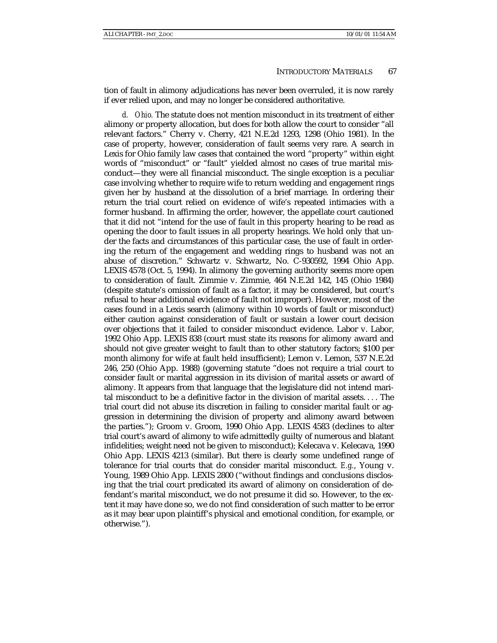tion of fault in alimony adjudications has never been overruled, it is now rarely if ever relied upon, and may no longer be considered authoritative.

*d. Ohio.* The statute does not mention misconduct in its treatment of either alimony or property allocation, but does for both allow the court to consider "all relevant factors." Cherry v. Cherry, 421 N.E.2d 1293, 1298 (Ohio 1981). In the case of property, however, consideration of fault seems very rare. A search in Lexis for Ohio family law cases that contained the word "property" within eight words of "misconduct" or "fault" yielded almost no cases of true marital misconduct—they were all financial misconduct. The single exception is a peculiar case involving whether to require wife to return wedding and engagement rings given her by husband at the dissolution of a brief marriage. In ordering their return the trial court relied on evidence of wife's repeated intimacies with a former husband. In affirming the order, however, the appellate court cautioned that it did not "intend for the use of fault in this property hearing to be read as opening the door to fault issues in all property hearings. We hold only that under the facts and circumstances of this particular case, the use of fault in ordering the return of the engagement and wedding rings to husband was not an abuse of discretion." Schwartz v. Schwartz, No. C-930592, 1994 Ohio App. LEXIS 4578 (Oct. 5, 1994). In alimony the governing authority seems more open to consideration of fault. Zimmie v. Zimmie, 464 N.E.2d 142, 145 (Ohio 1984) (despite statute's omission of fault as a factor, it may be considered, but court's refusal to hear additional evidence of fault not improper). However, most of the cases found in a Lexis search (alimony within 10 words of fault or misconduct) either caution against consideration of fault or sustain a lower court decision over objections that it failed to consider misconduct evidence. Labor v. Labor, 1992 Ohio App. LEXIS 838 (court must state its reasons for alimony award and should not give greater weight to fault than to other statutory factors; \$100 per month alimony for wife at fault held insufficient); Lemon v. Lemon, 537 N.E.2d 246, 250 (Ohio App. 1988) (governing statute "does not require a trial court to consider fault or marital aggression in its division of marital assets or award of alimony. It appears from that language that the legislature did not intend marital misconduct to be a definitive factor in the division of marital assets. . . . The trial court did not abuse its discretion in failing to consider marital fault or aggression in determining the division of property and alimony award between the parties."); Groom v. Groom, 1990 Ohio App. LEXIS 4583 (declines to alter trial court's award of alimony to wife admittedly guilty of numerous and blatant infidelities; weight need not be given to misconduct); Kelecava v. Kelecava, 1990 Ohio App. LEXIS 4213 (similar). But there is clearly some undefined range of tolerance for trial courts that do consider marital misconduct. *E.g.*, Young v. Young, 1989 Ohio App. LEXIS 2800 ("without findings and conclusions disclosing that the trial court predicated its award of alimony on consideration of defendant's marital misconduct, we do not presume it did so. However, to the extent it may have done so, we do not find consideration of such matter to be error as it may bear upon plaintiff's physical and emotional condition, for example, or otherwise.").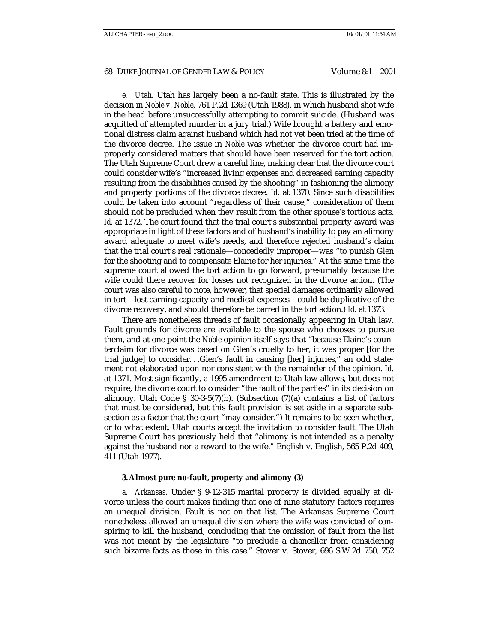*e. Utah.* Utah has largely been a no-fault state. This is illustrated by the decision in *Noble v. Noble*, 761 P.2d 1369 (Utah 1988), in which husband shot wife in the head before unsuccessfully attempting to commit suicide. (Husband was acquitted of attempted murder in a jury trial.) Wife brought a battery and emotional distress claim against husband which had not yet been tried at the time of the divorce decree. The issue in *Noble* was whether the divorce court had improperly considered matters that should have been reserved for the tort action. The Utah Supreme Court drew a careful line, making clear that the divorce court could consider wife's "increased living expenses and decreased earning capacity resulting from the disabilities caused by the shooting" in fashioning the alimony and property portions of the divorce decree. *Id*. at 1370. Since such disabilities could be taken into account "regardless of their cause," consideration of them should not be precluded when they result from the other spouse's tortious acts. *Id.* at 1372. The court found that the trial court's substantial property award was appropriate in light of these factors and of husband's inability to pay an alimony award adequate to meet wife's needs, and therefore rejected husband's claim that the trial court's real rationale—concededly improper—was "to punish Glen for the shooting and to compensate Elaine for her injuries." At the same time the supreme court allowed the tort action to go forward, presumably because the wife could there recover for losses not recognized in the divorce action. (The court was also careful to note, however, that special damages ordinarily allowed in tort—lost earning capacity and medical expenses—could be duplicative of the divorce recovery, and should therefore be barred in the tort action.) *Id.* at 1373.

There are nonetheless threads of fault occasionally appearing in Utah law. Fault grounds for divorce are available to the spouse who chooses to pursue them, and at one point the *Noble* opinion itself says that "because Elaine's counterclaim for divorce was based on Glen's cruelty to her, it was proper [for the trial judge] to consider. . .Glen's fault in causing [her] injuries," an odd statement not elaborated upon nor consistent with the remainder of the opinion. *Id.* at 1371. Most significantly, a 1995 amendment to Utah law allows, but does not require, the divorce court to consider "the fault of the parties" in its decision on alimony. Utah Code § 30-3-5(7)(b). (Subsection (7)(a) contains a list of factors that must be considered, but this fault provision is set aside in a separate subsection as a factor that the court "may consider.") It remains to be seen whether, or to what extent, Utah courts accept the invitation to consider fault. The Utah Supreme Court has previously held that "alimony is not intended as a penalty against the husband nor a reward to the wife." English v. English, 565 P.2d 409, 411 (Utah 1977).

### **3. Almost pure no-fault, property and alimony (3)**

*a. Arkansas.* Under § 9-12-315 marital property is divided equally at divorce unless the court makes finding that one of nine statutory factors requires an unequal division. Fault is not on that list. The Arkansas Supreme Court nonetheless allowed an unequal division where the wife was convicted of conspiring to kill the husband, concluding that the omission of fault from the list was not meant by the legislature "to preclude a chancellor from considering such bizarre facts as those in this case." Stover v. Stover, 696 S.W.2d 750, 752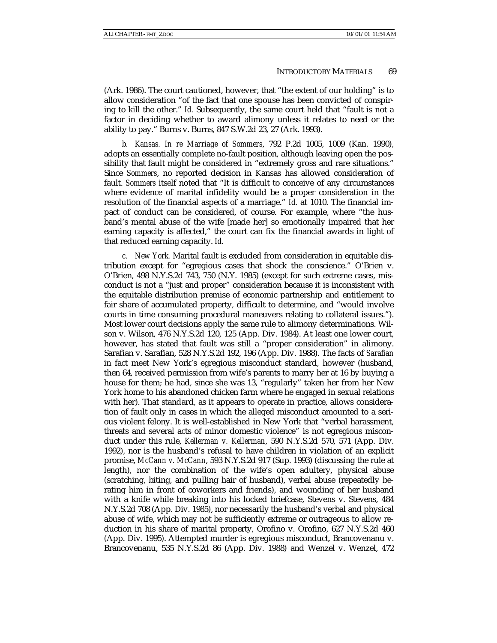(Ark. 1986). The court cautioned, however, that "the extent of our holding" is to allow consideration "of the fact that one spouse has been convicted of conspiring to kill the other." *Id.* Subsequently, the same court held that "fault is not a factor in deciding whether to award alimony unless it relates to need or the ability to pay." Burns v. Burns, 847 S.W.2d 23, 27 (Ark. 1993).

*b. Kansas. In re Marriage of Sommers*, 792 P.2d 1005, 1009 (Kan. 1990), adopts an essentially complete no-fault position, although leaving open the possibility that fault might be considered in "extremely gross and rare situations." Since *Sommers*, no reported decision in Kansas has allowed consideration of fault. *Sommers* itself noted that "It is difficult to conceive of any circumstances where evidence of marital infidelity would be a proper consideration in the resolution of the financial aspects of a marriage." *Id.* at 1010. The financial impact of conduct can be considered, of course. For example, where "the husband's mental abuse of the wife [made her] so emotionally impaired that her earning capacity is affected," the court can fix the financial awards in light of that reduced earning capacity. *Id.*

*c. New York.* Marital fault is excluded from consideration in equitable distribution except for "egregious cases that shock the conscience." O'Brien v. O'Brien, 498 N.Y.S.2d 743, 750 (N.Y. 1985) (except for such extreme cases, misconduct is not a "just and proper" consideration because it is inconsistent with the equitable distribution premise of economic partnership and entitlement to fair share of accumulated property, difficult to determine, and "would involve courts in time consuming procedural maneuvers relating to collateral issues."). Most lower court decisions apply the same rule to alimony determinations. Wilson v. Wilson, 476 N.Y.S.2d 120, 125 (App. Div. 1984). At least one lower court, however, has stated that fault was still a "proper consideration" in alimony. Sarafian v. Sarafian, 528 N.Y.S.2d 192, 196 (App. Div. 1988). The facts of *Sarafian* in fact meet New York's egregious misconduct standard, however (husband, then 64, received permission from wife's parents to marry her at 16 by buying a house for them; he had, since she was 13, "regularly" taken her from her New York home to his abandoned chicken farm where he engaged in sexual relations with her). That standard, as it appears to operate in practice, allows consideration of fault only in cases in which the alleged misconduct amounted to a serious violent felony. It is well-established in New York that "verbal harassment, threats and several acts of minor domestic violence" is not egregious misconduct under this rule, *Kellerman v. Kellerman*, 590 N.Y.S.2d 570, 571 (App. Div. 1992), nor is the husband's refusal to have children in violation of an explicit promise, *McCann v. McCann*, 593 N.Y.S.2d 917 (Sup. 1993) (discussing the rule at length), nor the combination of the wife's open adultery, physical abuse (scratching, biting, and pulling hair of husband), verbal abuse (repeatedly berating him in front of coworkers and friends), and wounding of her husband with a knife while breaking into his locked briefcase, Stevens v. Stevens, 484 N.Y.S.2d 708 (App. Div. 1985), nor necessarily the husband's verbal and physical abuse of wife, which may not be sufficiently extreme or outrageous to allow reduction in his share of marital property, Orofino v. Orofino, 627 N.Y.S.2d 460 (App. Div. 1995). Attempted murder is egregious misconduct, Brancovenanu v. Brancovenanu, 535 N.Y.S.2d 86 (App. Div. 1988) and Wenzel v. Wenzel, 472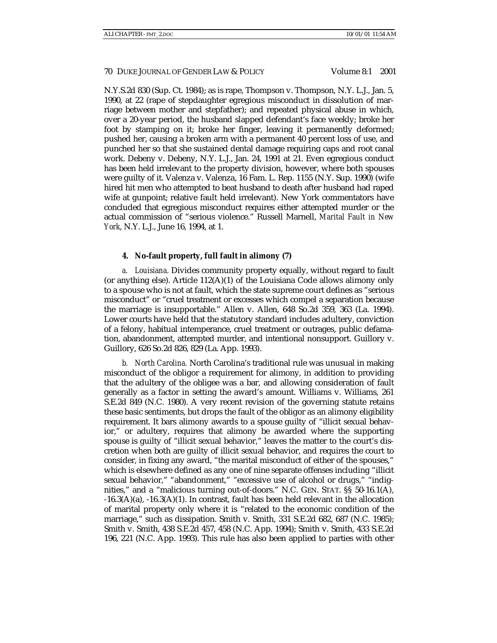N.Y.S.2d 830 (Sup. Ct. 1984); as is rape, Thompson v. Thompson, N.Y. L.J., Jan. 5, 1990, at 22 (rape of stepdaughter egregious misconduct in dissolution of marriage between mother and stepfather); and repeated physical abuse in which, over a 20-year period, the husband slapped defendant's face weekly; broke her foot by stamping on it; broke her finger, leaving it permanently deformed; pushed her, causing a broken arm with a permanent 40 percent loss of use, and punched her so that she sustained dental damage requiring caps and root canal work. Debeny v. Debeny, N.Y. L.J., Jan. 24, 1991 at 21. Even egregious conduct has been held irrelevant to the property division, however, where both spouses were guilty of it. Valenza v. Valenza, 16 Fam. L. Rep. 1155 (N.Y. Sup. 1990) (wife hired hit men who attempted to beat husband to death after husband had raped wife at gunpoint; relative fault held irrelevant). New York commentators have concluded that egregious misconduct requires either attempted murder or the actual commission of "serious violence." Russell Marnell, *Marital Fault in New York*, N.Y. L.J., June 16, 1994, at 1.

# **4. No-fault property, full fault in alimony (7)**

*a. Louisiana.* Divides community property equally, without regard to fault (or anything else). Article 112(A)(1) of the Louisiana Code allows alimony only to a spouse who is not at fault, which the state supreme court defines as "serious misconduct" or "cruel treatment or excesses which compel a separation because the marriage is insupportable." Allen v. Allen, 648 So.2d 359, 363 (La. 1994). Lower courts have held that the statutory standard includes adultery, conviction of a felony, habitual intemperance, cruel treatment or outrages, public defamation, abandonment, attempted murder, and intentional nonsupport. Guillory v. Guillory, 626 So.2d 826, 829 (La. App. 1993).

*b. North Carolina.* North Carolina's traditional rule was unusual in making misconduct of the obligor a requirement for alimony, in addition to providing that the adultery of the obligee was a bar, and allowing consideration of fault generally as a factor in setting the award's amount. Williams v. Williams, 261 S.E.2d 849 (N.C. 1980). A very recent revision of the governing statute retains these basic sentiments, but drops the fault of the obligor as an alimony eligibility requirement. It bars alimony awards to a spouse guilty of "illicit sexual behavior," or adultery, requires that alimony be awarded where the supporting spouse is guilty of "illicit sexual behavior," leaves the matter to the court's discretion when both are guilty of illicit sexual behavior, and requires the court to consider, in fixing any award, "the marital misconduct of either of the spouses," which is elsewhere defined as any one of nine separate offenses including "illicit sexual behavior," "abandonment," "excessive use of alcohol or drugs," "indignities," and a "malicious turning out-of-doors." N.C. GEN. STAT. §§ 50-16.1(A), -16.3(A)(a), -16.3(A)(1). In contrast, fault has been held relevant in the allocation of marital property only where it is "related to the economic condition of the marriage," such as dissipation. Smith v. Smith, 331 S.E.2d 682, 687 (N.C. 1985); Smith v. Smith, 438 S.E.2d 457, 458 (N.C. App. 1994); Smith v. Smith, 433 S.E.2d 196, 221 (N.C. App. 1993). This rule has also been applied to parties with other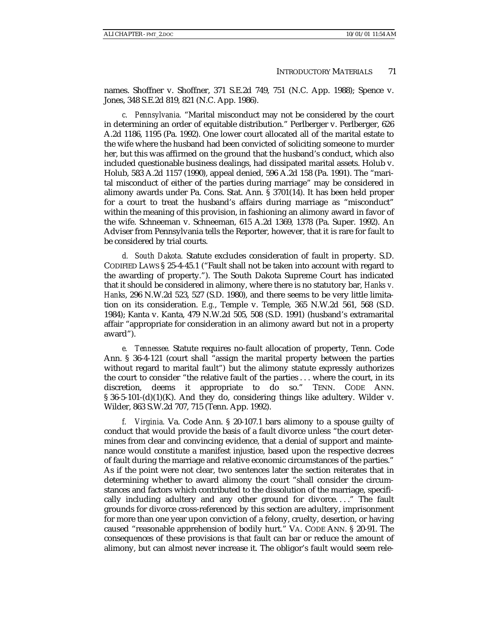names. Shoffner v. Shoffner, 371 S.E.2d 749, 751 (N.C. App. 1988); Spence v. Jones, 348 S.E.2d 819, 821 (N.C. App. 1986).

*c. Pennsylvania.* "Marital misconduct may not be considered by the court in determining an order of equitable distribution." Perlberger v. Perlberger, 626 A.2d 1186, 1195 (Pa. 1992). One lower court allocated all of the marital estate to the wife where the husband had been convicted of soliciting someone to murder her, but this was affirmed on the ground that the husband's conduct, which also included questionable business dealings, had dissipated marital assets. Holub v. Holub, 583 A.2d 1157 (1990), appeal denied, 596 A.2d 158 (Pa. 1991). The "marital misconduct of either of the parties during marriage" may be considered in alimony awards under Pa. Cons. Stat. Ann. § 3701(14). It has been held proper for a court to treat the husband's affairs during marriage as "misconduct" within the meaning of this provision, in fashioning an alimony award in favor of the wife. Schneeman v. Schneeman, 615 A.2d 1369, 1378 (Pa. Super. 1992). An Adviser from Pennsylvania tells the Reporter, however, that it is rare for fault to be considered by trial courts.

*d. South Dakota.* Statute excludes consideration of fault in property. S.D. CODIFIED LAWS § 25-4-45.1 ("Fault shall not be taken into account with regard to the awarding of property."). The South Dakota Supreme Court has indicated that it should be considered in alimony, where there is no statutory bar, *Hanks v. Hanks*, 296 N.W.2d 523, 527 (S.D. 1980), and there seems to be very little limitation on its consideration. *E.g.*, Temple v. Temple, 365 N.W.2d 561, 568 (S.D. 1984); Kanta v. Kanta, 479 N.W.2d 505, 508 (S.D. 1991) (husband's extramarital affair "appropriate for consideration in an alimony award but not in a property award").

*e. Tennessee.* Statute requires no-fault allocation of property, Tenn. Code Ann. § 36-4-121 (court shall "assign the marital property between the parties without regard to marital fault") but the alimony statute expressly authorizes the court to consider "the relative fault of the parties . . . where the court, in its discretion, deems it appropriate to do so." TENN. CODE ANN. § 36-5-101-(d)(1)(K). And they do, considering things like adultery. Wilder v. Wilder, 863 S.W.2d 707, 715 (Tenn. App. 1992).

*f. Virginia.* Va. Code Ann. § 20-107.1 bars alimony to a spouse guilty of conduct that would provide the basis of a fault divorce unless "the court determines from clear and convincing evidence, that a denial of support and maintenance would constitute a manifest injustice, based upon the respective decrees of fault during the marriage and relative economic circumstances of the parties." As if the point were not clear, two sentences later the section reiterates that in determining whether to award alimony the court "shall consider the circumstances and factors which contributed to the dissolution of the marriage, specifically including adultery and any other ground for divorce...." The fault grounds for divorce cross-referenced by this section are adultery, imprisonment for more than one year upon conviction of a felony, cruelty, desertion, or having caused "reasonable apprehension of bodily hurt." VA. CODE ANN. § 20-91. The consequences of these provisions is that fault can bar or reduce the amount of alimony, but can almost never increase it. The obligor's fault would seem rele-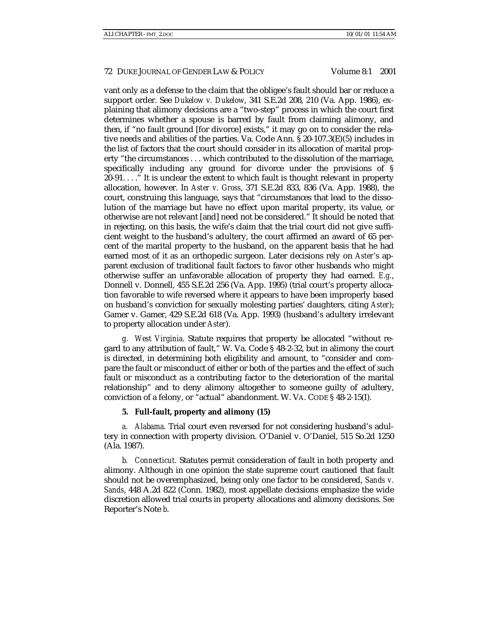### 72 DUKE JOURNAL OF GENDER LAW & POLICY Volume 8:1 2001

vant only as a defense to the claim that the obligee's fault should bar or reduce a support order. See *Dukelow v. Dukelow*, 341 S.E.2d 208, 210 (Va. App. 1986), explaining that alimony decisions are a "two-step" process in which the court first determines whether a spouse is barred by fault from claiming alimony, and then, if "no fault ground [for divorce] exists," it may go on to consider the relative needs and abilities of the parties. Va. Code Ann. § 20-107.3(E)(5) includes in the list of factors that the court should consider in its allocation of marital property "the circumstances . . . which contributed to the dissolution of the marriage, specifically including any ground for divorce under the provisions of § 20-91. . . ." It is unclear the extent to which fault is thought relevant in property allocation, however. In *Aster v. Gross*, 371 S.E.2d 833, 836 (Va. App. 1988), the court, construing this language, says that "circumstances that lead to the dissolution of the marriage but have no effect upon marital property, its value, or otherwise are not relevant [and] need not be considered." It should be noted that in rejecting, on this basis, the wife's claim that the trial court did not give sufficient weight to the husband's adultery, the court affirmed an award of 65 percent of the marital property to the husband, on the apparent basis that he had earned most of it as an orthopedic surgeon. Later decisions rely on *Aster*'s apparent exclusion of traditional fault factors to favor other husbands who might otherwise suffer an unfavorable allocation of property they had earned. *E.g.*, Donnell v. Donnell, 455 S.E.2d 256 (Va. App. 1995) (trial court's property allocation favorable to wife reversed where it appears to have been improperly based on husband's conviction for sexually molesting parties' daughters, citing *Aster*); Gamer v. Gamer, 429 S.E.2d 618 (Va. App. 1993) (husband's adultery irrelevant to property allocation under *Aster*).

*g. West Virginia.* Statute requires that property be allocated "without regard to any attribution of fault," W. Va. Code § 48-2-32, but in alimony the court is directed, in determining both eligibility and amount, to "consider and compare the fault or misconduct of either or both of the parties and the effect of such fault or misconduct as a contributing factor to the deterioration of the marital relationship" and to deny alimony altogether to someone guilty of adultery, conviction of a felony, or "actual" abandonment. W. VA. CODE § 48-2-15(I).

# **5. Full-fault, property and alimony (15)**

*a. Alabama.* Trial court even reversed for not considering husband's adultery in connection with property division. O'Daniel v. O'Daniel, 515 So.2d 1250 (Ala. 1987).

*b. Connecticut.* Statutes permit consideration of fault in both property and alimony. Although in one opinion the state supreme court cautioned that fault should not be overemphasized, being only one factor to be considered, *Sands v. Sands*, 448 A.2d 822 (Conn. 1982), most appellate decisions emphasize the wide discretion allowed trial courts in property allocations and alimony decisions. *See* Reporter's Note *b*.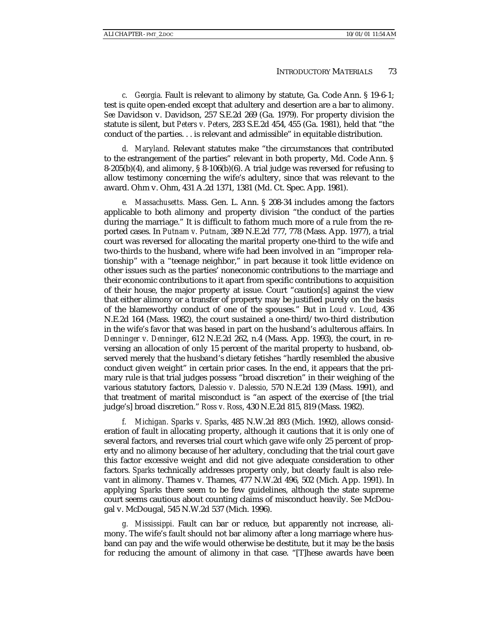*c. Georgia.* Fault is relevant to alimony by statute, Ga. Code Ann. § 19-6-1; test is quite open-ended except that adultery and desertion are a bar to alimony. *See* Davidson v. Davidson, 257 S.E.2d 269 (Ga. 1979). For property division the statute is silent, but *Peters v. Peters*, 283 S.E.2d 454, 455 (Ga. 1981), held that "the conduct of the parties. . . is relevant and admissible" in equitable distribution.

*d. Maryland.* Relevant statutes make "the circumstances that contributed to the estrangement of the parties" relevant in both property, Md. Code Ann. §  $8-205(b)(4)$ , and alimony, §  $8-106(b)(6)$ . A trial judge was reversed for refusing to allow testimony concerning the wife's adultery, since that was relevant to the award. Ohm v. Ohm, 431 A.2d 1371, 1381 (Md. Ct. Spec. App. 1981).

*e. Massachusetts.* Mass. Gen. L. Ann. § 208-34 includes among the factors applicable to both alimony and property division "the conduct of the parties during the marriage." It is difficult to fathom much more of a rule from the reported cases. In *Putnam v. Putnam*, 389 N.E.2d 777, 778 (Mass. App. 1977), a trial court was reversed for allocating the marital property one-third to the wife and two-thirds to the husband, where wife had been involved in an "improper relationship" with a "teenage neighbor," in part because it took little evidence on other issues such as the parties' noneconomic contributions to the marriage and their economic contributions to it apart from specific contributions to acquisition of their house, the major property at issue. Court "caution[s] against the view that either alimony or a transfer of property may be justified purely on the basis of the blameworthy conduct of one of the spouses." But in *Loud v. Loud*, 436 N.E.2d 164 (Mass. 1982), the court sustained a one-third/two-third distribution in the wife's favor that was based in part on the husband's adulterous affairs. In *Denninger v. Denninger*, 612 N.E.2d 262, n.4 (Mass. App. 1993), the court, in reversing an allocation of only 15 percent of the marital property to husband, observed merely that the husband's dietary fetishes "hardly resembled the abusive conduct given weight" in certain prior cases. In the end, it appears that the primary rule is that trial judges possess "broad discretion" in their weighing of the various statutory factors, *Dalessio v. Dalessio*, 570 N.E.2d 139 (Mass. 1991), and that treatment of marital misconduct is "an aspect of the exercise of [the trial judge's] broad discretion." *Ross v. Ross*, 430 N.E.2d 815, 819 (Mass. 1982).

*f. Michigan. Sparks v. Sparks*, 485 N.W.2d 893 (Mich. 1992), allows consideration of fault in allocating property, although it cautions that it is only one of several factors, and reverses trial court which gave wife only 25 percent of property and no alimony because of her adultery, concluding that the trial court gave this factor excessive weight and did not give adequate consideration to other factors. *Sparks* technically addresses property only, but clearly fault is also relevant in alimony. Thames v. Thames, 477 N.W.2d 496, 502 (Mich. App. 1991). In applying *Sparks* there seem to be few guidelines, although the state supreme court seems cautious about counting claims of misconduct heavily. *See* McDougal v. McDougal, 545 N.W.2d 537 (Mich. 1996).

*g. Mississippi.* Fault can bar or reduce, but apparently not increase, alimony. The wife's fault should not bar alimony after a long marriage where husband can pay and the wife would otherwise be destitute, but it may be the basis for reducing the amount of alimony in that case. "[T]hese awards have been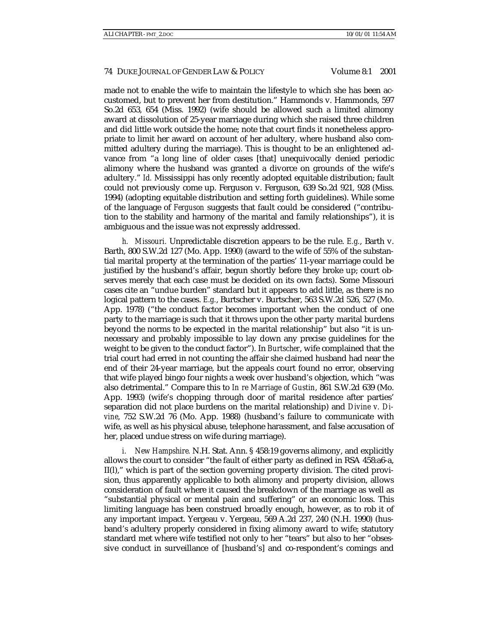#### 74 DUKE JOURNAL OF GENDER LAW & POLICY Volume 8:1 2001

made not to enable the wife to maintain the lifestyle to which she has been accustomed, but to prevent her from destitution." Hammonds v. Hammonds, 597 So.2d 653, 654 (Miss. 1992) (wife should be allowed such a limited alimony award at dissolution of 25-year marriage during which she raised three children and did little work outside the home; note that court finds it nonetheless appropriate to limit her award on account of her adultery, where husband also committed adultery during the marriage). This is thought to be an enlightened advance from "a long line of older cases [that] unequivocally denied periodic alimony where the husband was granted a divorce on grounds of the wife's adultery." *Id.* Mississippi has only recently adopted equitable distribution; fault could not previously come up. Ferguson v. Ferguson, 639 So.2d 921, 928 (Miss. 1994) (adopting equitable distribution and setting forth guidelines). While some of the language of *Ferguson* suggests that fault could be considered ("contribution to the stability and harmony of the marital and family relationships"), it is ambiguous and the issue was not expressly addressed.

*h. Missouri.* Unpredictable discretion appears to be the rule. *E.g.*, Barth v. Barth, 800 S.W.2d 127 (Mo. App. 1990) (award to the wife of 55% of the substantial marital property at the termination of the parties' 11-year marriage could be justified by the husband's affair, begun shortly before they broke up; court observes merely that each case must be decided on its own facts). Some Missouri cases cite an "undue burden" standard but it appears to add little, as there is no logical pattern to the cases. *E.g.*, Burtscher v. Burtscher, 563 S.W.2d 526, 527 (Mo. App. 1978) ("the conduct factor becomes important when the conduct of one party to the marriage is such that it throws upon the other party marital burdens beyond the norms to be expected in the marital relationship" but also "it is unnecessary and probably impossible to lay down any precise guidelines for the weight to be given to the conduct factor"). In *Burtscher*, wife complained that the trial court had erred in not counting the affair she claimed husband had near the end of their 24-year marriage, but the appeals court found no error, observing that wife played bingo four nights a week over husband's objection, which "was also detrimental." Compare this to *In re Marriage of Gustin*, 861 S.W.2d 639 (Mo. App. 1993) (wife's chopping through door of marital residence after parties' separation did not place burdens on the marital relationship) and *Divine v. Divine*, 752 S.W.2d 76 (Mo. App. 1988) (husband's failure to communicate with wife, as well as his physical abuse, telephone harassment, and false accusation of her, placed undue stress on wife during marriage).

*i. New Hampshire.* N.H. Stat. Ann. § 458:19 governs alimony, and explicitly allows the court to consider "the fault of either party as defined in RSA 458:a6-a, II(l)," which is part of the section governing property division. The cited provision, thus apparently applicable to both alimony and property division, allows consideration of fault where it caused the breakdown of the marriage as well as "substantial physical or mental pain and suffering" or an economic loss. This limiting language has been construed broadly enough, however, as to rob it of any important impact. Yergeau v. Yergeau, 569 A.2d 237, 240 (N.H. 1990) (husband's adultery properly considered in fixing alimony award to wife; statutory standard met where wife testified not only to her "tears" but also to her "obsessive conduct in surveillance of [husband's] and co-respondent's comings and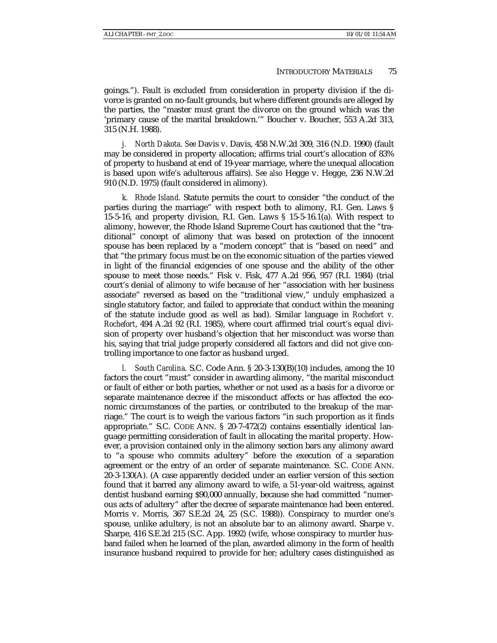goings."). Fault is excluded from consideration in property division if the divorce is granted on no-fault grounds, but where different grounds are alleged by the parties, the "master must grant the divorce on the ground which was the 'primary cause of the marital breakdown.'" Boucher v. Boucher, 553 A.2d 313, 315 (N.H. 1988).

*j. North Dakota. See* Davis v. Davis, 458 N.W.2d 309, 316 (N.D. 1990) (fault may be considered in property allocation; affirms trial court's allocation of 83% of property to husband at end of 19-year marriage, where the unequal allocation is based upon wife's adulterous affairs). *See also* Hegge v. Hegge, 236 N.W.2d 910 (N.D. 1975) (fault considered in alimony).

*k. Rhode Island.* Statute permits the court to consider "the conduct of the parties during the marriage" with respect both to alimony, R.I. Gen. Laws § 15-5-16, and property division, R.I. Gen. Laws § 15-5-16.1(a). With respect to alimony, however, the Rhode Island Supreme Court has cautioned that the "traditional" concept of alimony that was based on protection of the innocent spouse has been replaced by a "modern concept" that is "based on need" and that "the primary focus must be on the economic situation of the parties viewed in light of the financial exigencies of one spouse and the ability of the other spouse to meet those needs." Fisk v. Fisk, 477 A.2d 956, 957 (R.I. 1984) (trial court's denial of alimony to wife because of her "association with her business associate" reversed as based on the "traditional view," unduly emphasized a single statutory factor, and failed to appreciate that conduct within the meaning of the statute include good as well as bad). Similar language in *Rochefort v. Rochefort*, 494 A.2d 92 (R.I. 1985), where court affirmed trial court's equal division of property over husband's objection that her misconduct was worse than his, saying that trial judge properly considered all factors and did not give controlling importance to one factor as husband urged.

*l. South Carolina.* S.C. Code Ann. § 20-3-130(B)(10) includes, among the 10 factors the court "must" consider in awarding alimony, "the marital misconduct or fault of either or both parties, whether or not used as a basis for a divorce or separate maintenance decree if the misconduct affects or has affected the economic circumstances of the parties, or contributed to the breakup of the marriage." The court is to weigh the various factors "in such proportion as it finds appropriate." S.C. CODE ANN. § 20-7-472(2) contains essentially identical language permitting consideration of fault in allocating the marital property. However, a provision contained only in the alimony section bars any alimony award to "a spouse who commits adultery" before the execution of a separation agreement or the entry of an order of separate maintenance. S.C. CODE ANN. 20-3-130(A). (A case apparently decided under an earlier version of this section found that it barred any alimony award to wife, a 51-year-old waitress, against dentist husband earning \$90,000 annually, because she had committed "numerous acts of adultery" after the decree of separate maintenance had been entered. Morris v. Morris, 367 S.E.2d 24, 25 (S.C. 1988)). Conspiracy to murder one's spouse, unlike adultery, is not an absolute bar to an alimony award. Sharpe v. Sharpe, 416 S.E.2d 215 (S.C. App. 1992) (wife, whose conspiracy to murder husband failed when he learned of the plan, awarded alimony in the form of health insurance husband required to provide for her; adultery cases distinguished as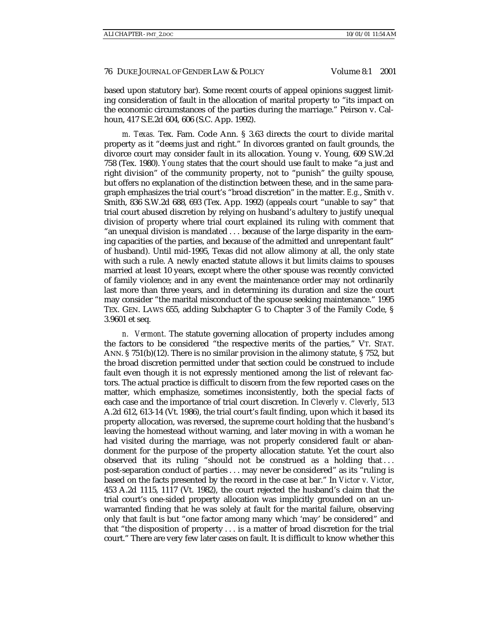based upon statutory bar). Some recent courts of appeal opinions suggest limiting consideration of fault in the allocation of marital property to "its impact on the economic circumstances of the parties during the marriage." Peirson v. Calhoun, 417 S.E.2d 604, 606 (S.C. App. 1992).

*m. Texas.* Tex. Fam. Code Ann. § 3.63 directs the court to divide marital property as it "deems just and right." In divorces granted on fault grounds, the divorce court may consider fault in its allocation. Young v. Young, 609 S.W.2d 758 (Tex. 1980). *Young* states that the court should use fault to make "a just and right division" of the community property, not to "punish" the guilty spouse, but offers no explanation of the distinction between these, and in the same paragraph emphasizes the trial court's "broad discretion" in the matter. *E.g.*, Smith v. Smith, 836 S.W.2d 688, 693 (Tex. App. 1992) (appeals court "unable to say" that trial court abused discretion by relying on husband's adultery to justify unequal division of property where trial court explained its ruling with comment that "an unequal division is mandated . . . because of the large disparity in the earning capacities of the parties, and because of the admitted and unrepentant fault" of husband). Until mid-1995, Texas did not allow alimony at all, the only state with such a rule. A newly enacted statute allows it but limits claims to spouses married at least 10 years, except where the other spouse was recently convicted of family violence; and in any event the maintenance order may not ordinarily last more than three years, and in determining its duration and size the court may consider "the marital misconduct of the spouse seeking maintenance." 1995 TEX. GEN. LAWS 655, adding Subchapter G to Chapter 3 of the Family Code, § 3.9601 et seq.

*n. Vermont.* The statute governing allocation of property includes among the factors to be considered "the respective merits of the parties," VT. STAT. ANN. § 751(b)(12). There is no similar provision in the alimony statute, § 752, but the broad discretion permitted under that section could be construed to include fault even though it is not expressly mentioned among the list of relevant factors. The actual practice is difficult to discern from the few reported cases on the matter, which emphasize, sometimes inconsistently, both the special facts of each case and the importance of trial court discretion. In *Cleverly v. Cleverly*, 513 A.2d 612, 613-14 (Vt. 1986), the trial court's fault finding, upon which it based its property allocation, was reversed, the supreme court holding that the husband's leaving the homestead without warning, and later moving in with a woman he had visited during the marriage, was not properly considered fault or abandonment for the purpose of the property allocation statute. Yet the court also observed that its ruling "should not be construed as a holding that . . . post-separation conduct of parties . . . may never be considered" as its "ruling is based on the facts presented by the record in the case at bar." In *Victor v. Victor*, 453 A.2d 1115, 1117 (Vt. 1982), the court rejected the husband's claim that the trial court's one-sided property allocation was implicitly grounded on an unwarranted finding that he was solely at fault for the marital failure, observing only that fault is but "one factor among many which 'may' be considered" and that "the disposition of property . . . is a matter of broad discretion for the trial court." There are very few later cases on fault. It is difficult to know whether this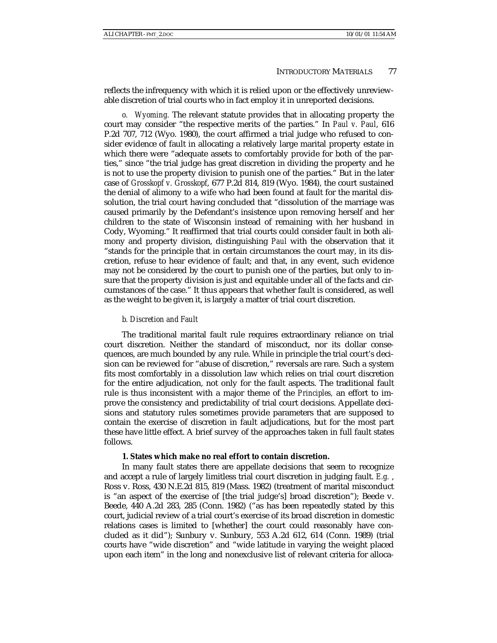reflects the infrequency with which it is relied upon or the effectively unreviewable discretion of trial courts who in fact employ it in unreported decisions.

*o. Wyoming.* The relevant statute provides that in allocating property the court may consider "the respective merits of the parties." In *Paul v. Paul*, 616 P.2d 707, 712 (Wyo. 1980), the court affirmed a trial judge who refused to consider evidence of fault in allocating a relatively large marital property estate in which there were "adequate assets to comfortably provide for both of the parties," since "the trial judge has great discretion in dividing the property and he is not to use the property division to punish one of the parties." But in the later case of *Grosskopf v. Grosskopf*, 677 P.2d 814, 819 (Wyo. 1984), the court sustained the denial of alimony to a wife who had been found at fault for the marital dissolution, the trial court having concluded that "dissolution of the marriage was caused primarily by the Defendant's insistence upon removing herself and her children to the state of Wisconsin instead of remaining with her husband in Cody, Wyoming." It reaffirmed that trial courts could consider fault in both alimony and property division, distinguishing *Paul* with the observation that it "stands for the principle that in certain circumstances the court may, in its discretion, refuse to hear evidence of fault; and that, in any event, such evidence may not be considered by the court to punish one of the parties, but only to insure that the property division is just and equitable under all of the facts and circumstances of the case." It thus appears that whether fault is considered, as well as the weight to be given it, is largely a matter of trial court discretion.

#### *b. Discretion and Fault*

The traditional marital fault rule requires extraordinary reliance on trial court discretion. Neither the standard of misconduct, nor its dollar consequences, are much bounded by any rule. While in principle the trial court's decision can be reviewed for "abuse of discretion," reversals are rare. Such a system fits most comfortably in a dissolution law which relies on trial court discretion for the entire adjudication, not only for the fault aspects. The traditional fault rule is thus inconsistent with a major theme of the *Principles,* an effort to improve the consistency and predictability of trial court decisions. Appellate decisions and statutory rules sometimes provide parameters that are supposed to contain the exercise of discretion in fault adjudications, but for the most part these have little effect. A brief survey of the approaches taken in full fault states follows.

### **1. States which make no real effort to contain discretion.**

In many fault states there are appellate decisions that seem to recognize and accept a rule of largely limitless trial court discretion in judging fault. *E.g.* , Ross v. Ross, 430 N.E.2d 815, 819 (Mass. 1982) (treatment of marital misconduct is "an aspect of the exercise of [the trial judge's] broad discretion"); Beede v. Beede, 440 A.2d 283, 285 (Conn. 1982) ("as has been repeatedly stated by this court, judicial review of a trial court's exercise of its broad discretion in domestic relations cases is limited to [whether] the court could reasonably have concluded as it did"); Sunbury v. Sunbury, 553 A.2d 612, 614 (Conn. 1989) (trial courts have "wide discretion" and "wide latitude in varying the weight placed upon each item" in the long and nonexclusive list of relevant criteria for alloca-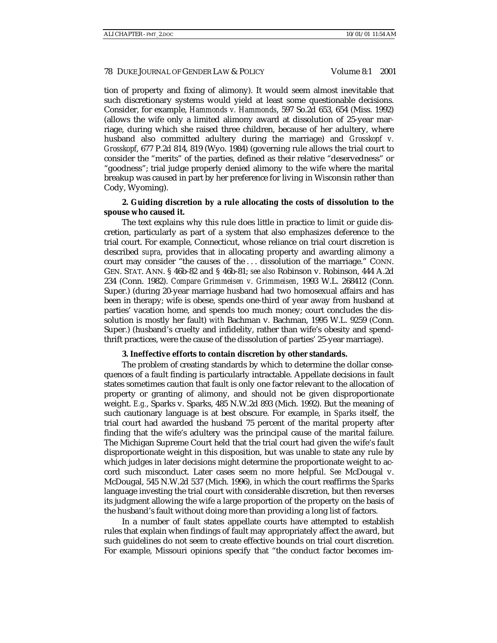tion of property and fixing of alimony). It would seem almost inevitable that such discretionary systems would yield at least some questionable decisions. Consider, for example, *Hammonds v. Hammonds*, 597 So.2d 653, 654 (Miss. 1992) (allows the wife only a limited alimony award at dissolution of 25-year marriage, during which she raised three children, because of her adultery, where husband also committed adultery during the marriage) and *Grosskopf v. Grosskopf*, 677 P.2d 814, 819 (Wyo. 1984) (governing rule allows the trial court to consider the "merits" of the parties, defined as their relative "deservedness" or "goodness"; trial judge properly denied alimony to the wife where the marital breakup was caused in part by her preference for living in Wisconsin rather than Cody, Wyoming).

# **2. Guiding discretion by a rule allocating the costs of dissolution to the spouse who caused it.**

The text explains why this rule does little in practice to limit or guide discretion, particularly as part of a system that also emphasizes deference to the trial court. For example, Connecticut, whose reliance on trial court discretion is described *supra*, provides that in allocating property and awarding alimony a court may consider "the causes of the . . . dissolution of the marriage." CONN. GEN. STAT. ANN. § 46b-82 and § 46b-81; *see also* Robinson v. Robinson, 444 A.2d 234 (Conn. 1982). *Compare Grimmeisen v. Grimmeisen*, 1993 W.L. 268412 (Conn. Super.) (during 20-year marriage husband had two homosexual affairs and has been in therapy; wife is obese, spends one-third of year away from husband at parties' vacation home, and spends too much money; court concludes the dissolution is mostly her fault) *with* Bachman v. Bachman, 1995 W.L. 9259 (Conn. Super.) (husband's cruelty and infidelity, rather than wife's obesity and spendthrift practices, were the cause of the dissolution of parties' 25-year marriage).

### **3. Ineffective efforts to contain discretion by other standards.**

The problem of creating standards by which to determine the dollar consequences of a fault finding is particularly intractable. Appellate decisions in fault states sometimes caution that fault is only one factor relevant to the allocation of property or granting of alimony, and should not be given disproportionate weight. *E.g.*, Sparks v. Sparks, 485 N.W.2d 893 (Mich. 1992). But the meaning of such cautionary language is at best obscure. For example, in *Sparks* itself, the trial court had awarded the husband 75 percent of the marital property after finding that the wife's adultery was the principal cause of the marital failure. The Michigan Supreme Court held that the trial court had given the wife's fault disproportionate weight in this disposition, but was unable to state any rule by which judges in later decisions might determine the proportionate weight to accord such misconduct. Later cases seem no more helpful. *See* McDougal v. McDougal, 545 N.W.2d 537 (Mich. 1996), in which the court reaffirms the *Sparks* language investing the trial court with considerable discretion, but then reverses its judgment allowing the wife a large proportion of the property on the basis of the husband's fault without doing more than providing a long list of factors.

In a number of fault states appellate courts have attempted to establish rules that explain when findings of fault may appropriately affect the award, but such guidelines do not seem to create effective bounds on trial court discretion. For example, Missouri opinions specify that "the conduct factor becomes im-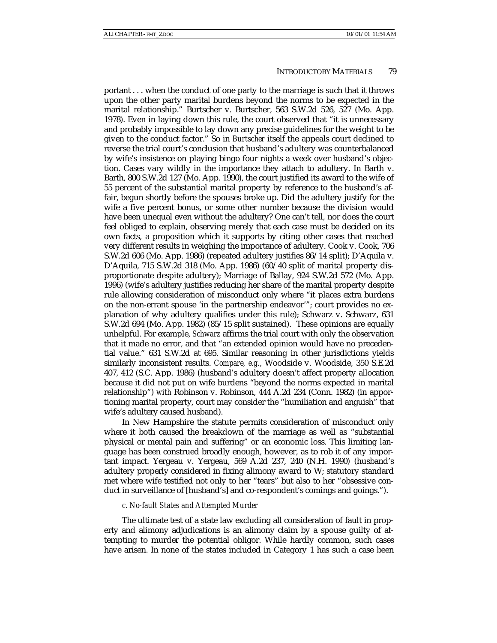portant . . . when the conduct of one party to the marriage is such that it throws upon the other party marital burdens beyond the norms to be expected in the marital relationship." Burtscher v. Burtscher, 563 S.W.2d 526, 527 (Mo. App. 1978). Even in laying down this rule, the court observed that "it is unnecessary and probably impossible to lay down any precise guidelines for the weight to be given to the conduct factor." So in *Burtscher* itself the appeals court declined to reverse the trial court's conclusion that husband's adultery was counterbalanced by wife's insistence on playing bingo four nights a week over husband's objection. Cases vary wildly in the importance they attach to adultery. In Barth v. Barth, 800 S.W.2d 127 (Mo. App. 1990), the court justified its award to the wife of 55 percent of the substantial marital property by reference to the husband's affair, begun shortly before the spouses broke up. Did the adultery justify for the wife a five percent bonus, or some other number because the division would have been unequal even without the adultery? One can't tell, nor does the court feel obliged to explain, observing merely that each case must be decided on its own facts, a proposition which it supports by citing other cases that reached very different results in weighing the importance of adultery. Cook v. Cook, 706 S.W.2d 606 (Mo. App. 1986) (repeated adultery justifies 86/14 split); D'Aquila v. D'Aquila, 715 S.W.2d 318 (Mo. App. 1986) (60/40 split of marital property disproportionate despite adultery); Marriage of Ballay, 924 S.W.2d 572 (Mo. App. 1996) (wife's adultery justifies reducing her share of the marital property despite rule allowing consideration of misconduct only where "it places extra burdens on the non-errant spouse 'in the partnership endeavor'"; court provides no explanation of why adultery qualifies under this rule); Schwarz v. Schwarz, 631 S.W.2d 694 (Mo. App. 1982) (85/15 split sustained). These opinions are equally unhelpful. For example, *Schwarz* affirms the trial court with only the observation that it made no error, and that "an extended opinion would have no precedential value." 631 S.W.2d at 695. Similar reasoning in other jurisdictions yields similarly inconsistent results. *Compare, e.g.*, Woodside v. Woodside, 350 S.E.2d 407, 412 (S.C. App. 1986) (husband's adultery doesn't affect property allocation because it did not put on wife burdens "beyond the norms expected in marital relationship") *with* Robinson v. Robinson, 444 A.2d 234 (Conn. 1982) (in apportioning marital property, court may consider the "humiliation and anguish" that wife's adultery caused husband).

In New Hampshire the statute permits consideration of misconduct only where it both caused the breakdown of the marriage as well as "substantial physical or mental pain and suffering" or an economic loss. This limiting language has been construed broadly enough, however, as to rob it of any important impact. Yergeau v. Yergeau, 569 A.2d 237, 240 (N.H. 1990) (husband's adultery properly considered in fixing alimony award to W; statutory standard met where wife testified not only to her "tears" but also to her "obsessive conduct in surveillance of [husband's] and co-respondent's comings and goings.").

### *c. No-fault States and Attempted Murder*

The ultimate test of a state law excluding all consideration of fault in property and alimony adjudications is an alimony claim by a spouse guilty of attempting to murder the potential obligor. While hardly common, such cases have arisen. In none of the states included in Category 1 has such a case been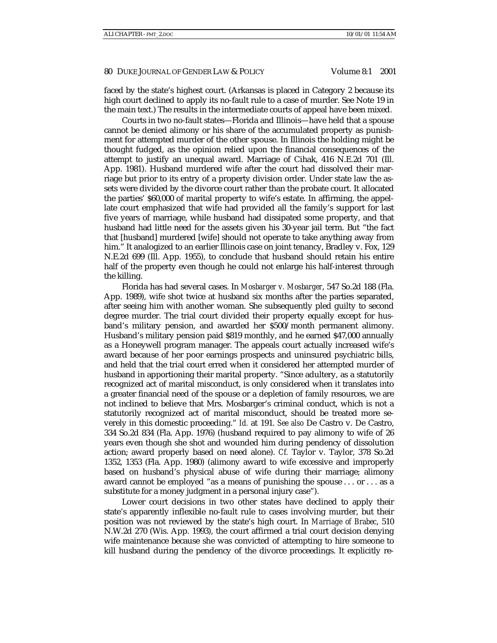faced by the state's highest court. (Arkansas is placed in Category 2 because its high court declined to apply its no-fault rule to a case of murder. See Note 19 in the main text.) The results in the intermediate courts of appeal have been mixed.

Courts in two no-fault states—Florida and Illinois—have held that a spouse cannot be denied alimony or his share of the accumulated property as punishment for attempted murder of the other spouse. In Illinois the holding might be thought fudged, as the opinion relied upon the financial consequences of the attempt to justify an unequal award. Marriage of Cihak, 416 N.E.2d 701 (Ill. App. 1981). Husband murdered wife after the court had dissolved their marriage but prior to its entry of a property division order. Under state law the assets were divided by the divorce court rather than the probate court. It allocated the parties' \$60,000 of marital property to wife's estate. In affirming, the appellate court emphasized that wife had provided all the family's support for last five years of marriage, while husband had dissipated some property, and that husband had little need for the assets given his 30-year jail term. But "the fact that [husband] murdered [wife] should not operate to take anything away from him." It analogized to an earlier Illinois case on joint tenancy, Bradley v. Fox, 129 N.E.2d 699 (Ill. App. 1955), to conclude that husband should retain his entire half of the property even though he could not enlarge his half-interest through the killing.

Florida has had several cases. In *Mosbarger v. Mosbarger*, 547 So.2d 188 (Fla. App. 1989), wife shot twice at husband six months after the parties separated, after seeing him with another woman. She subsequently pled guilty to second degree murder. The trial court divided their property equally except for husband's military pension, and awarded her \$500/month permanent alimony. Husband's military pension paid \$819 monthly, and he earned \$47,000 annually as a Honeywell program manager. The appeals court actually increased wife's award because of her poor earnings prospects and uninsured psychiatric bills, and held that the trial court erred when it considered her attempted murder of husband in apportioning their marital property. "Since adultery, as a statutorily recognized act of marital misconduct, is only considered when it translates into a greater financial need of the spouse or a depletion of family resources, we are not inclined to believe that Mrs. Mosbarger's criminal conduct, which is not a statutorily recognized act of marital misconduct, should be treated more severely in this domestic proceeding." *Id.* at 191. *See also* De Castro v. De Castro, 334 So.2d 834 (Fla. App. 1976) (husband required to pay alimony to wife of 26 years even though she shot and wounded him during pendency of dissolution action; award properly based on need alone). *Cf.* Taylor v. Taylor, 378 So.2d 1352, 1353 (Fla. App. 1980) (alimony award to wife excessive and improperly based on husband's physical abuse of wife during their marriage; alimony award cannot be employed "as a means of punishing the spouse . . . or . . . as a substitute for a money judgment in a personal injury case").

Lower court decisions in two other states have declined to apply their state's apparently inflexible no-fault rule to cases involving murder, but their position was not reviewed by the state's high court. In *Marriage of Brabec*, 510 N.W.2d 270 (Wis. App. 1993), the court affirmed a trial court decision denying wife maintenance because she was convicted of attempting to hire someone to kill husband during the pendency of the divorce proceedings. It explicitly re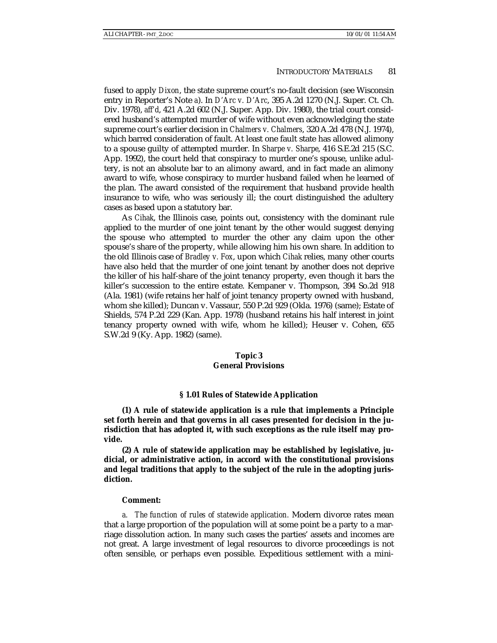fused to apply *Dixon*, the state supreme court's no-fault decision (see Wisconsin entry in Reporter's Note *a*). In *D'Arc v. D'Arc*, 395 A.2d 1270 (N.J. Super. Ct. Ch. Div. 1978), *aff'd*, 421 A.2d 602 (N.J. Super. App. Div. 1980), the trial court considered husband's attempted murder of wife without even acknowledging the state supreme court's earlier decision in *Chalmers v. Chalmers*, 320 A.2d 478 (N.J. 1974), which barred consideration of fault. At least one fault state has allowed alimony to a spouse guilty of attempted murder. In *Sharpe v. Sharpe*, 416 S.E.2d 215 (S.C. App. 1992), the court held that conspiracy to murder one's spouse, unlike adultery, is not an absolute bar to an alimony award, and in fact made an alimony award to wife, whose conspiracy to murder husband failed when he learned of the plan. The award consisted of the requirement that husband provide health insurance to wife, who was seriously ill; the court distinguished the adultery cases as based upon a statutory bar.

As *Cihak*, the Illinois case, points out, consistency with the dominant rule applied to the murder of one joint tenant by the other would suggest denying the spouse who attempted to murder the other any claim upon the other spouse's share of the property, while allowing him his own share. In addition to the old Illinois case of *Bradley v. Fox*, upon which *Cihak* relies, many other courts have also held that the murder of one joint tenant by another does not deprive the killer of his half-share of the joint tenancy property, even though it bars the killer's succession to the entire estate. Kempaner v. Thompson, 394 So.2d 918 (Ala. 1981) (wife retains her half of joint tenancy property owned with husband, whom she killed); Duncan v. Vassaur, 550 P.2d 929 (Okla. 1976) (same); Estate of Shields, 574 P.2d 229 (Kan. App. 1978) (husband retains his half interest in joint tenancy property owned with wife, whom he killed); Heuser v. Cohen, 655 S.W.2d 9 (Ky. App. 1982) (same).

## **Topic 3 General Provisions**

#### **§ 1.01 Rules of Statewide Application**

**(1) A rule of statewide application is a rule that implements a Principle set forth herein and that governs in all cases presented for decision in the jurisdiction that has adopted it, with such exceptions as the rule itself may provide.**

**(2) A rule of statewide application may be established by legislative, judicial, or administrative action, in accord with the constitutional provisions and legal traditions that apply to the subject of the rule in the adopting jurisdiction.**

#### **Comment:**

*a. The function of rules of statewide application.* Modern divorce rates mean that a large proportion of the population will at some point be a party to a marriage dissolution action. In many such cases the parties' assets and incomes are not great. A large investment of legal resources to divorce proceedings is not often sensible, or perhaps even possible. Expeditious settlement with a mini-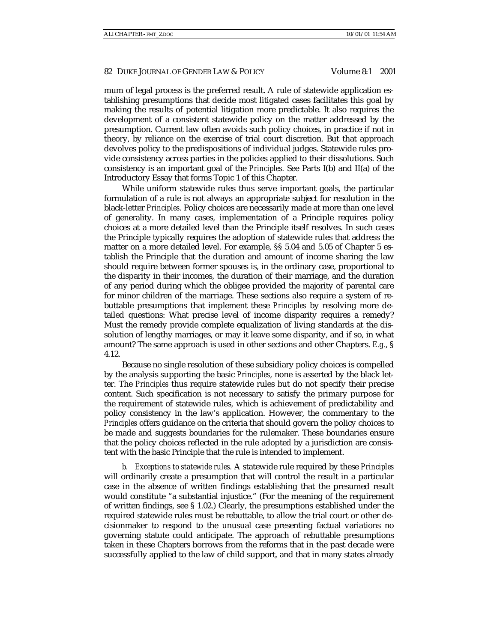#### 82 DUKE JOURNAL OF GENDER LAW & POLICY Volume 8:1 2001

mum of legal process is the preferred result. A rule of statewide application establishing presumptions that decide most litigated cases facilitates this goal by making the results of potential litigation more predictable. It also requires the development of a consistent statewide policy on the matter addressed by the presumption. Current law often avoids such policy choices, in practice if not in theory, by reliance on the exercise of trial court discretion. But that approach devolves policy to the predispositions of individual judges. Statewide rules provide consistency across parties in the policies applied to their dissolutions. Such consistency is an important goal of the *Principles.* See Parts I(b) and II(a) of the Introductory Essay that forms Topic 1 of this Chapter.

While uniform statewide rules thus serve important goals, the particular formulation of a rule is not always an appropriate subject for resolution in the black-letter *Principles*. Policy choices are necessarily made at more than one level of generality. In many cases, implementation of a Principle requires policy choices at a more detailed level than the Principle itself resolves. In such cases the Principle typically requires the adoption of statewide rules that address the matter on a more detailed level. For example, §§ 5.04 and 5.05 of Chapter 5 establish the Principle that the duration and amount of income sharing the law should require between former spouses is, in the ordinary case, proportional to the disparity in their incomes, the duration of their marriage, and the duration of any period during which the obligee provided the majority of parental care for minor children of the marriage. These sections also require a system of rebuttable presumptions that implement these *Principles* by resolving more detailed questions: What precise level of income disparity requires a remedy? Must the remedy provide complete equalization of living standards at the dissolution of lengthy marriages, or may it leave some disparity, and if so, in what amount? The same approach is used in other sections and other Chapters. *E.g.*, § 4.12.

Because no single resolution of these subsidiary policy choices is compelled by the analysis supporting the basic *Principles*, none is asserted by the black letter. The *Principles* thus require statewide rules but do not specify their precise content. Such specification is not necessary to satisfy the primary purpose for the requirement of statewide rules, which is achievement of predictability and policy consistency in the law's application. However, the commentary to the *Principles* offers guidance on the criteria that should govern the policy choices to be made and suggests boundaries for the rulemaker. These boundaries ensure that the policy choices reflected in the rule adopted by a jurisdiction are consistent with the basic Principle that the rule is intended to implement.

*b. Exceptions to statewide rules.* A statewide rule required by these *Principles* will ordinarily create a presumption that will control the result in a particular case in the absence of written findings establishing that the presumed result would constitute "a substantial injustice." (For the meaning of the requirement of written findings, see § 1.02.) Clearly, the presumptions established under the required statewide rules must be rebuttable, to allow the trial court or other decisionmaker to respond to the unusual case presenting factual variations no governing statute could anticipate. The approach of rebuttable presumptions taken in these Chapters borrows from the reforms that in the past decade were successfully applied to the law of child support, and that in many states already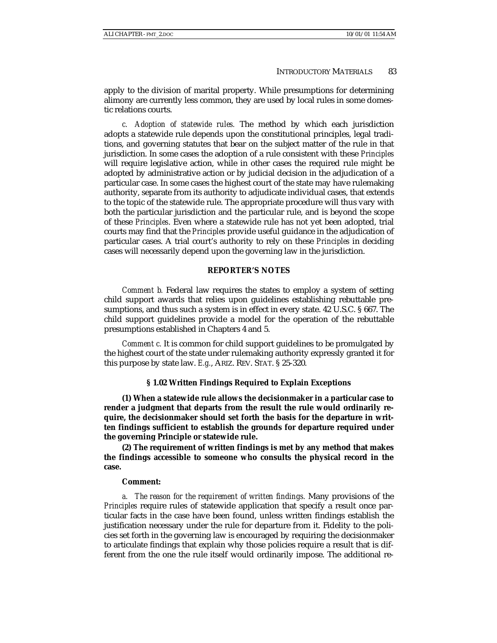apply to the division of marital property. While presumptions for determining alimony are currently less common, they are used by local rules in some domestic relations courts.

*c. Adoption of statewide rules.* The method by which each jurisdiction adopts a statewide rule depends upon the constitutional principles, legal traditions, and governing statutes that bear on the subject matter of the rule in that jurisdiction. In some cases the adoption of a rule consistent with these *Principles* will require legislative action, while in other cases the required rule might be adopted by administrative action or by judicial decision in the adjudication of a particular case. In some cases the highest court of the state may have rulemaking authority, separate from its authority to adjudicate individual cases, that extends to the topic of the statewide rule. The appropriate procedure will thus vary with both the particular jurisdiction and the particular rule, and is beyond the scope of these *Principles*. Even where a statewide rule has not yet been adopted, trial courts may find that the *Principles* provide useful guidance in the adjudication of particular cases. A trial court's authority to rely on these *Principles* in deciding cases will necessarily depend upon the governing law in the jurisdiction.

#### **REPORTER'S NOTES**

*Comment b.* Federal law requires the states to employ a system of setting child support awards that relies upon guidelines establishing rebuttable presumptions, and thus such a system is in effect in every state. 42 U.S.C. § 667. The child support guidelines provide a model for the operation of the rebuttable presumptions established in Chapters 4 and 5.

*Comment c.* It is common for child support guidelines to be promulgated by the highest court of the state under rulemaking authority expressly granted it for this purpose by state law. *E.g.*, ARIZ. REV. STAT. § 25-320.

## **§ 1.02 Written Findings Required to Explain Exceptions**

**(1) When a statewide rule allows the decisionmaker in a particular case to render a judgment that departs from the result the rule would ordinarily require, the decisionmaker should set forth the basis for the departure in written findings sufficient to establish the grounds for departure required under the governing Principle or statewide rule.**

**(2) The requirement of written findings is met by any method that makes the findings accessible to someone who consults the physical record in the case.**

### **Comment:**

*a. The reason for the requirement of written findings.* Many provisions of the *Principles* require rules of statewide application that specify a result once particular facts in the case have been found, unless written findings establish the justification necessary under the rule for departure from it. Fidelity to the policies set forth in the governing law is encouraged by requiring the decisionmaker to articulate findings that explain why those policies require a result that is different from the one the rule itself would ordinarily impose. The additional re-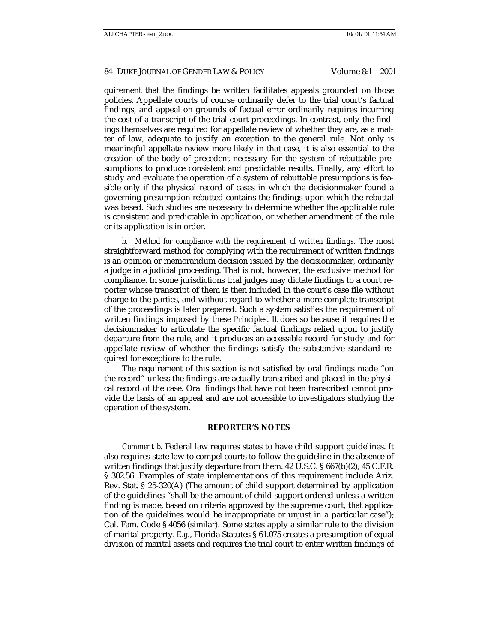#### 84 DUKE JOURNAL OF GENDER LAW & POLICY Volume 8:1 2001

quirement that the findings be written facilitates appeals grounded on those policies. Appellate courts of course ordinarily defer to the trial court's factual findings, and appeal on grounds of factual error ordinarily requires incurring the cost of a transcript of the trial court proceedings. In contrast, only the findings themselves are required for appellate review of whether they are, as a matter of law, adequate to justify an exception to the general rule. Not only is meaningful appellate review more likely in that case, it is also essential to the creation of the body of precedent necessary for the system of rebuttable presumptions to produce consistent and predictable results. Finally, any effort to study and evaluate the operation of a system of rebuttable presumptions is feasible only if the physical record of cases in which the decisionmaker found a governing presumption rebutted contains the findings upon which the rebuttal was based. Such studies are necessary to determine whether the applicable rule is consistent and predictable in application, or whether amendment of the rule or its application is in order.

*b. Method for compliance with the requirement of written findings.* The most straightforward method for complying with the requirement of written findings is an opinion or memorandum decision issued by the decisionmaker, ordinarily a judge in a judicial proceeding. That is not, however, the exclusive method for compliance. In some jurisdictions trial judges may dictate findings to a court reporter whose transcript of them is then included in the court's case file without charge to the parties, and without regard to whether a more complete transcript of the proceedings is later prepared. Such a system satisfies the requirement of written findings imposed by these *Principles*. It does so because it requires the decisionmaker to articulate the specific factual findings relied upon to justify departure from the rule, and it produces an accessible record for study and for appellate review of whether the findings satisfy the substantive standard required for exceptions to the rule.

The requirement of this section is not satisfied by oral findings made "on the record" unless the findings are actually transcribed and placed in the physical record of the case. Oral findings that have not been transcribed cannot provide the basis of an appeal and are not accessible to investigators studying the operation of the system.

# **REPORTER'S NOTES**

*Comment b.* Federal law requires states to have child support guidelines. It also requires state law to compel courts to follow the guideline in the absence of written findings that justify departure from them.  $42 \text{ U.S.C.}$  §  $667(b)(2)$ ; 45 C.F.R. § 302.56. Examples of state implementations of this requirement include Ariz. Rev. Stat. § 25-320(A) (The amount of child support determined by application of the guidelines "shall be the amount of child support ordered unless a written finding is made, based on criteria approved by the supreme court, that application of the guidelines would be inappropriate or unjust in a particular case"); Cal. Fam. Code § 4056 (similar). Some states apply a similar rule to the division of marital property. *E.g.*, Florida Statutes § 61.075 creates a presumption of equal division of marital assets and requires the trial court to enter written findings of